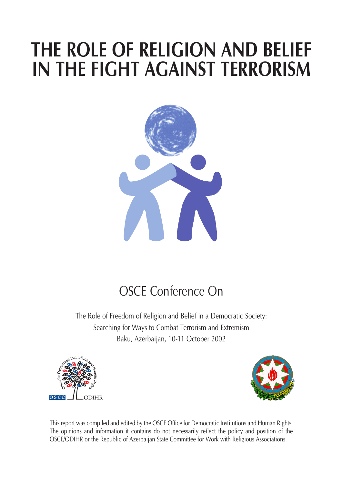# THE ROLE OF RELIGION AND BELIEF IN THE FIGHT AGAINST TERRORISM



## OSCE Conference On

The Role of Freedom of Religion and Belief in a Democratic Society: Searching for Ways to Combat Terrorism and Extremism Baku, Azerbaijan, 10-11 October 2002





This report was compiled and edited by the OSCE Office for Democratic Institutions and Human Rights. The opinions and information it contains do not necessarily reflect the policy and position of the OSCE/ODIHR or the Republic of Azerbaijan State Committee for Work with Religious Associations.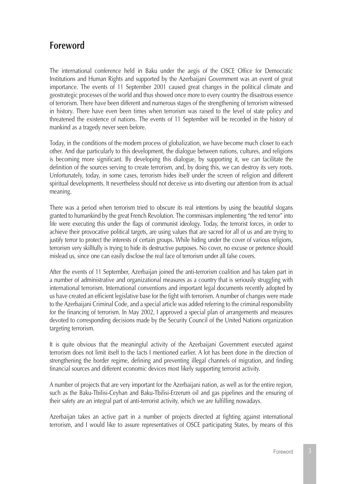## Foreword

The international conference held in Baku under the aegis of the OSCE Office for Democratic Institutions and Human Rights and supported by the Azerbaijani Government was an event of great importance. The events of 11 September 2001 caused great changes in the political climate and geostrategic processes of the world and thus showed once more to every country the disastrous essence of terrorism. There have been different and numerous stages of the strengthening of terrorism witnessed in history. There have even been times when terrorism was raised to the level of state policy and threatened the existence of nations. The events of 11 September will be recorded in the history of mankind as a tragedy never seen before.

Today, in the conditions of the modern process of globalization, we have become much closer to each other. And due particularly to this development, the dialogue between nations, cultures, and religions is becoming more significant. By developing this dialogue, by supporting it, we can facilitate the definition of the sources serving to create terrorism, and, by doing this, we can destroy its very roots. Unfortunately, today, in some cases, terrorism hides itself under the screen of religion and different spiritual developments. It nevertheless should not deceive us into diverting our attention from its actual meaning.

There was a period when terrorism tried to obscure its real intentions by using the beautiful slogans granted to humankind by the great French Revolution. The commissars implementing "the red terror" into life were executing this under the flags of communist ideology. Today, the terrorist forces, in order to achieve their provocative political targets, are using values that are sacred for all of us and are trying to justify terror to protect the interests of certain groups. While hiding under the cover of various religions, terrorism very skillfully is trying to hide its destructive purposes. No cover, no excuse or pretence should mislead us, since one can easily disclose the real face of terrorism under all false covers.

After the events of 11 September, Azerbaijan joined the anti-terrorism coalition and has taken part in a number of administrative and organizational measures as a country that is seriously struggling with international terrorism. International conventions and important legal documents recently adopted by us have created an efficient legislative base for the fight with terrorism. A number of changes were made to the Azerbaijani Criminal Code, and a special article was added referring to the criminal responsibility for the financing of terrorism. In May 2002, I approved a special plan of arrangements and measures devoted to corresponding decisions made by the Security Council of the United Nations organization targeting terrorism.

It is quite obvious that the meaningful activity of the Azerbaijani Government executed against terrorism does not limit itself to the facts I mentioned earlier. A lot has been done in the direction of strengthening the border regime, defining and preventing illegal channels of migration, and finding financial sources and different economic devices most likely supporting terrorist activity.

A number of projects that are very important for the Azerbaijani nation, as well as for the entire region, such as the Baku-Tbilisi-Ceyhan and Baku-Tbilisi-Erzerum oil and gas pipelines and the ensuring of their safety are an integral part of anti-terrorist activity, which we are fulfilling nowadays.

Azerbaijan takes an active part in a number of projects directed at fighting against international terrorism, and I would like to assure representatives of OSCE participating States, by means of this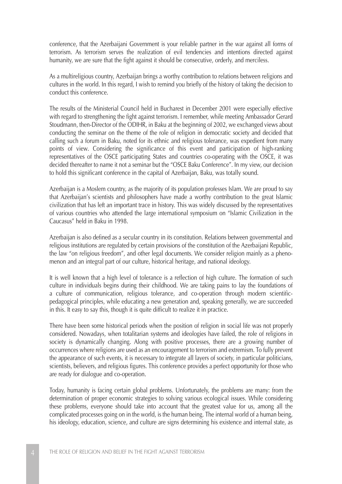conference, that the Azerbaijani Government is your reliable partner in the war against all forms of terrorism. As terrorism serves the realization of evil tendencies and intentions directed against humanity, we are sure that the fight against it should be consecutive, orderly, and merciless.

As a multireligious country, Azerbaijan brings a worthy contribution to relations between religions and cultures in the world. In this regard, I wish to remind you briefly of the history of taking the decision to conduct this conference.

The results of the Ministerial Council held in Bucharest in December 2001 were especially effective with regard to strengthening the fight against terrorism. I remember, while meeting Ambassador Gerard Stoudmann, then-Director of the ODIHR, in Baku at the beginning of 2002, we exchanged views about conducting the seminar on the theme of the role of religion in democratic society and decided that calling such a forum in Baku, noted for its ethnic and religious tolerance, was expedient from many points of view. Considering the significance of this event and participation of high-ranking representatives of the OSCE participating States and countries co-operating with the OSCE, it was decided thereafter to name it not a seminar but the "OSCE Baku Conference". In my view, our decision to hold this significant conference in the capital of Azerbaijan, Baku, was totally sound.

Azerbaijan is a Moslem country, as the majority of its population professes Islam. We are proud to say that Azerbaijan's scientists and philosophers have made a worthy contribution to the great Islamic civilization that has left an important trace in history. This was widely discussed by the representatives of various countries who attended the large international symposium on "Islamic Civilization in the Caucasus" held in Baku in 1998.

Azerbaijan is also defined as a secular country in its constitution. Relations between governmental and religious institutions are regulated by certain provisions of the constitution of the Azerbaijani Republic, the law "on religious freedom", and other legal documents. We consider religion mainly as a phenomenon and an integral part of our culture, historical heritage, and national ideology.

It is well known that a high level of tolerance is a reflection of high culture. The formation of such culture in individuals begins during their childhood. We are taking pains to lay the foundations of a culture of communication, religious tolerance, and co-operation through modern scientificpedagogical principles, while educating a new generation and, speaking generally, we are succeeded in this. It easy to say this, though it is quite difficult to realize it in practice.

There have been some historical periods when the position of religion in social life was not properly considered. Nowadays, when totalitarian systems and ideologies have failed, the role of religions in society is dynamically changing. Along with positive processes, there are a growing number of occurrences where religions are used as an encouragement to terrorism and extremism. To fully prevent the appearance of such events, it is necessary to integrate all layers of society, in particular politicians, scientists, believers, and religious figures. This conference provides a perfect opportunity for those who are ready for dialogue and co-operation.

Today, humanity is facing certain global problems. Unfortunately, the problems are many: from the determination of proper economic strategies to solving various ecological issues. While considering these problems, everyone should take into account that the greatest value for us, among all the complicated processes going on in the world, is the human being. The internal world of a human being, his ideology, education, science, and culture are signs determining his existence and internal state, as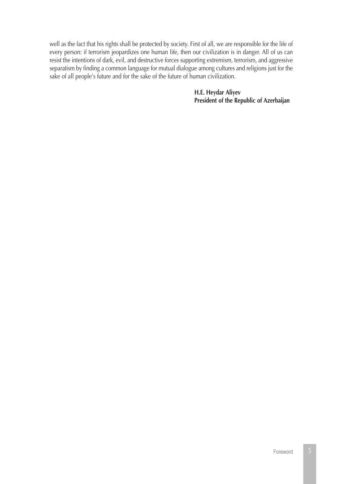well as the fact that his rights shall be protected by society. First of all, we are responsible for the life of every person: if terrorism jeopardizes one human life, then our civilization is in danger. All of us can resist the intentions of dark, evil, and destructive forces supporting extremism, terrorism, and aggressive separatism by finding a common language for mutual dialogue among cultures and religions just for the sake of all people's future and for the sake of the future of human civilization.

> H.E. Heydar Aliyev President of the Republic of Azerbaijan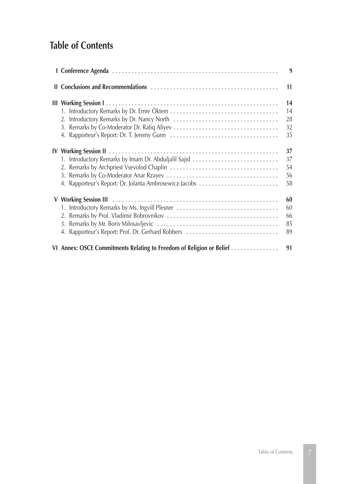## Table of Contents

|                                                                                                                | 9                          |
|----------------------------------------------------------------------------------------------------------------|----------------------------|
|                                                                                                                | 11                         |
|                                                                                                                | 14<br>14<br>28<br>32<br>35 |
| 1. Introductory Remarks by Imam Dr. Abduljalil Sajid<br>4. Rapporteur's Report: Dr. Jolanta Ambrosewicz-Jacobs | 37<br>37<br>54<br>56<br>58 |
| 1. Introductory Remarks by Ms. Ingvill Plesner<br>4. Rapporteur's Report: Prof. Dr. Gerhard Robbers            | 60<br>60<br>66<br>85<br>89 |
| VI Annex: OSCE Commitments Relating to Freedom of Religion or Belief                                           | 91                         |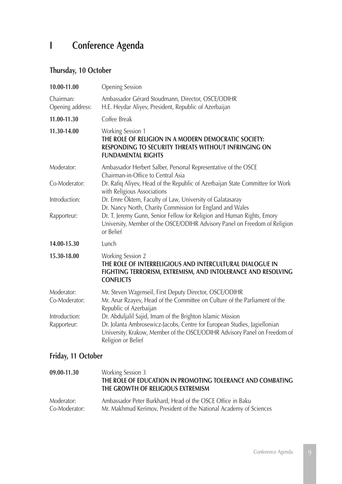## I Conference Agenda

## Thursday, 10 October

| 10.00-11.00                   | <b>Opening Session</b>                                                                                                                                                                                                                     |
|-------------------------------|--------------------------------------------------------------------------------------------------------------------------------------------------------------------------------------------------------------------------------------------|
| Chairman:<br>Opening address: | Ambassador Gérard Stoudmann, Director, OSCE/ODIHR<br>H.E. Heydar Aliyev, President, Republic of Azerbaijan                                                                                                                                 |
| 11.00-11.30                   | Coffee Break                                                                                                                                                                                                                               |
| 11.30-14.00                   | <b>Working Session 1</b><br>THE ROLE OF RELIGION IN A MODERN DEMOCRATIC SOCIETY:<br>RESPONDING TO SECURITY THREATS WITHOUT INFRINGING ON<br><b>FUNDAMENTAL RIGHTS</b>                                                                      |
| Moderator:                    | Ambassador Herbert Salber, Personal Representative of the OSCE<br>Chairman-in-Office to Central Asia                                                                                                                                       |
| Co-Moderator:                 | Dr. Rafiq Aliyev, Head of the Republic of Azerbaijan State Committee for Work<br>with Religious Associations                                                                                                                               |
| Introduction:                 | Dr. Emre Öktem, Faculty of Law, University of Galatasaray<br>Dr. Nancy North, Charity Commission for England and Wales                                                                                                                     |
| Rapporteur:                   | Dr. T. Jeremy Gunn, Senior Fellow for Religion and Human Rights, Emory<br>University, Member of the OSCE/ODIHR Advisory Panel on Freedom of Religion<br>or Belief                                                                          |
| 14.00-15.30                   | Lunch                                                                                                                                                                                                                                      |
| 15.30-18.00                   | <b>Working Session 2</b><br>THE ROLE OF INTERRELIGIOUS AND INTERCULTURAL DIALOGUE IN<br>FIGHTING TERRORISM, EXTREMISM, AND INTOLERANCE AND RESOLVING<br><b>CONFLICTS</b>                                                                   |
| Moderator:<br>Co-Moderator:   | Mr. Steven Wagenseil, First Deputy Director, OSCE/ODIHR<br>Mr. Anar Rzayev, Head of the Committee on Culture of the Parliament of the<br>Republic of Azerbaijan                                                                            |
| Introduction:<br>Rapporteur:  | Dr. Abduljalil Sajid, Imam of the Brighton Islamic Mission<br>Dr. Jolanta Ambrosewicz-Jacobs, Centre for European Studies, Jagiellonian<br>University, Krakow, Member of the OSCE/ODIHR Advisory Panel on Freedom of<br>Religion or Belief |

### Friday, 11 October

| 09.00-11.30   | <b>Working Session 3</b><br>THE ROLE OF EDUCATION IN PROMOTING TOLERANCE AND COMBATING<br>THE GROWTH OF RELIGIOUS EXTREMISM |
|---------------|-----------------------------------------------------------------------------------------------------------------------------|
| Moderator:    | Ambassador Peter Burkhard, Head of the OSCE Office in Baku                                                                  |
| Co-Moderator: | Mr. Makhmud Kerimov, President of the National Academy of Sciences                                                          |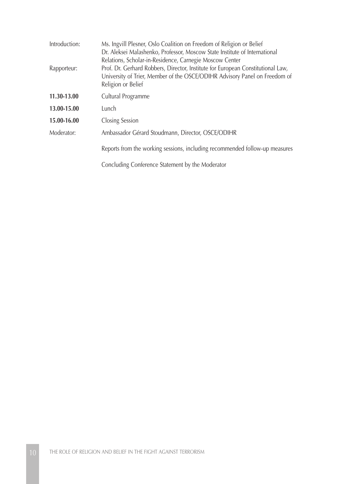| Introduction: | Ms. Ingvill Plesner, Oslo Coalition on Freedom of Religion or Belief                                                                                          |
|---------------|---------------------------------------------------------------------------------------------------------------------------------------------------------------|
|               | Dr. Aleksei Malashenko, Professor, Moscow State Institute of International                                                                                    |
|               | Relations, Scholar-in-Residence, Carnegie Moscow Center                                                                                                       |
| Rapporteur:   | Prof. Dr. Gerhard Robbers, Director, Institute for European Constitutional Law,<br>University of Trier, Member of the OSCE/ODIHR Advisory Panel on Freedom of |
|               | Religion or Belief                                                                                                                                            |
| 11.30-13.00   | Cultural Programme                                                                                                                                            |
| 13.00-15.00   | Lunch                                                                                                                                                         |
| 15.00-16.00   | <b>Closing Session</b>                                                                                                                                        |
| Moderator:    | Ambassador Gérard Stoudmann, Director, OSCE/ODIHR                                                                                                             |
|               | Reports from the working sessions, including recommended follow-up measures                                                                                   |
|               | Concluding Conference Statement by the Moderator                                                                                                              |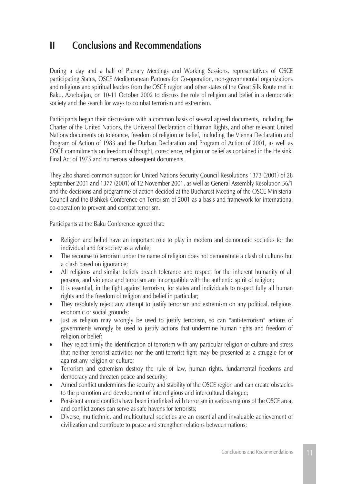## II Conclusions and Recommendations

During a day and a half of Plenary Meetings and Working Sessions, representatives of OSCE participating States, OSCE Mediterranean Partners for Co-operation, non-governmental organizations and religious and spiritual leaders from the OSCE region and other states of the Great Silk Route met in Baku, Azerbaijan, on 10-11 October 2002 to discuss the role of religion and belief in a democratic society and the search for ways to combat terrorism and extremism.

Participants began their discussions with a common basis of several agreed documents, including the Charter of the United Nations, the Universal Declaration of Human Rights, and other relevant United Nations documents on tolerance, freedom of religion or belief, including the Vienna Declaration and Program of Action of 1983 and the Durban Declaration and Program of Action of 2001, as well as OSCE commitments on freedom of thought, conscience, religion or belief as contained in the Helsinki Final Act of 1975 and numerous subsequent documents.

They also shared common support for United Nations Security Council Resolutions 1373 (2001) of 28 September 2001 and 1377 (2001) of 12 November 2001, as well as General Assembly Resolution 56/1 and the decisions and programme of action decided at the Bucharest Meeting of the OSCE Ministerial Council and the Bishkek Conference on Terrorism of 2001 as a basis and framework for international co-operation to prevent and combat terrorism.

Participants at the Baku Conference agreed that:

- Religion and belief have an important role to play in modern and democratic societies for the individual and for society as a whole;
- The recourse to terrorism under the name of religion does not demonstrate a clash of cultures but a clash based on ignorance;
- All religions and similar beliefs preach tolerance and respect for the inherent humanity of all persons, and violence and terrorism are incompatible with the authentic spirit of religion;
- It is essential, in the fight against terrorism, for states and individuals to respect fully all human rights and the freedom of religion and belief in particular;
- They resolutely reject any attempt to justify terrorism and extremism on any political, religious, economic or social grounds;
- Just as religion may wrongly be used to justify terrorism, so can "anti-terrorism" actions of governments wrongly be used to justify actions that undermine human rights and freedom of religion or belief;
- They reject firmly the identification of terrorism with any particular religion or culture and stress that neither terrorist activities nor the anti-terrorist fight may be presented as a struggle for or against any religion or culture;
- Terrorism and extremism destroy the rule of law, human rights, fundamental freedoms and democracy and threaten peace and security;
- Armed conflict undermines the security and stability of the OSCE region and can create obstacles to the promotion and development of interreligious and intercultural dialogue;
- Persistent armed conflicts have been interlinked with terrorism in various regions of the OSCE area, and conflict zones can serve as safe havens for terrorists;
- Diverse, multiethnic, and multicultural societies are an essential and invaluable achievement of civilization and contribute to peace and strengthen relations between nations;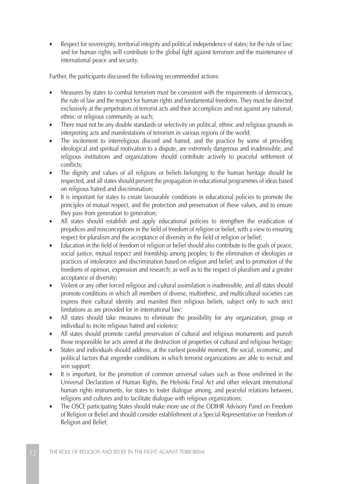Respect for sovereignty, territorial integrity and political independence of states; for the rule of law; and for human rights will contribute to the global fight against terrorism and the maintenance of international peace and security.

Further, the participants discussed the following recommended actions:

- Measures by states to combat terrorism must be consistent with the requirements of democracy, the rule of law and the respect for human rights and fundamental freedoms. They must be directed exclusively at the perpetrators of terrorist acts and their accomplices and not against any national, ethnic or religious community as such;
- There must not be any double standards or selectivity on political, ethnic and religious grounds in interpreting acts and manifestations of terrorism in various regions of the world;
- The incitement to interreligious discord and hatred, and the practice by some of providing ideological and spiritual motivation to a dispute, are extremely dangerous and inadmissible, and religious institutions and organizations should contribute actively to peaceful settlement of conflicts;
- The dignity and values of all religions or beliefs belonging to the human heritage should be respected, and all states should prevent the propagation in educational programmes of ideas based on religious hatred and discrimination;
- It is important for states to create favourable conditions in educational policies to promote the principles of mutual respect, and the protection and preservation of these values, and to ensure they pass from generation to generation;
- All states should establish and apply educational policies to strengthen the eradication of prejudices and misconceptions in the field of freedom of religion or belief, with a view to ensuring respect for pluralism and the acceptance of diversity in the field of religion or belief;
- Education in the field of freedom of religion or belief should also contribute to the goals of peace, social justice, mutual respect and friendship among peoples; to the elimination of ideologies or practices of intolerance and discrimination based on religion and belief; and to promotion of the freedoms of opinion, expression and research; as well as to the respect of pluralism and a greater acceptance of diversity;
- Violent or any other forced religious and cultural assimilation is inadmissible, and all states should promote conditions in which all members of diverse, multiethnic, and multicultural societies can express their cultural identity and manifest their religious beliefs, subject only to such strict limitations as are provided for in international law;
- All states should take measures to eliminate the possibility for any organization, group or individual to incite religious hatred and violence;
- All states should promote careful preservation of cultural and religious monuments and punish those responsible for acts aimed at the destruction of properties of cultural and religious heritage;
- States and individuals should address, at the earliest possible moment, the social, economic, and political factors that engender conditions in which terrorist organizations are able to recruit and win support;
- It is important, for the promotion of common universal values such as those enshrined in the Universal Declaration of Human Rights, the Helsinki Final Act and other relevant international human rights instruments, for states to foster dialogue among, and peaceful relations between, religions and cultures and to facilitate dialogue with religious organizations;
- The OSCE participating States should make more use of the ODIHR Advisory Panel on Freedom of Religion or Belief and should consider establishment of a Special Representative on Freedom of Religion and Belief;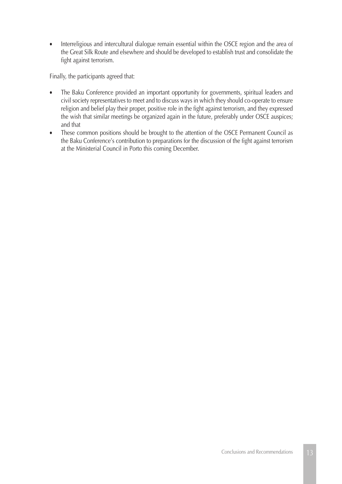• Interreligious and intercultural dialogue remain essential within the OSCE region and the area of the Great Silk Route and elsewhere and should be developed to establish trust and consolidate the fight against terrorism.

Finally, the participants agreed that:

- The Baku Conference provided an important opportunity for governments, spiritual leaders and civil society representatives to meet and to discuss ways in which they should co-operate to ensure religion and belief play their proper, positive role in the fight against terrorism, and they expressed the wish that similar meetings be organized again in the future, preferably under OSCE auspices; and that
- These common positions should be brought to the attention of the OSCE Permanent Council as the Baku Conference's contribution to preparations for the discussion of the fight against terrorism at the Ministerial Council in Porto this coming December.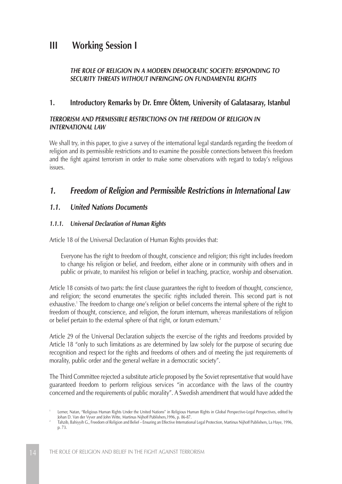## III Working Session I

#### THE ROLE OF RELIGION IN A MODERN DEMOCRATIC SOCIETY: RESPONDING TO SECURITY THREATS WITHOUT INFRINGING ON FUNDAMENTAL RIGHTS

#### 1. Introductory Remarks by Dr. Emre Öktem, University of Galatasaray, Istanbul

#### TERRORISM AND PERMISSIBLE RESTRICTIONS ON THE FREEDOM OF RELIGION IN INTERNATIONAL LAW

We shall try, in this paper, to give a survey of the international legal standards regarding the freedom of religion and its permissible restrictions and to examine the possible connections between this freedom and the fight against terrorism in order to make some observations with regard to today's religious issues.

#### 1. Freedom of Religion and Permissible Restrictions in International Law

#### 1.1. United Nations Documents

#### 1.1.1. Universal Declaration of Human Rights

Article 18 of the Universal Declaration of Human Rights provides that:

Everyone has the right to freedom of thought, conscience and religion; this right includes freedom to change his religion or belief, and freedom, either alone or in community with others and in public or private, to manifest his religion or belief in teaching, practice, worship and observation.

Article 18 consists of two parts: the first clause guarantees the right to freedom of thought, conscience, and religion; the second enumerates the specific rights included therein. This second part is not exhaustive.<sup>1</sup> The freedom to change one's religion or belief concerns the internal sphere of the right to freedom of thought, conscience, and religion, the forum internum, whereas manifestations of religion or belief pertain to the external sphere of that right, or forum externum.<sup>2</sup>

Article 29 of the Universal Declaration subjects the exercise of the rights and freedoms provided by Article 18 "only to such limitations as are determined by law solely for the purpose of securing due recognition and respect for the rights and freedoms of others and of meeting the just requirements of morality, public order and the general welfare in a democratic society".

The Third Committee rejected a substitute article proposed by the Soviet representative that would have guaranteed freedom to perform religious services "in accordance with the laws of the country concerned and the requirements of public morality". A Swedish amendment that would have added the

<sup>1</sup> Lerner, Natan, "Religious Human Rights Under the United Nations" in Religious Human Rights in Global Perspective-Legal Perspectives, edited by Johan D. Van der Vyver and John Witte, Martinus Nijhoff Publishers,1996, p. 86-87.

<sup>2</sup> Tahzib, Bahiyyih G., Freedom of Religion and Belief – Ensuring an Effective International Legal Protection, Martinus Nijhoff Publishers, La Haye, 1996, p. 73.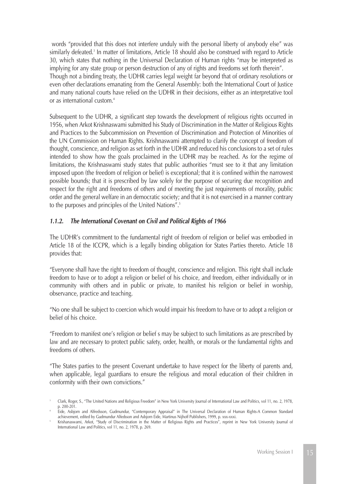words "provided that this does not interfere unduly with the personal liberty of anybody else" was similarly defeated.<sup>3</sup> In matter of limitations, Article 18 should also be construed with regard to Article 30, which states that nothing in the Universal Declaration of Human rights "may be interpreted as implying for any state group or person destruction of any of rights and freedoms set forth therein". Though not a binding treaty, the UDHR carries legal weight far beyond that of ordinary resolutions or even other declarations emanating from the General Assembly: both the International Court of Justice and many national courts have relied on the UDHR in their decisions, either as an interpretative tool or as international custom<sup>4</sup>

Subsequent to the UDHR, a significant step towards the development of religious rights occurred in 1956, when Arkot Krishnaswami submitted his Study of Discrimination in the Matter of Religious Rights and Practices to the Subcommission on Prevention of Discrimination and Protection of Minorities of the UN Commission on Human Rights. Krishnaswami attempted to clarify the concept of freedom of thought, conscience, and religion as set forth in the UDHR and reduced his conclusions to a set of rules intended to show how the goals proclaimed in the UDHR may be reached. As for the regime of limitations, the Krishnaswami study states that public authorities "must see to it that any limitation imposed upon (the freedom of religion or belief) is exceptional; that it is confined within the narrowest possible bounds; that it is prescribed by law solely for the purpose of securing due recognition and respect for the right and freedoms of others and of meeting the just requirements of morality, public order and the general welfare in an democratic society; and that it is not exercised in a manner contrary to the purposes and principles of the United Nations".<sup>5</sup>

#### 1.1.2. The International Covenant on Civil and Political Rights of 1966

The UDHR's commitment to the fundamental right of freedom of religion or belief was embodied in Article 18 of the ICCPR, which is a legally binding obligation for States Parties thereto. Article 18 provides that:

"Everyone shall have the right to freedom of thought, conscience and religion. This right shall include freedom to have or to adopt a religion or belief of his choice, and freedom, either individually or in community with others and in public or private, to manifest his religion or belief in worship, observance, practice and teaching.

"No one shall be subject to coercion which would impair his freedom to have or to adopt a religion or belief of his choice.

"Freedom to manifest one's religion or belief s may be subject to such limitations as are prescribed by law and are necessary to protect public safety, order, health, or morals or the fundamental rights and freedoms of others.

"The States parties to the present Covenant undertake to have respect for the liberty of parents and, when applicable, legal guardians to ensure the religious and moral education of their children in conformity with their own convictions."

<sup>3</sup> Clark, Roger, S., "The United Nations and Religious Freedom" in New York University Journal of International Law and Politics, vol 11, no. 2, 1978, p. 200-201.

<sup>4</sup> Eide, Asbjorn and Alfredsson, Gudmundur, "Contemporary Appraisal" in The Universal Declaration of Human Rights-A Common Standard achievement, edited by Gudmundur Alfedsson and Asbjorn Eide, Martinus Nijhoff Publishers, 1999, p. xxx-xxxi.

<sup>5</sup> Krishanaswami, Arkot, "Study of Discrimination in the Matter of Religious Rights and Practices", reprint in New York University Journal of International Law and Politics, vol 11, no. 2, 1978, p. 269.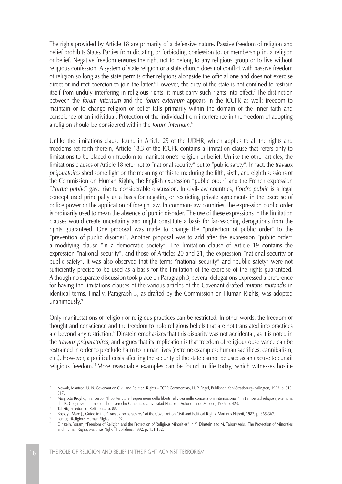The rights provided by Article 18 are primarily of a defensive nature. Passive freedom of religion and belief prohibits States Parties from dictating or forbidding confession to, or membership in, a religion or belief. Negative freedom ensures the right not to belong to any religious group or to live without religious confession. A system of state religion or a state church does not conflict with passive freedom of religion so long as the state permits other religions alongside the official one and does not exercise direct or indirect coercion to join the latter.<sup>6</sup> However, the duty of the state is not confined to restrain itself from unduly interfering in religious rights: it must carry such rights into effect.<sup>7</sup> The distinction between the forum internum and the forum externum appears in the ICCPR as well: freedom to maintain or to change religion or belief falls primarily within the domain of the inner faith and conscience of an individual. Protection of the individual from interference in the freedom of adopting a religion should be considered within the forum internum.<sup>8</sup>

Unlike the limitations clause found in Article 29 of the UDHR, which applies to all the rights and freedoms set forth therein, Article 18.3 of the ICCPR contains a limitation clause that refers only to limitations to be placed on freedom to manifest one's religion or belief. Unlike the other articles, the limitations clauses of Article 18 refer not to "national security" but to "public safety". In fact, the travaux préparatoires shed some light on the meaning of this term: during the fifth, sixth, and eighth sessions of the Commission on Human Rights, the English expression "public order" and the French expression "l'ordre public" gave rise to considerable discussion. In civil-law countries, l'ordre public is a legal concept used principally as a basis for negating or restricting private agreements in the exercise of police power or the application of foreign law. In common-law countries, the expression public order is ordinarily used to mean the absence of public disorder. The use of these expressions in the limitation clauses would create uncertainty and might constitute a basis for far-reaching derogations from the rights guaranteed. One proposal was made to change the "protection of public order" to the "prevention of public disorder". Another proposal was to add after the expression "public order" a modifying clause "in a democratic society". The limitation clause of Article 19 contains the expression "national security", and those of Articles 20 and 21, the expression "national security or public safety". It was also observed that the terms "national security" and "public safety" were not sufficiently precise to be used as a basis for the limitation of the exercise of the rights guaranteed. Although no separate discussion took place on Paragraph 3, several delegations expressed a preference for having the limitations clauses of the various articles of the Covenant drafted mutatis mutandis in identical terms. Finally, Paragraph 3, as drafted by the Commission on Human Rights, was adopted unanimously.9

Only manifestations of religion or religious practices can be restricted. In other words, the freedom of thought and conscience and the freedom to hold religious beliefs that are not translated into practices are beyond any restriction.<sup>10</sup> Dinstein emphasizes that this disparity was not accidental, as it is noted in the travaux préparatoires, and argues that its implication is that freedom of religious observance can be restrained in order to preclude harm to human lives (extreme examples: human sacrifices, cannibalism, etc.). However, a political crisis affecting the security of the state cannot be used as an excuse to curtail religious freedom.<sup>11</sup> More reasonable examples can be found in life today, which witnesses hostile

<sup>6</sup> Nowak, Manfred, U. N. Covenant on Civil and Political Rights – CCPR Commentary, N. P. Engel, Publisher, Kehl-Strasbourg- Arlington, 1993, p. 313, 317.

Margiotta Broglio, Francesco, "Il contenuto e l'espressione della libertí religiosa nelle concenzioni internazionali" in La libertad religiosa, Memoria del IX. Congresso Internacional de Derecho Canonico, Universitad Nacional Autonoma de Mexico, 1996, p. 423.

Tahzib, Freedom of Religion..., p. 88.

<sup>9</sup> Bossuyt, Marc J., Guide to the "Travaux préparatoires" of the Covenant on Civil and Political Rights, Martinus Nijhoff, 1987, p. 365-367.

<sup>&</sup>lt;sup>10</sup> Lerner, "Religious Human Rights..., p. 92.<br><sup>11</sup> Dinstain Veram "Freedom of Beligion and

<sup>11</sup> Dinstein, Yoram, "Freedom of Religion and the Protection of Religious Minorities" in Y. Dinstein and M. Tabory (eds.) The Protection of Minorities and Human Rights, Martinus Nijhoff Publishers, 1992, p. 151-152.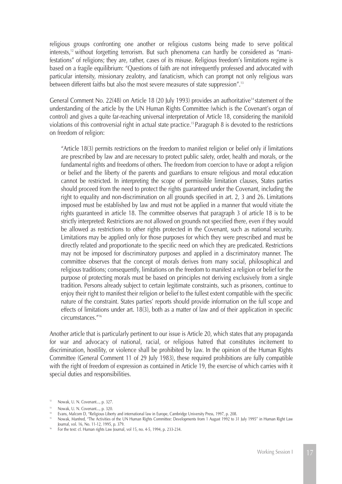religious groups confronting one another or religious customs being made to serve political interests,<sup>12</sup> without forgetting terrorism. But such phenomena can hardly be considered as "manifestations" of religions; they are, rather, cases of its misuse. Religious freedom's limitations regime is based on a fragile equilibrium: "Questions of faith are not infrequently professed and advocated with particular intensity, missionary zealotry, and fanaticism, which can prompt not only religious wars between different faiths but also the most severe measures of state suppression".13

General Comment No. 22(48) on Article 18 (20 July 1993) provides an authoritative<sup>14</sup> statement of the understanding of the article by the UN Human Rights Committee (which is the Covenant's organ of control) and gives a quite far-reaching universal interpretation of Article 18, considering the manifold violations of this controversial right in actual state practice.15 Paragraph 8 is devoted to the restrictions on freedom of religion:

"Article 18(3) permits restrictions on the freedom to manifest religion or belief only if limitations are prescribed by law and are necessary to protect public safety, order, health and morals, or the fundamental rights and freedoms of others. The freedom from coercion to have or adopt a religion or belief and the liberty of the parents and guardians to ensure religious and moral education cannot be restricted. In interpreting the scope of permissible limitation clauses, States parties should proceed from the need to protect the rights guaranteed under the Covenant, including the right to equality and non-discrimination on all grounds specified in art. 2, 3 and 26. Limitations imposed must be established by law and must not be applied in a manner that would vitiate the rights guaranteed in article 18. The committee observes that paragraph 3 of article 18 is to be strictly interpreted: Restrictions are not allowed on grounds not specified there, even if they would be allowed as restrictions to other rights protected in the Covenant, such as national security. Limitations may be applied only for those purposes for which they were prescribed and must be directly related and proportionate to the specific need on which they are predicated. Restrictions may not be imposed for discriminatory purposes and applied in a discriminatory manner. The committee observes that the concept of morals derives from many social, philosophical and religious traditions; consequently, limitations on the freedom to manifest a religion or belief for the purpose of protecting morals must be based on principles not deriving exclusively from a single tradition. Persons already subject to certain legitimate constraints, such as prisoners, continue to enjoy their right to manifest their religion or belief to the fullest extent compatible with the specific nature of the constraint. States parties' reports should provide information on the full scope and effects of limitations under art. 18(3), both as a matter of law and of their application in specific circumstances."16

Another article that is particularly pertinent to our issue is Article 20, which states that any propaganda for war and advocacy of national, racial, or religious hatred that constitutes incitement to discrimination, hostility, or violence shall be prohibited by law. In the opinion of the Human Rights Committee (General Comment 11 of 29 July 1983), these required prohibitions are fully compatible with the right of freedom of expression as contained in Article 19, the exercise of which carries with it special duties and responsibilities.

 $12$  Nowak, U. N. Covenant..., p. 327.

<sup>&</sup>lt;sup>13</sup> Nowak, U. N. Covenant..., p. 320.

<sup>14</sup> Evans, Malcom D, "Religious Liberty and international law in Europe, Cambridge University Press, 1997, p. 208.

 $^{15}$  Nowak, Manfred, "The Activities of the UN Human Rights Committee: Developments from 1 August 1992 to 31 July 1995" in Human Right Law Journal, vol. 16, No. 11-12, 1995, p. 379.

<sup>16</sup> For the text: cf. Human rights Law Journal, vol 15, no. 4-5, 1994, p. 233-234.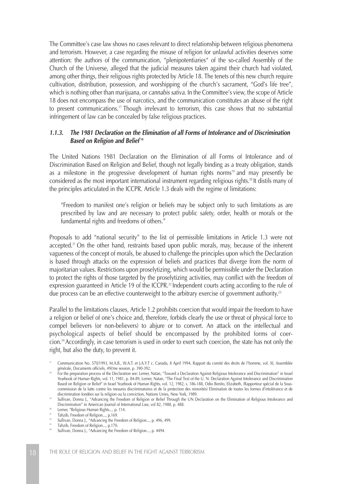The Committee's case law shows no cases relevant to direct relationship between religious phenomena and terrorism. However, a case regarding the misuse of religion for unlawful activities deserves some attention: the authors of the communication, "plenipotentiaries" of the so-called Assembly of the Church of the Universe, alleged that the judicial measures taken against their church had violated, among other things, their religious rights protected by Article 18. The tenets of this new church require cultivation, distribution, possession, and worshipping of the church's sacrament, "God's life tree", which is nothing other than marijuana, or cannabis sativa. In the Committee's view, the scope of Article 18 does not encompass the use of narcotics, and the communication constitutes an abuse of the right to present communications.<sup>17</sup> Though irrelevant to terrorism, this case shows that no substantial infringement of law can be concealed by false religious practices.

#### 1.1.3. The 1981 Declaration on the Elimination of all Forms of Intolerance and of Discrimination Based on Religion and Belief<sup>18</sup>

The United Nations 1981 Declaration on the Elimination of all Forms of Intolerance and of Discrimination Based on Religion and Belief, though not legally binding as a treaty obligation, stands as a milestone in the progressive development of human rights norms<sup>19</sup> and may presently be considered as the most important international instrument regarding religious rights.20 It distils many of the principles articulated in the ICCPR. Article 1.3 deals with the regime of limitations:

"Freedom to manifest one's religion or beliefs may be subject only to such limitations as are prescribed by law and are necessary to protect public safety, order, health or morals or the fundamental rights and freedoms of others."

Proposals to add "national security" to the list of permissible limitations in Article 1.3 were not accepted.<sup>21</sup> On the other hand, restraints based upon public morals, may, because of the inherent vagueness of the concept of morals, be abused to challenge the principles upon which the Declaration is based through attacks on the expression of beliefs and practices that diverge from the norm of majoritarian values. Restrictions upon proselytizing, which would be permissible under the Declaration to protect the rights of those targeted by the proselytizing activities, may conflict with the freedom of expression guaranteed in Article 19 of the ICCPR.<sup>22</sup> Independent courts acting according to the rule of due process can be an effective counterweight to the arbitrary exercise of government authority.<sup>23</sup>

Parallel to the limitations clauses, Article 1.2 prohibits coercion that would impair the freedom to have a religion or belief of one's choice and, therefore, forbids clearly the use or threat of physical force to compel believers (or non-believers) to abjure or to convert. An attack on the intellectual and psychological aspects of belief should be encompassed by the prohibited forms of coercion.24Accordingly, in case terrorism is used in order to exert such coercion, the state has not only the right, but also the duty, to prevent it.

<sup>17</sup> Communication No. 570/1993, M.A.B., W.A.T. et J.A.Y.T c. Canada, 8 April 1994, Rapport du comité des droits de l'homme, vol. XI, Assemblée générale, Documents officiels, 49ème session, p. 390-392.

For the preparation process of the Declaration see: Lerner, Natan, "Toward a Declaration Against Religious Intolerance and Discrimination" in Israel Yearbook of Human Rights, vol. 11, 1981, p. 84-89, Lerner, Natan, "The Final Text of the U. N: Declaration Against Intolerance and Discrimination Based on Religion or Belief" in Israel Yearbook of Human Rights, vol. 12, 1982, s. 186-188, Odio Benito, Elizabeth, (Rapporteur spécial de la Souscommission de la lutte contre les mesures discriminatoires et de la protection des minorités) Elimination de toutes les formes d'intolérance et de discrimination fondées sur la religion ou la conviction, Nations Unies, New York, 1989.

Sullivan, Donna J., "Advancing the Freedom of Religion or Belief Through the UN Declaration on the Elimination of Religious Intolerance and Discrimination" in American Journal of International Law, vol 82, 1988, p. 488.

<sup>&</sup>lt;sup>20</sup> Lerner, "Religious Human Rights..., p. 114.

 $\frac{21}{21}$  Tahzib, Freedom of Religion..., p.169.

<sup>&</sup>lt;sup>22</sup> Sullivan, Donna J., "Advancing the Freedom of Religion..., p. 496, 499.<br><sup>23</sup> Tabzih Eroodom of Poligion.... p. 170

Tahzib, Freedom of Religion..., p.170.

<sup>&</sup>lt;sup>24</sup> Sullivan, Donna J., "Advancing the Freedom of Religion..., p. 4494.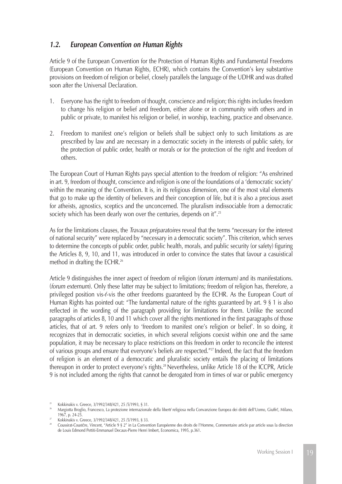#### 1.2. European Convention on Human Rights

Article 9 of the European Convention for the Protection of Human Rights and Fundamental Freedoms (European Convention on Human Rights, ECHR), which contains the Convention's key substantive provisions on freedom of religion or belief, closely parallels the language of the UDHR and was drafted soon after the Universal Declaration.

- 1. Everyone has the right to freedom of thought, conscience and religion; this rights includes freedom to change his religion or belief and freedom, either alone or in community with others and in public or private, to manifest his religion or belief, in worship, teaching, practice and observance.
- 2. Freedom to manifest one's religion or beliefs shall be subject only to such limitations as are prescribed by law and are necessary in a democratic society in the interests of public safety, for the protection of public order, health or morals or for the protection of the right and freedom of others.

The European Court of Human Rights pays special attention to the freedom of religion: "As enshrined in art. 9, freedom of thought, conscience and religion is one of the foundations of a 'democratic society' within the meaning of the Convention. It is, in its religious dimension, one of the most vital elements that go to make up the identity of believers and their conception of life, but it is also a precious asset for atheists, agnostics, sceptics and the unconcerned. The pluralism indissociable from a democratic society which has been dearly won over the centuries, depends on it".<sup>25</sup>

As for the limitations clauses, the *Travaux préparatoires* reveal that the terms "necessary for the interest of national security" were replaced by "necessary in a democratic society". This criterion, which serves to determine the concepts of public order, public health, morals, and public security (or safety) figuring the Articles 8, 9, 10, and 11, was introduced in order to convince the states that favour a casuistical method in drafting the ECHR.<sup>26</sup>

Article 9 distinguishes the inner aspect of freedom of religion (forum internum) and its manifestations. (forum externum). Only these latter may be subject to limitations; freedom of religion has, therefore, a privileged position vis-f-vis the other freedoms guaranteed by the ECHR. As the European Court of Human Rights has pointed out: "The fundamental nature of the rights guaranteed by art. 9 § 1 is also reflected in the wording of the paragraph providing for limitations for them. Unlike the second paragraphs of articles 8, 10 and 11 which cover all the rights mentioned in the first paragraphs of those articles, that of art. 9 refers only to 'freedom to manifest one's religion or belief'. In so doing, it recognizes that in democratic societies, in which several religions coexist within one and the same population, it may be necessary to place restrictions on this freedom in order to reconcile the interest of various groups and ensure that everyone's beliefs are respected."27 Indeed, the fact that the freedom of religion is an element of a democratic and pluralistic society entails the placing of limitations thereupon in order to protect everyone's rights.<sup>28</sup> Nevertheless, unlike Article 18 of the ICCPR, Article 9 is not included among the rights that cannot be derogated from in times of war or public emergency

<sup>25</sup> Kokkinakis v. Greece, 3/1992/348/421, 25 /5/1993, § 31.

Margiotta Broglio, Francesco, La protezione internazionale della libertí religiosa nella Convanzione Europea dei diritti dell'Uomo, Giuffrč, Milano, 1967, p. 24-25.

<sup>27</sup> Kokkinakis v. Greece, 3/1992/348/421, 25 /5/1993, § 33.

Coussirat-Coustère, Vincent, "Article 9 § 2" in La Convention Européenne des droits de l'Homme, Commentaire article par article sous la direction de Louis Edmond Pettiti-Emmanuel Decaux-Pierre Henri Imbert, Economica, 1995, p.361.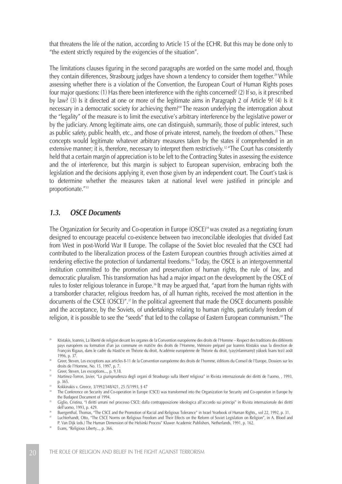that threatens the life of the nation, according to Article 15 of the ECHR. But this may be done only to "the extent strictly required by the exigencies of the situation".

The limitations clauses figuring in the second paragraphs are worded on the same model and, though they contain differences, Strasbourg judges have shown a tendency to consider them together.<sup>29</sup> While assessing whether there is a violation of the Convention, the European Court of Human Rights poses four major questions: (1) Has there been interference with the rights concerned? (2) If so, is it prescribed by law? (3) Is it directed at one or more of the legitimate aims in Paragraph 2 of Article 9? (4) Is it necessary in a democratic society for achieving them?<sup>30</sup> The reason underlying the interrogation about the "legality" of the measure is to limit the executive's arbitrary interference by the legislative power or by the judiciary. Among legitimate aims, one can distinguish, summarily, those of public interest, such as public safety, public health, etc., and those of private interest, namely, the freedom of others.<sup>31</sup> These concepts would legitimate whatever arbitrary measures taken by the states if comprehended in an extensive manner; it is, therefore, necessary to interpret them restrictively.<sup>32</sup> "The Court has consistently held that a certain margin of appreciation is to be left to the Contracting States in assessing the existence and the of interference, but this margin is subject to European supervision, embracing both the legislation and the decisions applying it, even those given by an independent court. The Court's task is to determine whether the measures taken at national level were justified in principle and proportionate."33

#### 1.3. OSCE Documents

The Organization for Security and Co-operation in Europe (OSCE)<sup>34</sup> was created as a negotiating forum designed to encourage peaceful co-existence between two irreconcilable ideologies that divided East from West in post-World War II Europe. The collapse of the Soviet bloc revealed that the CSCE had contributed to the liberalization process of the Eastern European countries through activities aimed at rendering effective the protection of fundamental freedoms.<sup>35</sup> Today, the OSCE is an intergovernmental institution committed to the promotion and preservation of human rights, the rule of law, and democratic pluralism. This transformation has had a major impact on the development by the OSCE of rules to foster religious tolerance in Europe.<sup>36</sup> It may be argued that, "apart from the human rights with a transborder character, religious freedom has, of all human rights, received the most attention in the documents of the CSCE (OSCE)".37 In the political agreement that made the OSCE documents possible and the acceptance, by the Soviets, of undertakings relating to human rights, particularly freedom of religion, it is possible to see the "seeds" that led to the collapse of Eastern European communism.38 The

Evans, "Religious Liberty..., p. 366.

<sup>29</sup> Ktistakis, Ioannis, La liberté de religion devant les organes de la Convention européenne des droits de l'Homme – Respect des traditions des différents pays européens ou formation d'un jus commune en matière des droits de l'Homme, Mémoire préparé par Ioannis Ktistakis sous la direction de François Rigaux, dans le cadre du Mastčre en Théorie du droit, Académie européenne de Théorie du droit, (yayýnlanmamýt yüksek lisans tezi) août 1996, p. 37.

Greer, Steven, Les exceptions aux articles 8-11 de la Convention européenne des droits de l'homme, éditions du Conseil de l'Europe, Dossiers sur les droits de l'Homme, No. 15, 1997, p. 7.

 $31$  Greer, Steven, Les exceptions..., p. 9,18.

Martinez-Torron, Javier, "La giurisprudenza degli organi di Strasburgo sulla libertí religiosa" in Rivista internazionale dei diritti de l'uomo, , 1993, p. 365.

<sup>33</sup> Kokkinakis v. Greece, 3/1992/348/421, 25 /5/1993, § 47

The Conference on Security and Co-operation in Europe (CSCE) was transformed into the Organization for Security and Co-operation in Europe by the Budapest Document of 1994.

<sup>35</sup> Giglio, Cristina, "I diritti umani nel processo CSCE: dalla contrapposizione ideologica all'accordo sui principi" in Rivista internazionale dei diritti dell'uomo, 1993, p. 429.

<sup>&</sup>lt;sup>36</sup> Buergenthal, Thomas, "The CSCE and the Promotion of Racial and Religious Tolerance" in Israel Yearbook of Human Rights,, vol 22, 1992, p. 31.<br><sup>37</sup> Lughtsphandt, Otto (The CSCE Names on Religious Freedom and Their Effe Luchterhandt, Otto, "The CSCE Norms on Religious Freedom and Their Effects on the Reform of Soviet Legislation on Religion", in A. Bloed and

P. Van Dijk (eds.) The Human Dimension of the Helsinki Process" Kluwer Academic Publishers, Netherlands, 1991, p. 162.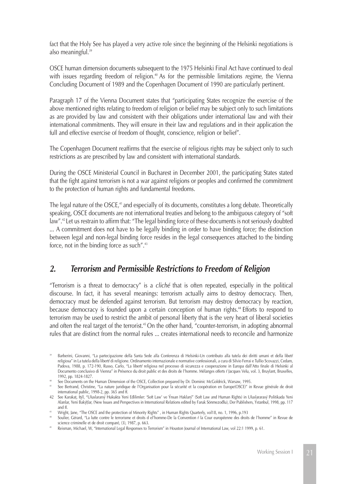fact that the Holy See has played a very active role since the beginning of the Helsinki negotiations is also meaningful.<sup>39</sup>

OSCE human dimension documents subsequent to the 1975 Helsinki Final Act have continued to deal with issues regarding freedom of religion.<sup>40</sup> As for the permissible limitations regime, the Vienna Concluding Document of 1989 and the Copenhagen Document of 1990 are particularly pertinent.

Paragraph 17 of the Vienna Document states that "participating States recognize the exercise of the above mentioned rights relating to freedom of religion or belief may be subject only to such limitations as are provided by law and consistent with their obligations under international law and with their international commitments. They will ensure in their law and regulations and in their application the full and effective exercise of freedom of thought, conscience, religion or belief".

The Copenhagen Document reaffirms that the exercise of religious rights may be subject only to such restrictions as are prescribed by law and consistent with international standards.

During the OSCE Ministerial Council in Bucharest in December 2001, the participating States stated that the fight against terrorism is not a war against religions or peoples and confirmed the commitment to the protection of human rights and fundamental freedoms.

The legal nature of the OSCE,<sup>41</sup> and especially of its documents, constitutes a long debate. Theoretically speaking, OSCE documents are not international treaties and belong to the ambiguous category of "soft law".42 Let us restrain to affirm that: "The legal binding force of these documents is not seriously doubted ... A commitment does not have to be legally binding in order to have binding force; the distinction between legal and non-legal binding force resides in the legal consequences attached to the binding force, not in the binding force as such".<sup>43</sup>

#### 2. Terrorism and Permissible Restrictions to Freedom of Religion

"Terrorism is a threat to democracy" is a cliché that is often repeated, especially in the political discourse. In fact, it has several meanings: terrorism actually aims to destroy democracy. Then, democracy must be defended against terrorism. But terrorism may destroy democracy by reaction, because democracy is founded upon a certain conception of human rights.<sup>44</sup> Efforts to respond to terrorism may be used to restrict the ambit of personal liberty that is the very heart of liberal societies and often the real target of the terrorist.<sup>45</sup> On the other hand, "counter-terrorism, in adopting abnormal rules that are distinct from the normal rules ... creates international needs to reconcile and harmonize

Barberini, Giovanni, "La partecipazione della Santa Sede alla Conferenza di Helsinki-Un contributo alla tutela dei diritti umani et della libetí religiosa" in La tutela della libertí di religione. Ordinamento internazionale e normative confessionali, a cura di Silvio Ferrai e Tullio Scovazzi, Cedam, Padova, 1988, p. 172-190, Russo, Carlo, "La libertí religiosa nel processo di sicurezza e cooperazione in Europa dall'Atto finale di Helsinki al Documento conclusivo di Vienna" in Présence du droit public et des droits de l'homme. Mélanges offerts r Jacques Velu, vol. 3, Bruylant, Bruxelles, 1992, pp. 1824-1827.

See Documents on the Human Dimension of the OSCE, Collection prepared by Dr. Dominic McGoldrick, Warsaw, 1995.

See Bertrand, Christine, "La nature juridique de l'Organisation pour la sécurité et la coopération en Europe(OSCE)" in Revue générale de droit international public, 1998-2, pp. 365 and ff.

<sup>42</sup> See Karakat, Itýl, "Uluslararsý Hukukta Yeni Eđilimler: 'Soft Law' ve Ýnsan Haklarý" (Soft Law and Human Rights) in Uluslararasý Politikada Yeni Alanlar, Yeni Bakýþlar, (New Issues and Perspectives in International Relations edited by Faruk Sönmezoðlu), Der Publishers, Ýstanbul, 1998, pp. 117 and ff.

<sup>43</sup> Wright, Jane, "The OSCE and the protection of Minority Rights" , in Human Rights Quarterly, vol18, no. 1, 1996, p.193

Soulier, Gérard, "La lutte contre le terrorisme et droits d el'homme-De la Convention f la Cour européenne des droits de l'homme" in Revue de science criminelle et de droit comparé, (3), 1987, p. 663.

<sup>45</sup> Reisman, Michael, W, "International Legal Responses to Terrorism" in Houston Journal of International Law, vol 22:1 1999, p. 61.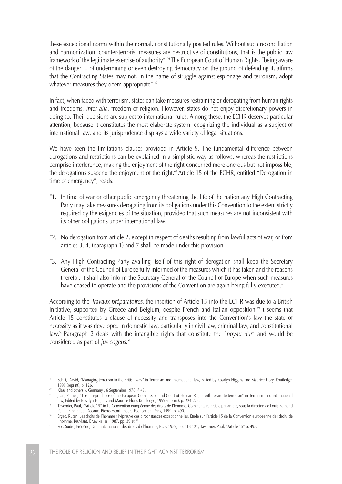these exceptional norms within the normal, constitutionally posited rules. Without such reconciliation and harmonization, counter-terrorist measures are destructive of constitutions, that is the public law framework of the legitimate exercise of authority".<sup>46</sup> The European Court of Human Rights, "being aware of the danger ... of undermining or even destroying democracy on the ground of defending it, affirms that the Contracting States may not, in the name of struggle against espionage and terrorism, adopt whatever measures they deem appropriate".<sup>47</sup>

In fact, when faced with terrorism, states can take measures restraining or derogating from human rights and freedoms, inter alia, freedom of religion. However, states do not enjoy discretionary powers in doing so. Their decisions are subject to international rules. Among these, the ECHR deserves particular attention, because it constitutes the most elaborate system recognizing the individual as a subject of international law, and its jurisprudence displays a wide variety of legal situations.

We have seen the limitations clauses provided in Article 9. The fundamental difference between derogations and restrictions can be explained in a simplistic way as follows: whereas the restrictions comprise interference, making the enjoyment of the right concerned more onerous but not impossible, the derogations suspend the enjoyment of the right.<sup>48</sup> Article 15 of the ECHR, entitled "Derogation in time of emergency", reads:

- "1. In time of war or other public emergency threatening the life of the nation any High Contracting Party may take measures derogating from its obligations under this Convention to the extent strictly required by the exigencies of the situation, provided that such measures are not inconsistent with its other obligations under international law.
- "2. No derogation from article 2, except in respect of deaths resulting from lawful acts of war, or from articles 3, 4, (paragraph 1) and 7 shall be made under this provision.
- "3. Any High Contracting Party availing itself of this right of derogation shall keep the Secretary General of the Council of Europe fully informed of the measures which it has taken and the reasons therefor. It shall also inform the Secretary General of the Council of Europe when such measures have ceased to operate and the provisions of the Convention are again being fully executed."

According to the Travaux préparatoires, the insertion of Article 15 into the ECHR was due to a British initiative, supported by Greece and Belgium, despite French and Italian opposition.<sup>49</sup> It seems that Article 15 constitutes a clause of necessity and transposes into the Convention's law the state of necessity as it was developed in domestic law, particularly in civil law, criminal law, and constitutional law.<sup>50</sup> Paragraph 2 deals with the intangible rights that constitute the "noyau dur" and would be considered as part of *jus cogens*.<sup>51</sup>

- Klass and others v. Germany , 6 September 1978, § 49.
- <sup>48</sup> Jean, Patrice, "The jurisprudence of the European Commission and Court of Human Rights with regard to terrorism" in Terrorism and international law, Edited by Rosalyn Higgins and Maurice Flory, Routledge, 1999 (reprint), p. 224-225.

Schiff, David, "Managing terrorism in the British way" in Terrorism and international law, Edited by Rosalyn Higgins and Maurice Flory, Routledge, 1999 (reprint), p. 126.

<sup>49</sup> Tavernier, Paul, "Article 15" in La Convention européenne des droits de l'homme. Commentaire article par article, sous la directon de Louis Edmond Pettiti, Emmanuel Decaux, Pierre-Henri Imbert, Economica, Paris, 1999, p. 490.

<sup>50</sup> Ergeç, Ruþen, Les droits de l'homme à l'épreuve des circonstances exceptionnelles. Etude sur l'article 15 de la Convention européenne des droits de l'homme, Bruylant, Bruw xelles, 1987, pp. 39 et ff.

<sup>51</sup> See. Sudre, Frédéric, Droit international des droits d el'homme, PUF, 1989, pp. 118-121, Tavernier, Paul, "Article 15" p. 498.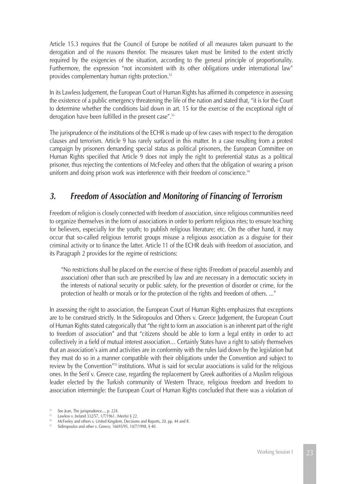Article 15.3 requires that the Council of Europe be notified of all measures taken pursuant to the derogation and of the reasons therefor. The measures taken must be limited to the extent strictly required by the exigencies of the situation, according to the general principle of proportionality. Furthermore, the expression "not inconsistent with its other obligations under international law" provides complementary human rights protection.<sup>52</sup>

In its Lawless Judgement, the European Court of Human Rights has affirmed its competence in assessing the existence of a public emergency threatening the life of the nation and stated that, "it is for the Court to determine whether the conditions laid down in art. 15 for the exercise of the exceptional right of derogation have been fulfilled in the present case".<sup>53</sup>

The jurisprudence of the institutions of the ECHR is made up of few cases with respect to the derogation clauses and terrorism. Article 9 has rarely surfaced in this matter. In a case resulting from a protest campaign by prisoners demanding special status as political prisoners, the European Committee on Human Rights specified that Article 9 does not imply the right to preferential status as a political prisoner, thus rejecting the contentions of McFeeley and others that the obligation of wearing a prison uniform and doing prison work was interference with their freedom of conscience.<sup>54</sup>

### 3. Freedom of Association and Monitoring of Financing of Terrorism

Freedom of religion is closely connected with freedom of association, since religious communities need to organize themselves in the form of associations in order to perform religious rites; to ensure teaching for believers, especially for the youth; to publish religious literature; etc. On the other hand, it may occur that so-called religious terrorist groups misuse a religious association as a disguise for their criminal activity or to finance the latter. Article 11 of the ECHR deals with freedom of association, and its Paragraph 2 provides for the regime of restrictions:

"No restrictions shall be placed on the exercise of these rights (Freedom of peaceful assembly and association) other than such are prescribed by law and are necessary in a democratic society in the interests of national security or public safety, for the prevention of disorder or crime, for the protection of health or morals or for the protection of the rights and freedom of others. ..."

In assessing the right to association, the European Court of Human Rights emphasizes that exceptions are to be construed strictly. In the Sidiropoulos and Others v. Greece Judgement, the European Court of Human Rights stated categorically that "the right to form an association is an inherent part of the right to freedom of association" and that "citizens should be able to form a legal entity in order to act collectively in a field of mutual interest association… Certainly States have a right to satisfy themselves that an association's aim and activities are in conformity with the rules laid down by the legislation but they must do so in a manner compatible with their obligations under the Convention and subject to review by the Convention"55 institutions. What is said for secular associations is valid for the religious ones. In the Serif v. Greece case, regarding the replacement by Greek authorities of a Muslim religious leader elected by the Turkish community of Western Thrace, religious freedom and freedom to association intermingle: the European Court of Human Rights concluded that there was a violation of

 $52$  See Jean, The jurisprudence..., p. 224.

 $53$  Lawless v. Ireland 332/57, 1/7/1961, (Merits) § 22.

<sup>54</sup> McFeeley and others v. United Kingdom, Decisions and Reports, 20, pp. 44 and ff.

<sup>55</sup> Sidiropoulos and other v. Greece, 16695/95, 10/7/1998, § 40.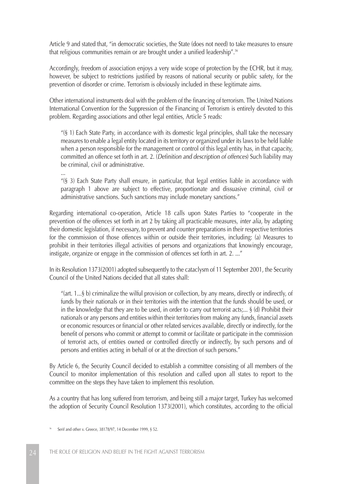Article 9 and stated that, "in democratic societies, the State (does not need) to take measures to ensure that religious communities remain or are brought under a unified leadership".<sup>56</sup>

Accordingly, freedom of association enjoys a very wide scope of protection by the ECHR, but it may, however, be subject to restrictions justified by reasons of national security or public safety, for the prevention of disorder or crime. Terrorism is obviously included in these legitimate aims.

Other international instruments deal with the problem of the financing of terrorism. The United Nations International Convention for the Suppression of the Financing of Terrorism is entirely devoted to this problem. Regarding associations and other legal entities, Article 5 reads:

 $\degree$ (§ 1) Each State Party, in accordance with its domestic legal principles, shall take the necessary measures to enable a legal entity located in its territory or organized under its laws to be held liable when a person responsible for the management or control of this legal entity has, in that capacity, committed an offence set forth in art. 2. (Definition and description of offences) Such liability may be criminal, civil or administrative.

...

"(§ 3) Each State Party shall ensure, in particular, that legal entities liable in accordance with paragraph 1 above are subject to effective, proportionate and dissuasive criminal, civil or administrative sanctions. Such sanctions may include monetary sanctions."

Regarding international co-operation, Article 18 calls upon States Parties to "cooperate in the prevention of the offences set forth in art 2 by taking all practicable measures, inter alia, by adapting their domestic legislation, if necessary, to prevent and counter preparations in their respective territories for the commission of those offences within or outside their territories, including: (a) Measures to prohibit in their territories illegal activities of persons and organizations that knowingly encourage, instigate, organize or engage in the commission of offences set forth in art. 2. ..."

In its Resolution 1373(2001) adopted subsequently to the cataclysm of 11 September 2001, the Security Council of the United Nations decided that all states shall:

"(art. 1...§ b) criminalize the wilful provision or collection, by any means, directly or indirectly, of funds by their nationals or in their territories with the intention that the funds should be used, or in the knowledge that they are to be used, in order to carry out terrorist acts;... § (d) Prohibit their nationals or any persons and entities within their territories from making any funds, financial assets or economic resources or financial or other related services available, directly or indirectly, for the benefit of persons who commit or attempt to commit or facilitate or participate in the commission of terrorist acts, of entities owned or controlled directly or indirectly, by such persons and of persons and entities acting in behalf of or at the direction of such persons."

By Article 6, the Security Council decided to establish a committee consisting of all members of the Council to monitor implementation of this resolution and called upon all states to report to the committee on the steps they have taken to implement this resolution.

As a country that has long suffered from terrorism, and being still a major target, Turkey has welcomed the adoption of Security Council Resolution 1373(2001), which constitutes, according to the official

<sup>56</sup> Serif and other v. Greece, 38178/97, 14 December 1999, § 52.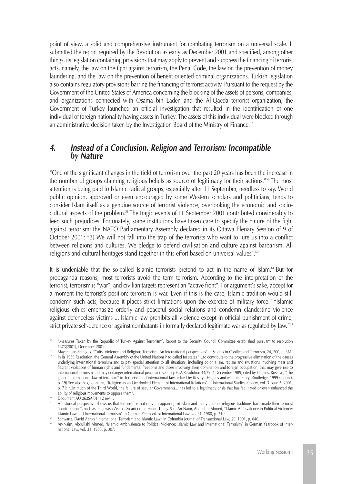point of view, a solid and comprehensive instrument for combating terrorism on a universal scale. It submitted the report required by the Resolution as early as December 2001 and specified, among other things, its legislation containing provisions that may apply to prevent and suppress the financing of terrorist acts, namely, the law on the fight against terrorism, the Penal Code, the law on the prevention of money laundering, and the law on the prevention of benefit-oriented criminal organizations. Turkish legislation also contains regulatory provisions barring the financing of terrorist activity. Pursuant to the request by the Government of the United States of America concerning the blocking of the assets of persons, companies, and organizations connected with Osama bin Laden and the Al-Qaeda terrorist organization, the Government of Turkey launched an official investigation that resulted in the identification of one individual of foreign nationality having assets in Turkey. The assets of this individual were blocked through an administrative decision taken by the Investigation Board of the Ministry of Finance.<sup>57</sup>

## 4. Instead of a Conclusion. Religion and Terrorism: Incompatible<br>by Nature

"One of the significant changes in the field of terrorism over the past 20 years has been the increase in the number of groups claiming religious beliefs as source of legitimacy for their actions."58 The most attention is being paid to Islamic radical groups, especially after 11 September, needless to say. World public opinion, approved or even encouraged by some Western scholars and politicians, tends to consider Islam itself as a genuine source of terrorist violence, overlooking the economic and sociocultural aspects of the problem.<sup>59</sup> The tragic events of 11 September 2001 contributed considerably to feed such prejudices. Fortunately, some institutions have taken care to specify the nature of the fight against terrorism: the NATO Parliamentary Assembly declared in its Ottawa Plenary Session of 9 of October 2001: "3) We will not fall into the trap of the terrorists who want to lure us into a conflict between religions and cultures. We pledge to defend civilisation and culture against barbarism. All religions and cultural heritages stand together in this effort based on universal values".<sup>60</sup>

It is undeniable that the so-called Islamic terrorists pretend to act in the name of Islam.<sup>61</sup> But for propaganda reasons, most terrorists avoid the term terrorism. According to the interpretation of the terrorist, terrorism is "war", and civilian targets represent an "active front". For argument's sake, accept for a moment the terrorist's position: terrorism is war. Even if this is the case, Islamic tradition would still condemn such acts, because it places strict limitations upon the exercise of military force.<sup>62</sup> "Islamic religious ethics emphasize orderly and peaceful social relations and condemn clandestine violence against defenceless victims ... Islamic law prohibits all violence except in official punishment of crime, strict private self-defence or against combatants in formally declared legitimate war as regulated by law."<sup>63</sup>

<sup>57</sup> "Measures Taken by the Republic of Turkey Against Terrorism", Report to the Security Council Committee established pursuant to resolution 1373(2001), December 2001.

<sup>58</sup> Mayer, Jean-François, "Cults, Violence and Religious Terrorism: An International perspectives" in Studies in Conflict and Terrorism, 24, 200, p. 361. In its 1989 Resolution, the General Assembly of the United Nations had called for states "...to contribute to the progressive elimination of the causes underlying international terrorism and to pay special attention to all situations, including colonialism, racism and situations involving mass and flagrant violations of human rights and fundamental freedoms and those involving alien domination and foreign occupation, that may give rise to international terrorism and may endanger international peace and security. (GA Resolution 44/29, 4 December 1989, cited by Higgins, Rosalyn, "The general international law of terrorism" in Terrorism and international law, edited by Rosalyn Higgins and Maurice Flory, Routledge, 1999 (reprint), p. 19) See also Fox, Jonathan, "Religion as an Overlooked Element of International Relations" in International Studies Review, vol. 3 issue 3, 2001, p. 71: "..in much of the Third World, the failure of secular Governments... has led to a legitimacy crisis that has facilitated or even enhanced the ability of religious movements to oppose them".

Document AU 262SA(01) 12 rev 1.

<sup>61</sup> A historical perspective shows us that terrorism is not only an appanage of Islam and many ancient religious traditions have made their terrorist "contributions", such as the Jewish Zealots-Sicarii or the Hindu Thugs. See: An-Naim, Abdullahi Ahmed, "Islamic Ambivalence to Political Violence: Islamic Law and International Terrorism" in German Yearbook of International Law, vol 31, 1988, p. 310.

<sup>62</sup> Schwartz, David Aaron "International Terrorism and Islamic Law" in Columbia Journal of Transactional Law, 29, 1991, p. 640.

<sup>63</sup> An-Naim, Abdullahi Ahmed, "Islamic Ambivalence to Political Violence: Islamic Law and International Terrorism" in German Yearbook of International Law, vol. 31, 1988, p. 307.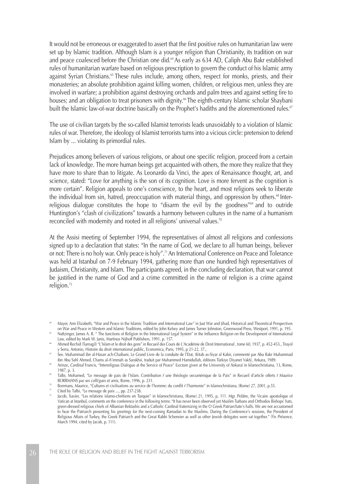It would not be erroneous or exaggerated to assert that the first positive rules on humanitarian law were set up by Islamic tradition. Although Islam is a younger religion than Christianity, its tradition on war and peace coalesced before the Christian one did.<sup>64</sup> As early as 634 AD, Caliph Abu Bakr established rules of humanitarian warfare based on religious prescription to govern the conduct of his Islamic army against Syrian Christians.<sup>65</sup> These rules include, among others, respect for monks, priests, and their monasteries; an absolute prohibition against killing women, children, or religious men, unless they are involved in warfare; a prohibition against destroying orchards and palm trees and against setting fire to houses; and an obligation to treat prisoners with dignity.<sup>66</sup> The eighth-century Islamic scholar Shaybani built the Islamic law-of-war doctrine basically on the Prophet's hadiths and the aforementioned rules.<sup>67</sup>

The use of civilian targets by the so-called Islamist terrorists leads unavoidably to a violation of Islamic rules of war. Therefore, the ideology of Islamist terrorists turns into a vicious circle: pretension to defend Islam by ... violating its primordial rules.

Prejudices among believers of various religions, or about one specific religion, proceed from a certain lack of knowledge. The more human beings get acquainted with others, the more they realize that they have more to share than to litigate. As Leonardo da Vinci, the apex of Renaissance thought, art, and science, stated: "Love for anything is the son of its cognition. Love is more fervent as the cognition is more certain". Religion appeals to one's conscience, to the heart, and most religions seek to liberate the individual from sin, hatred, preoccupation with material things, and oppression by others.<sup>68</sup> Interreligious dialogue constitutes the hope to "disarm the evil by the goodness"<sup>69</sup> and to outride Huntington's "clash of civilizations" towards a harmony between cultures in the name of a humanism reconciled with modernity and rooted in all religions' universal values.<sup>70</sup>

At the Assisi meeting of September 1994, the representatives of almost all religions and confessions signed up to a declaration that states: "In the name of God, we declare to all human beings, believer or not: There is no holy war. Only peace is holy".71An International Conference on Peace and Tolerance was held at Istanbul on 7-9 February 1994, gathering more than one hundred high representatives of Judaism, Christianity, and Islam. The participants agreed, in the concluding declaration, that war cannot be justified in the name of God and a crime committed in the name of religion is a crime against religion.<sup>72</sup>

<sup>64</sup> Mayer, Ann Elizabeth, "War and Peace in the Islamic Tradition and International Law" in Just War and Jihad, Historical and Theoretical Perspectives on War and Peace in Western and Islamic Traditions, edited by John Kelsey and James Turner Johnston, Greenwood Press, Westport, 1991, p. 195.

Naftzinger, James A. R. " The functions of Religion in the International Legal System" in the Influence Religion on the Development of International Law, edited by Mark W. Janis, Martinus Nijhoff Publishers, 1991, p. 157.

<sup>66</sup> Ahmed Rechid (Turnagil) "L'Islam et le droit des gens" in Recueil des Cours de L'Académie de Droit International , tome 60, 1937, p. 452-453., Truyol y Serra, Antonio, Histoire du droit international public, Economica, Paris, 1995, p 21-22, 37.,

<sup>67</sup> See. Muhammad ibn al-Hasan ach-Chaibani, Le Grand Livre de la conduite de l'Etat, (Kitab as-Siyar al Kabir, commenté par Abu Bakr Muhammad ibn Abu Sahl Ahmed, Chams al-A'immah as Sarakhsi, traduit par Muhammed Hamidullah, éditions Türkiye Diyanet Vakfý, Ankara, 1989.

<sup>68</sup> Arinze, Cardinal Francis, "Interreligous Dialogue at the Service of Peace" (Lecture given at the University of Ankara) in Islamochristiana, 13, Rome, 1987, p. 3.

Talbi, Mohamed, "Le message de paix de l'Islam. Contribution f une théologie oecuménique de la Paix" in Recueil d'article offerts f Maurice BORRMANS par ses collègues et amis, Rome, 1996, p. 231.

Borrmans, Maurice, "Cultures et civilisaitons au service de l'homme: du conflit f l'harmonie" in Islamochristiana, (Rome) 27, 2001, p.55.

Cited by Talbi, "Le message de paix ..., pp. 237-238.

Jacob, Xavier, "Les relations islamo-chrétiens en Turquie" in Islamochristiana, (Rome) 21, 1995, p. 111. Mgr. Pelâtre, the Vicaire apostolique of Vatican at Istanbul, comments on the conference in the following terms: "It has never been observed yet Muslim Turbans and Orthodox Bishops' hats, green-dressed religious chiefs of Albanian Bektashis and a Catholic Cardinal fraternizing in the O Greek Patriarchate's halls. We are not accustomed to hear the Patriarch presenting his greetings for the next-coming Ramadan to the Muslims. During the Conference's sessions, the President of Religious Affairs of Turkey, the Greek Patriarch and the Great Rabbi Scheneier as well as other Jewish delegates were sat together." (Yn Présence, March 1994, cited by Jacob, p. 111).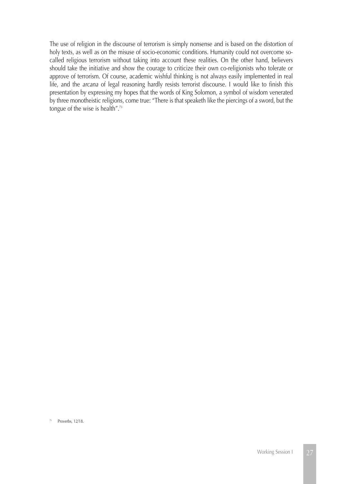The use of religion in the discourse of terrorism is simply nonsense and is based on the distortion of holy texts, as well as on the misuse of socio-economic conditions. Humanity could not overcome socalled religious terrorism without taking into account these realities. On the other hand, believers should take the initiative and show the courage to criticize their own co-religionists who tolerate or approve of terrorism. Of course, academic wishful thinking is not always easily implemented in real life, and the arcana of legal reasoning hardly resists terrorist discourse. I would like to finish this presentation by expressing my hopes that the words of King Solomon, a symbol of wisdom venerated by three monotheistic religions, come true: "There is that speaketh like the piercings of a sword, but the tongue of the wise is health".73

<sup>73</sup> Proverbs, 12/18.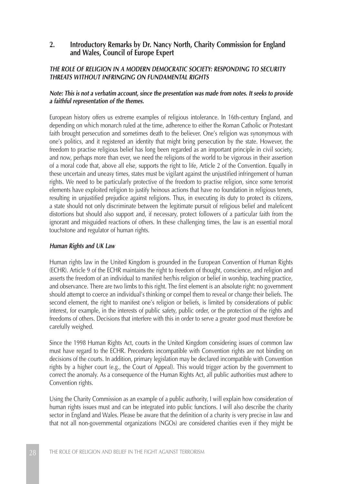#### 2. Introductory Remarks by Dr. Nancy North, Charity Commission for England and Wales, Council of Europe Expert

#### THE ROLE OF RELIGION IN A MODERN DEMOCRATIC SOCIETY: RESPONDING TO SECURITY THREATS WITHOUT INFRINGING ON FUNDAMENTAL RIGHTS

#### Note: This is not a verbatim account, since the presentation was made from notes. It seeks to provide a faithful representation of the themes.

European history offers us extreme examples of religious intolerance. In 16th-century England, and depending on which monarch ruled at the time, adherence to either the Roman Catholic or Protestant faith brought persecution and sometimes death to the believer. One's religion was synonymous with one's politics, and it registered an identity that might bring persecution by the state. However, the freedom to practise religious belief has long been regarded as an important principle in civil society, and now, perhaps more than ever, we need the religions of the world to be vigorous in their assertion of a moral code that, above all else, supports the right to life, Article 2 of the Convention. Equally in these uncertain and uneasy times, states must be vigilant against the unjustified infringement of human rights. We need to be particularly protective of the freedom to practise religion, since some terrorist elements have exploited religion to justify heinous actions that have no foundation in religious tenets, resulting in unjustified prejudice against religions. Thus, in executing its duty to protect its citizens, a state should not only discriminate between the legitimate pursuit of religious belief and maleficent distortions but should also support and, if necessary, protect followers of a particular faith from the ignorant and misguided reactions of others. In these challenging times, the law is an essential moral touchstone and regulator of human rights.

#### Human Rights and UK Law

Human rights law in the United Kingdom is grounded in the European Convention of Human Rights (ECHR). Article 9 of the ECHR maintains the right to freedom of thought, conscience, and religion and asserts the freedom of an individual to manifest her/his religion or belief in worship, teaching practice, and observance. There are two limbs to this right. The first element is an absolute right: no government should attempt to coerce an individual's thinking or compel them to reveal or change their beliefs. The second element, the right to manifest one's religion or beliefs, is limited by considerations of public interest, for example, in the interests of public safety, public order, or the protection of the rights and freedoms of others. Decisions that interfere with this in order to serve a greater good must therefore be carefully weighed.

Since the 1998 Human Rights Act, courts in the United Kingdom considering issues of common law must have regard to the ECHR. Precedents incompatible with Convention rights are not binding on decisions of the courts. In addition, primary legislation may be declared incompatible with Convention rights by a higher court (e.g., the Court of Appeal). This would trigger action by the government to correct the anomaly. As a consequence of the Human Rights Act, all public authorities must adhere to Convention rights.

Using the Charity Commission as an example of a public authority, I will explain how consideration of human rights issues must and can be integrated into public functions. I will also describe the charity sector in England and Wales. Please be aware that the definition of a charity is very precise in law and that not all non-governmental organizations (NGOs) are considered charities even if they might be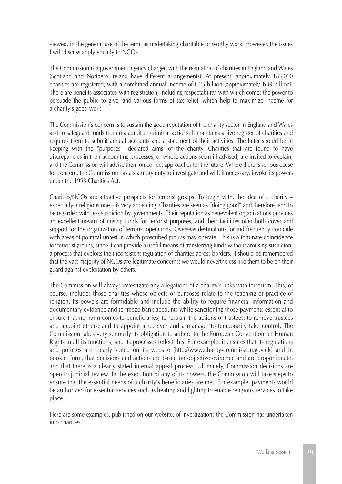viewed, in the general use of the term, as undertaking charitable or worthy work. However, the issues I will discuss apply equally to NGOs.

The Commission is a government agency charged with the regulation of charities in England and Wales (Scotland and Northern Ireland have different arrangements). At present, approximately 185,000 charities are registered, with a combined annual income of £ 25 billion (approximately B39 billion). There are benefits associated with registration, including respectability, with which comes the power to persuade the public to give, and various forms of tax relief, which help to maximize income for a charity's good work.

The Commission's concern is to sustain the good reputation of the charity sector in England and Wales and to safeguard funds from maladroit or criminal actions. It maintains a live register of charities and requires them to submit annual accounts and a statement of their activities. The latter should be in keeping with the "purposes" (declared aims) of the charity. Charities that are found to have discrepancies in their accounting processes, or whose actions seem ill-advised, are invited to explain, and the Commission will advise them on correct approaches for the future. Where there is serious cause for concern, the Commission has a statutory duty to investigate and will, if necessary, invoke its powers under the 1993 Charities Act.

Charities/NGOs are attractive prospects for terrorist groups. To begin with, the idea of a charity – especially a religious one – is very appealing. Charities are seen as "doing good" and therefore tend to be regarded with less suspicion by governments. Their reputation as benevolent organizations provides an excellent means of raising funds for terrorist purposes, and their facilities offer both cover and support for the organization of terrorist operations. Overseas destinations for aid frequently coincide with areas of political unrest in which proscribed groups may operate. This is a fortunate coincidence for terrorist groups, since it can provide a useful means of transferring funds without arousing suspicion, a process that exploits the inconsistent regulation of charities across borders. It should be remembered that the vast majority of NGOs are legitimate concerns; we would nevertheless like them to be on their guard against exploitation by others.

The Commission will always investigate any allegations of a charity's links with terrorism. This, of course, includes those charities whose objects or purposes relate to the teaching or practice of religion. Its powers are formidable and include the ability to require financial information and documentary evidence and to freeze bank accounts while sanctioning those payments essential to ensure that no harm comes to beneficiaries; to restrain the actions of trustees; to remove trustees and appoint others; and to appoint a receiver and a manager to temporarily take control. The Commission takes very seriously its obligation to adhere to the European Convention on Human Rights in all its functions, and its processes reflect this. For example, it ensures that its regulations and policies are clearly stated on its website (http://www.charity-commission.gov.uk) and in booklet form, that decisions and actions are based on objective evidence and are proportionate, and that there is a clearly stated internal appeal process. Ultimately, Commission decisions are open to judicial review. In the execution of any of its powers, the Commission will take steps to ensure that the essential needs of a charity's beneficiaries are met. For example, payments would be authorized for essential services such as heating and lighting to enable religious services to take place.

Here are some examples, published on our website, of investigations the Commission has undertaken into charities.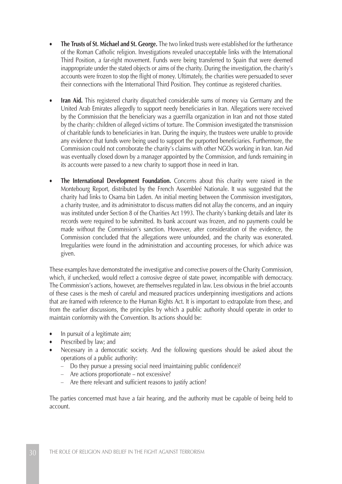- The Trusts of St. Michael and St. George. The two linked trusts were established for the furtherance of the Roman Catholic religion. Investigations revealed unacceptable links with the International Third Position, a far-right movement. Funds were being transferred to Spain that were deemed inappropriate under the stated objects or aims of the charity. During the investigation, the charity's accounts were frozen to stop the flight of money. Ultimately, the charities were persuaded to sever their connections with the International Third Position. They continue as registered charities.
- **Iran Aid.** This registered charity dispatched considerable sums of money via Germany and the United Arab Emirates allegedly to support needy beneficiaries in Iran. Allegations were received by the Commission that the beneficiary was a guerrilla organization in Iran and not those stated by the charity: children of alleged victims of torture. The Commision investigated the transmission of charitable funds to beneficiaries in Iran. During the inquiry, the trustees were unable to provide any evidence that funds were being used to support the purported beneficiaries. Furthermore, the Commission could not corroborate the charity's claims with other NGOs working in Iran. Iran Aid was eventually closed down by a manager appointed by the Commission, and funds remaining in its accounts were passed to a new charity to support those in need in Iran.
- The International Development Foundation. Concerns about this charity were raised in the Montebourg Report, distributed by the French Assembleé Nationale. It was suggested that the charity had links to Osama bin Laden. An initial meeting between the Commission investigators, a charity trustee, and its administrator to discuss matters did not allay the concerns, and an inquiry was instituted under Section 8 of the Charities Act 1993. The charity's banking details and later its records were required to be submitted. Its bank account was frozen, and no payments could be made without the Commission's sanction. However, after consideration of the evidence, the Commission concluded that the allegations were unfounded, and the charity was exonerated. Irregularities were found in the administration and accounting processes, for which advice was given.

These examples have demonstrated the investigative and corrective powers of the Charity Commission, which, if unchecked, would reflect a corrosive degree of state power, incompatible with democracy. The Commission's actions, however, are themselves regulated in law. Less obvious in the brief accounts of these cases is the mesh of careful and measured practices underpinning investigations and actions that are framed with reference to the Human Rights Act. It is important to extrapolate from these, and from the earlier discussions, the principles by which a public authority should operate in order to maintain conformity with the Convention. Its actions should be:

- In pursuit of a legitimate aim;
- Prescribed by law; and
- Necessary in a democratic society. And the following questions should be asked about the operations of a public authority:
	- Do they pursue a pressing social need (maintaining public confidence)?
	- Are actions proportionate not excessive?
	- Are there relevant and sufficient reasons to justify action?

The parties concerned must have a fair hearing, and the authority must be capable of being held to account.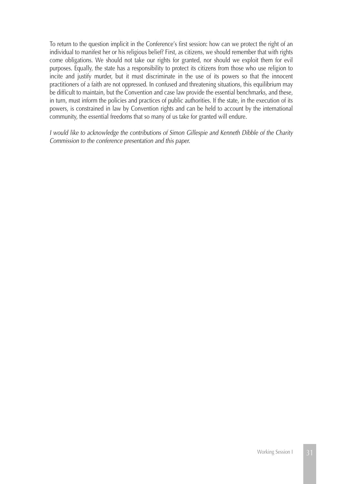To return to the question implicit in the Conference's first session: how can we protect the right of an individual to manifest her or his religious belief? First, as citizens, we should remember that with rights come obligations. We should not take our rights for granted, nor should we exploit them for evil purposes. Equally, the state has a responsibility to protect its citizens from those who use religion to incite and justify murder, but it must discriminate in the use of its powers so that the innocent practitioners of a faith are not oppressed. In confused and threatening situations, this equilibrium may be difficult to maintain, but the Convention and case law provide the essential benchmarks, and these, in turn, must inform the policies and practices of public authorities. If the state, in the execution of its powers, is constrained in law by Convention rights and can be held to account by the international community, the essential freedoms that so many of us take for granted will endure.

I would like to acknowledge the contributions of Simon Gillespie and Kenneth Dibble of the Charity Commission to the conference presentation and this paper.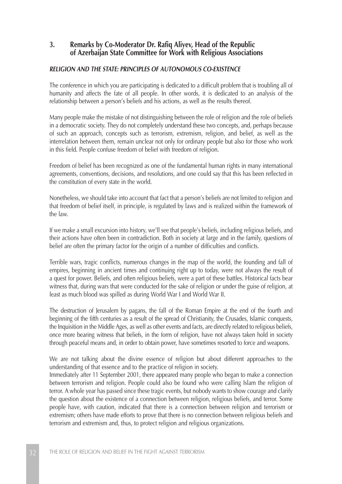#### 3. Remarks by Co-Moderator Dr. Rafiq Aliyev, Head of the Republic of Azerbaijan State Committee for Work with Religious Associations

#### RELIGION AND THE STATE: PRINCIPLES OF AUTONOMOUS CO-EXISTENCE

The conference in which you are participating is dedicated to a difficult problem that is troubling all of humanity and affects the fate of all people. In other words, it is dedicated to an analysis of the relationship between a person's beliefs and his actions, as well as the results thereof.

Many people make the mistake of not distinguishing between the role of religion and the role of beliefs in a democratic society. They do not completely understand these two concepts, and, perhaps because of such an approach, concepts such as terrorism, extremism, religion, and belief, as well as the interrelation between them, remain unclear not only for ordinary people but also for those who work in this field. People confuse freedom of belief with freedom of religion.

Freedom of belief has been recognized as one of the fundamental human rights in many international agreements, conventions, decisions, and resolutions, and one could say that this has been reflected in the constitution of every state in the world.

Nonetheless, we should take into account that fact that a person's beliefs are not limited to religion and that freedom of belief itself, in principle, is regulated by laws and is realized within the framework of the law.

If we make a small excursion into history, we'll see that people's beliefs, including religious beliefs, and their actions have often been in contradiction. Both in society at large and in the family, questions of belief are often the primary factor for the origin of a number of difficulties and conflicts.

Terrible wars, tragic conflicts, numerous changes in the map of the world, the founding and fall of empires, beginning in ancient times and continuing right up to today, were not always the result of a quest for power. Beliefs, and often religious beliefs, were a part of these battles. Historical facts bear witness that, during wars that were conducted for the sake of religion or under the guise of religion, at least as much blood was spilled as during World War I and World War II.

The destruction of Jerusalem by pagans, the fall of the Roman Empire at the end of the fourth and beginning of the fifth centuries as a result of the spread of Christianity, the Crusades, Islamic conquests, the Inquisition in the Middle Ages, as well as other events and facts, are directly related to religious beliefs, once more bearing witness that beliefs, in the form of religion, have not always taken hold in society through peaceful means and, in order to obtain power, have sometimes resorted to force and weapons.

We are not talking about the divine essence of religion but about different approaches to the understanding of that essence and to the practice of religion in society.

Immediately after 11 September 2001, there appeared many people who began to make a connection between terrorism and religion. People could also be found who were calling Islam the religion of terror. A whole year has passed since these tragic events, but nobody wants to show courage and clarify the question about the existence of a connection between religion, religious beliefs, and terror. Some people have, with caution, indicated that there is a connection between religion and terrorism or extremism; others have made efforts to prove that there is no connection between religious beliefs and terrorism and extremism and, thus, to protect religion and religious organizations.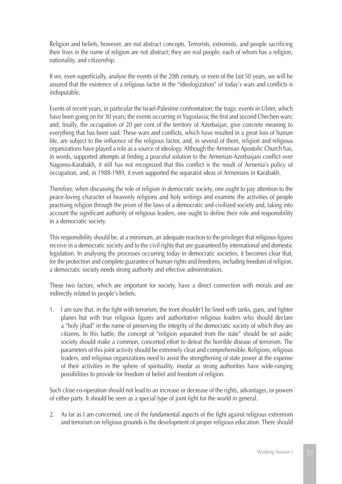Religion and beliefs, however, are not abstract concepts. Terrorists, extremists, and people sacrificing their lives in the name of religion are not abstract; they are real people, each of whom has a religion, nationality, and citizenship.

If we, even superficially, analyse the events of the 20th century, or even of the last 50 years, we will be assured that the existence of a religious factor in the "ideologization" of today's wars and conflicts is indisputable.

Events of recent years, in particular the Israel-Palestine confrontation; the tragic events in Ulster, which have been going on for 30 years; the events occurring in Yugoslavia; the first and second Chechen wars; and, finally, the occupation of 20 per cent of the territory of Azerbaijan, give concrete meaning to everything that has been said. These wars and conflicts, which have resulted in a great loss of human life, are subject to the influence of the religious factor, and, in several of them, religion and religious organizations have played a role as a source of ideology. Although the Armenian Apostolic Church has, in words, supported attempts at finding a peaceful solution to the Armenian-Azerbaijani conflict over Nagorno-Karabakh, it still has not recognized that this conflict is the result of Armenia's policy of occupation, and, in 1988-1989, it even supported the separatist ideas of Armenians in Karabakh.

Therefore, when discussing the role of religion in democratic society, one ought to pay attention to the peace-loving character of heavenly religions and holy writings and examine the activities of people practising religion through the prism of the laws of a democratic and civilized society and, taking into account the significant authority of religious leaders, one ought to define their role and responsibility in a democratic society.

This responsibility should be, at a minimum, an adequate reaction to the privileges that religious figures receive in a democratic society and to the civil rights that are guaranteed by international and domestic legislation. In analysing the processes occurring today in democratic societies, it becomes clear that, for the protection and complete guarantee of human rights and freedoms, including freedom of religion, a democratic society needs strong authority and effective administration.

These two factors, which are important for society, have a direct connection with morals and are indirectly related to people's beliefs.

1. I am sure that, in the fight with terrorism, the front shouldn't be lined with tanks, guns, and fighter planes but with true religious figures and authoritative religious leaders who should declare a "holy jihad" in the name of preserving the integrity of the democratic society of which they are citizens. In this battle, the concept of "religion separated from the state" should be set aside; society should make a common, concerted effort to defeat the horrible disease of terrorism. The parameters of this joint activity should be extremely clear and comprehensible. Religions, religious leaders, and religious organizations need to assist the strengthening of state power at the expense of their activities in the sphere of spirituality, insofar as strong authorities have wide-ranging possibilities to provide for freedom of belief and freedom of religion.

Such close co-operation should not lead to an increase or decrease of the rights, advantages, or powers of either party. It should be seen as a special type of joint fight for the world in general.

2. As far as I am concerned, one of the fundamental aspects of the fight against religious extremism and terrorism on religious grounds is the development of proper religious education. There should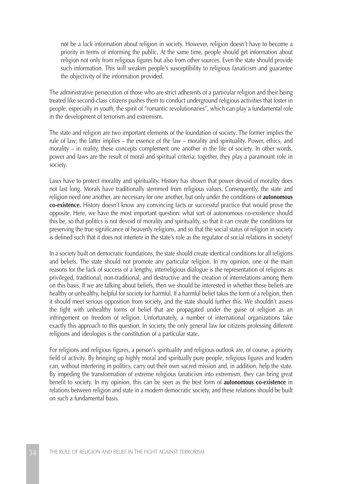not be a lack information about religion in society. However, religion doesn't have to become a priority in terms of informing the public. At the same time, people should get information about religion not only from religious figures but also from other sources. Even the state should provide such information. This will weaken people's susceptibility to religious fanaticism and guarantee the objectivity of the information provided.

The administrative persecution of those who are strict adherents of a particular religion and their being treated like second-class citizens pushes them to conduct underground religious activities that foster in people, especially in youth, the spirit of "romantic revolutionaries", which can play a fundamental role in the development of terrorism and extremism.

The state and religion are two important elements of the foundation of society. The former implies the rule of law; the latter implies – the essence of the law – morality and spirituality. Power, ethics, and morality – in reality, these concepts complement one another in the life of society. In other words, power and laws are the result of moral and spiritual criteria; together, they play a paramount role in society.

Laws have to protect morality and spirituality. History has shown that power devoid of morality does not last long. Morals have traditionally stemmed from religious values. Consequently, the state and religion need one another, are necessary for one another, but only under the conditions of autonomous co-existence. History doesn't know any convincing facts or successful practice that would prove the opposite. Here, we have the most important question: what sort of autonomous co-existence should this be, so that politics is not devoid of morality and spirituality, so that it can create the conditions for preserving the true significance of heavenly religions, and so that the social status of religion in society is defined such that it does not interfere in the state's role as the regulator of social relations in society?

In a society built on democratic foundations, the state should create identical conditions for all religions and beliefs. The state should not promote any particular religion. In my opinion, one of the main reasons for the lack of success of a lengthy, interreligious dialogue is the representation of religions as privileged, traditional, non-traditional, and destructive and the creation of interrelations among them on this basis. If we are talking about beliefs, then we should be interested in whether those beliefs are healthy or unhealthy, helpful for society for harmful. If a harmful belief takes the form of a religion, then it should meet serious opposition from society, and the state should further this. We shouldn't assess the fight with unhealthy forms of belief that are propagated under the guise of religion as an infringement on freedom of religion. Unfortunately, a number of international organizations take exactly this approach to this question. In society, the only general law for citizens professing different religions and ideologies is the constitution of a particular state.

For religions and religious figures, a person's spirituality and religious outlook are, of course, a priority field of activity. By bringing up highly moral and spiritually pure people, religious figures and leaders can, without interfering in politics, carry out their own sacred mission and, in addition, help the state. By impeding the transformation of extreme religious fanaticism into extremism, they can bring great benefit to society. In my opinion, this can be seen as the best form of **autonomous co-existence** in relations between religion and state in a modern democratic society, and these relations should be built on such a fundamental basis.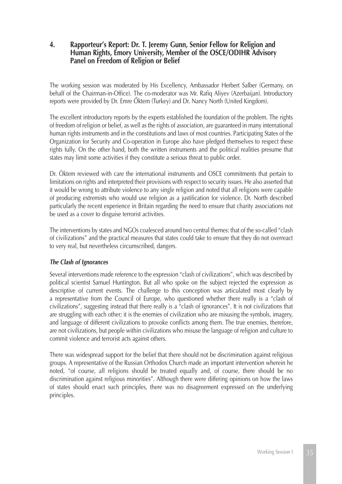#### 4. Rapporteur's Report: Dr. T. Jeremy Gunn, Senior Fellow for Religion and Human Rights, Emory University, Member of the OSCE/ODIHR Advisory Panel on Freedom of Religion or Belief

The working session was moderated by His Excellency, Ambassador Herbert Salber (Germany, on behalf of the Chairman-in-Office). The co-moderator was Mr. Rafiq Aliyev (Azerbaijan). Introductory reports were provided by Dr. Emre Õktem (Turkey) and Dr. Nancy North (United Kingdom).

The excellent introductory reports by the experts established the foundation of the problem. The rights of freedom of religion or belief, as well as the rights of association, are guaranteed in many international human rights instruments and in the constitutions and laws of most countries. Participating States of the Organization for Security and Co-operation in Europe also have pledged themselves to respect these rights fully. On the other hand, both the written instruments and the political realities presume that states may limit some activities if they constitute a serious threat to public order.

Dr. Öktem reviewed with care the international instruments and OSCE commitments that pertain to limitations on rights and interpreted their provisions with respect to security issues. He also asserted that it would be wrong to attribute violence to any single religion and noted that all religions were capable of producing extremists who would use religion as a justification for violence. Dr. North described particularly the recent experience in Britain regarding the need to ensure that charity associations not be used as a cover to disguise terrorist activities.

The interventions by states and NGOs coalesced around two central themes: that of the so-called "clash of civilizations" and the practical measures that states could take to ensure that they do not overreact to very real, but nevertheless circumscribed, dangers.

#### The Clash of Ignorances

Several interventions made reference to the expression "clash of civilizations", which was described by political scientist Samuel Huntington. But all who spoke on the subject rejected the expression as descriptive of current events. The challenge to this conception was articulated most clearly by a representative from the Council of Europe, who questioned whether there really is a "clash of civilizations", suggesting instead that there really is a "clash of ignorances". It is not civilizations that are struggling with each other; it is the enemies of civilization who are misusing the symbols, imagery, and language of different civilizations to provoke conflicts among them. The true enemies, therefore, are not civilizations, but people within civilizations who misuse the language of religion and culture to commit violence and terrorist acts against others.

There was widespread support for the belief that there should not be discrimination against religious groups. A representative of the Russian Orthodox Church made an important intervention wherein he noted, "of course, all religions should be treated equally and, of course, there should be no discrimination against religious minorities". Although there were differing opinions on how the laws of states should enact such principles, there was no disagreement expressed on the underlying principles.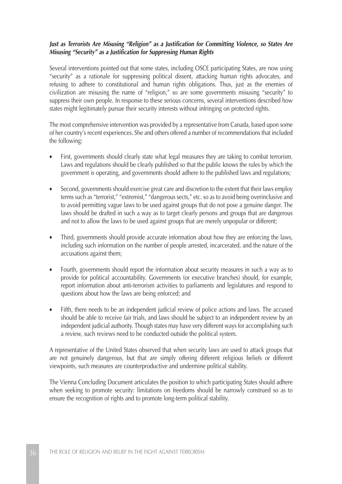#### Just as Terrorists Are Misusing "Religion" as a Justification for Committing Violence, so States Are Misusing "Security" as a Justification for Suppressing Human Rights

Several interventions pointed out that some states, including OSCE participating States, are now using "security" as a rationale for suppressing political dissent, attacking human rights advocates, and refusing to adhere to constitutional and human rights obligations. Thus, just as the enemies of civilization are misusing the name of "religion," so are some governments misusing "security" to suppress their own people. In response to these serious concerns, several interventions described how states might legitimately pursue their security interests without infringing on protected rights.

The most comprehensive intervention was provided by a representative from Canada, based upon some of her country's recent experiences. She and others offered a number of recommendations that included the following:

- First, governments should clearly state what legal measures they are taking to combat terrorism. Laws and regulations should be clearly published so that the public knows the rules by which the government is operating, and governments should adhere to the published laws and regulations;
- Second, governments should exercise great care and discretion to the extent that their laws employ terms such as "terrorist," "extremist," "dangerous sects," etc. so as to avoid being overinclusive and to avoid permitting vague laws to be used against groups that do not pose a genuine danger. The laws should be drafted in such a way as to target clearly persons and groups that are dangerous and not to allow the laws to be used against groups that are merely unpopular or different;
- Third, governments should provide accurate information about how they are enforcing the laws, including such information on the number of people arrested, incarcerated, and the nature of the accusations against them;
- Fourth, governments should report the information about security measures in such a way as to provide for political accountability. Governments (or executive branches) should, for example, report information about anti-terrorism activities to parliaments and legislatures and respond to questions about how the laws are being enforced; and
- Fifth, there needs to be an independent judicial review of police actions and laws. The accused should be able to receive fair trials, and laws should be subject to an independent review by an independent judicial authority. Though states may have very different ways for accomplishing such a review, such reviews need to be conducted outside the political system.

A representative of the United States observed that when security laws are used to attack groups that are not genuinely dangerous, but that are simply offering different religious beliefs or different viewpoints, such measures are counterproductive and undermine political stability.

The Vienna Concluding Document articulates the position to which participating States should adhere when seeking to promote security: limitations on freedoms should be narrowly construed so as to ensure the recognition of rights and to promote long-term political stability.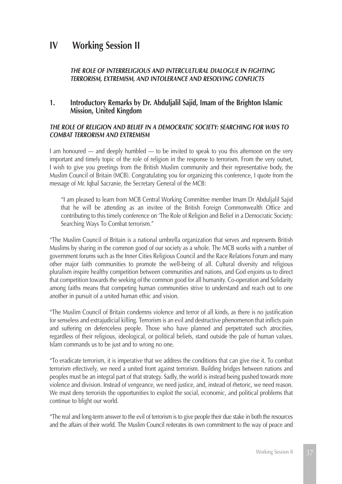# IV Working Session II

## THE ROLE OF INTERRELIGIOUS AND INTERCULTURAL DIALOGUE IN FIGHTING TERRORISM, EXTREMISM, AND INTOLERANCE AND RESOLVING CONFLICTS

## 1. Introductory Remarks by Dr. Abduljalil Sajid, Imam of the Brighton Islamic Mission, United Kingdom

## THE ROLE OF RELIGION AND BELIEF IN A DEMOCRATIC SOCIETY: SEARCHING FOR WAYS TO COMBAT TERRORISM AND EXTREMISM

I am honoured — and deeply humbled — to be invited to speak to you this afternoon on the very important and timely topic of the role of religion in the response to terrorism. From the very outset, I wish to give you greetings from the British Muslim community and their representative body, the Muslim Council of Britain (MCB). Congratulating you for organizing this conference, I quote from the message of Mr. Iqbal Sacranie, the Secretary General of the MCB:

"I am pleased to learn from MCB Central Working Committee member Imam Dr Abduljalil Sajid that he will be attending as an invitee of the British Foreign Commonwealth Office and contributing to this timely conference on 'The Role of Religion and Belief in a Democratic Society: Searching Ways To Combat terrorism."

"The Muslim Council of Britain is a national umbrella organization that serves and represents British Muslims by sharing in the common good of our society as a whole. The MCB works with a number of government forums such as the Inner Cities Religious Council and the Race Relations Forum and many other major faith communities to promote the well-being of all. Cultural diversity and religious pluralism inspire healthy competition between communities and nations, and God enjoins us to direct that competition towards the seeking of the common good for all humanity. Co-operation and Solidarity among faiths means that competing human communities strive to understand and reach out to one another in pursuit of a united human ethic and vision.

"The Muslim Council of Britain condemns violence and terror of all kinds, as there is no justification for senseless and extrajudicial killing. Terrorism is an evil and destructive phenomenon that inflicts pain and suffering on defenceless people. Those who have planned and perpetrated such atrocities, regardless of their religious, ideological, or political beliefs, stand outside the pale of human values. Islam commands us to be just and to wrong no one.

"To eradicate terrorism, it is imperative that we address the conditions that can give rise it. To combat terrorism effectively, we need a united front against terrorism. Building bridges between nations and peoples must be an integral part of that strategy. Sadly, the world is instead being pushed towards more violence and division. Instead of vengeance, we need justice, and, instead of rhetoric, we need reason. We must deny terrorists the opportunities to exploit the social, economic, and political problems that continue to blight our world.

"The real and long-term answer to the evil of terrorism is to give people their due stake in both the resources and the affairs of their world. The Muslim Council reiterates its own commitment to the way of peace and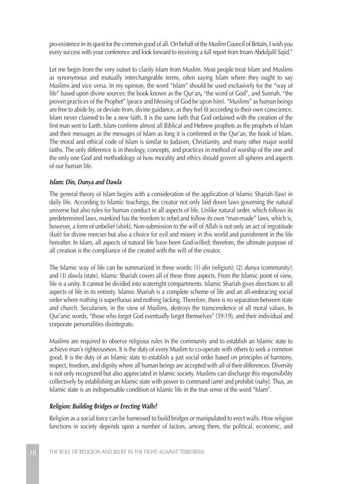pro-existence in its quest for the common good of all. On behalf of the Muslim Council of Britain, I wish you every success with your conference and look forward to receiving a full report from Imam Abduljalil Sajid."

Let me begin from the very outset to clarify Islam from Muslim. Most people treat Islam and Muslims as synonymous and mutually interchangeable terms, often saying Islam where they ought to say Muslims and vice versa. In my opinion, the word "Islam" should be used exclusively for the "way of life" based upon divine sources: the book known as the Qur'an, "the word of God", and Sunnah, "the proven practices of the Prophet" (peace and blessing of God be upon him). "Muslims" as human beings are free to abide by, or deviate from, divine guidance, as they feel fit according to their own conscience. Islam never claimed to be a new faith. It is the same faith that God ordained with the creation of the first man sent to Earth. Islam confirms almost all Biblical and Hebrew prophets as the prophets of Islam and their messages as the messages of Islam as long it is confirmed in the Qur'an, the book of Islam. The moral and ethical code of Islam is similar to Judaism, Christianity, and many other major world faiths. The only difference is in theology, concepts, and practices in method of worship of the one and the only one God and methodology of how morality and ethics should govern all spheres and aspects of our human life.

#### Islam: Din, Dunya and Dawla

The general theory of Islam begins with a consideration of the application of Islamic Shariah (law) in daily life. According to Islamic teachings, the creator not only laid down laws governing the natural universe but also rules for human conduct in all aspects of life. Unlike natural order, which follows its predetermined laws, mankind has the freedom to rebel and follow its own "man-made" laws, which is, however, a form of unbelief (shirk). Non-submission to the will of Allah is not only an act of ingratitude (kufr) for divine mercies but also a choice for evil and misery in this world and punishment in the life hereafter. In Islam, all aspects of natural life have been God-willed; therefore, the ultimate purpose of all creation is the compliance of the created with the will of the creator.

The Islamic way of life can be summarized in three words: (1) din (religion); (2) dunya (community); and (3) dawla (state). Islamic Shariah covers all of these three aspects. From the Islamic point of view, life is a unity. It cannot be divided into watertight compartments. Islamic Shariah gives directions to all aspects of life in its entirety. Islamic Shariah is a complete scheme of life and an all-embracing social order where nothing is superfluous and nothing lacking. Therefore, there is no separation between state and church. Secularism, in the view of Muslims, destroys the transcendence of all moral values. In Qur'anic words, "those who forget God eventually forget themselves" (59:19), and their individual and corporate personalities disintegrate.

Muslims are required to observe religious rules in the community and to establish an Islamic state to achieve man's righteousness. It is the duty of every Muslim to co-operate with others to seek a common good. It is the duty of an Islamic state to establish a just social order based on principles of harmony, respect, freedom, and dignity where all human beings are accepted with all of their differences. Diversity is not only recognized but also appreciated in Islamic society. Muslims can discharge this responsibility collectively by establishing an Islamic state with power to command (amr) and prohibit (nahy). Thus, an Islamic state is an indispensable condition of Islamic life in the true sense of the word "Islam".

#### Religion: Building Bridges or Erecting Walls?

Religion as a social force can be harnessed to build bridges or manipulated to erect walls. How religion functions in society depends upon a number of factors, among them, the political, economic, and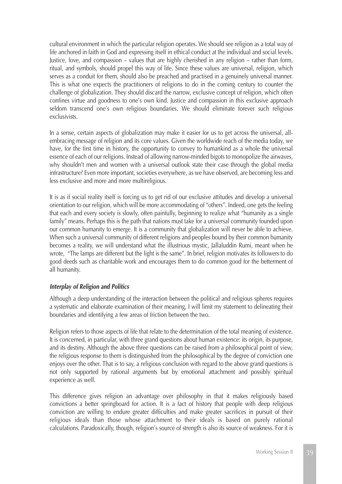cultural environment in which the particular religion operates. We should see religion as a total way of life anchored in faith in God and expressing itself in ethical conduct at the individual and social levels. Justice, love, and compassion – values that are highly cherished in any religion – rather than form, ritual, and symbols, should propel this way of life. Since these values are universal, religion, which serves as a conduit for them, should also be preached and practised in a genuinely universal manner. This is what one expects the practitioners of religions to do in the coming century to counter the challenge of globalization. They should discard the narrow, exclusive concept of religion, which often confines virtue and goodness to one's own kind. Justice and compassion in this exclusive approach seldom transcend one's own religious boundaries. We should eliminate forever such religious exclusivists.

In a sense, certain aspects of globalization may make it easier for us to get across the universal, allembracing message of religion and its core values. Given the worldwide reach of the media today, we have, for the first time in history, the opportunity to convey to humankind as a whole the universal essence of each of our religions. Instead of allowing narrow-minded bigots to monopolize the airwaves, why shouldn't men and women with a universal outlook state their case through the global media infrastructure? Even more important, societies everywhere, as we have observed, are becoming less and less exclusive and more and more multireligious.

It is as if social reality itself is forcing us to get rid of our exclusive attitudes and develop a universal orientation to our religion, which will be more accommodating of "others". Indeed, one gets the feeling that each and every society is slowly, often painfully, beginning to realize what "humanity as a single family" means. Perhaps this is the path that nations must take for a universal community founded upon our common humanity to emerge. It is a community that globalization will never be able to achieve. When such a universal community of different religions and peoples bound by their common humanity becomes a reality, we will understand what the illustrious mystic, Jallaluddin Rumi, meant when he wrote, "The lamps are different but the light is the same". In brief, religion motivates its followers to do good deeds such as charitable work and encourages them to do common good for the betterment of all humanity.

### Interplay of Religion and Politics

Although a deep understanding of the interaction between the political and religious spheres requires a systematic and elaborate examination of their meaning, I will limit my statement to delineating their boundaries and identifying a few areas of friction between the two.

Religion refers to those aspects of life that relate to the determination of the total meaning of existence. It is concerned, in particular, with three grand questions about human existence: its origin, its purpose, and its destiny. Although the above three questions can be raised from a philosophical point of view, the religious response to them is distinguished from the philosophical by the degree of conviction one enjoys over the other. That is to say, a religious conclusion with regard to the above grand questions is not only supported by rational arguments but by emotional attachment and possibly spiritual experience as well.

This difference gives religion an advantage over philosophy in that it makes religiously based convictions a better springboard for action. It is a fact of history that people with deep religious conviction are willing to endure greater difficulties and make greater sacrifices in pursuit of their religious ideals than those whose attachment to their ideals is based on purely rational calculations. Paradoxically, though, religion's source of strength is also its source of weakness. For it is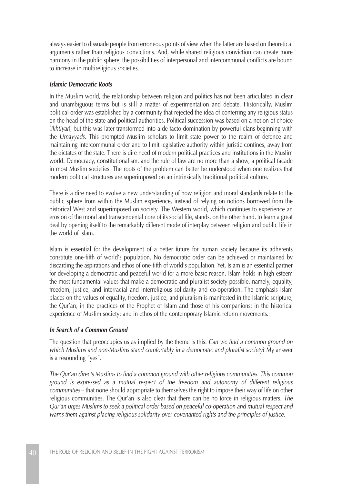always easier to dissuade people from erroneous points of view when the latter are based on theoretical arguments rather than religious convictions. And, while shared religious conviction can create more harmony in the public sphere, the possibilities of interpersonal and intercommunal conflicts are bound to increase in multireligious societies.

#### Islamic Democratic Roots

In the Muslim world, the relationship between religion and politics has not been articulated in clear and unambiguous terms but is still a matter of experimentation and debate. Historically, Muslim political order was established by a community that rejected the idea of conferring any religious status on the head of the state and political authorities. Political succession was based on a notion of choice (ikhtiyar), but this was later transformed into a de facto domination by powerful clans beginning with the Umayyads. This prompted Muslim scholars to limit state power to the realm of defence and maintaining intercommunal order and to limit legislative authority within juristic confines, away from the dictates of the state. There is dire need of modern political practices and institutions in the Muslim world. Democracy, constitutionalism, and the rule of law are no more than a show, a political facade in most Muslim societies. The roots of the problem can better be understood when one realizes that modern political structures are superimposed on an intrinsically traditional political culture.

There is a dire need to evolve a new understanding of how religion and moral standards relate to the public sphere from within the Muslim experience, instead of relying on notions borrowed from the historical West and superimposed on society. The Western world, which continues to experience an erosion of the moral and transcendental core of its social life, stands, on the other hand, to learn a great deal by opening itself to the remarkably different mode of interplay between religion and public life in the world of Islam.

Islam is essential for the development of a better future for human society because its adherents constitute one-fifth of world's population. No democratic order can be achieved or maintained by discarding the aspirations and ethos of one-fifth of world's population. Yet, Islam is an essential partner for developing a democratic and peaceful world for a more basic reason. Islam holds in high esteem the most fundamental values that make a democratic and pluralist society possible, namely, equality, freedom, justice, and interracial and interreligious solidarity and co-operation. The emphasis Islam places on the values of equality, freedom, justice, and pluralism is manifested in the Islamic scripture, the Qur'an; in the practices of the Prophet of Islam and those of his companions; in the historical experience of Muslim society; and in ethos of the contemporary Islamic reform movements.

#### In Search of a Common Ground

The question that preoccupies us as implied by the theme is this: Can we find a common ground on which Muslims and non-Muslims stand comfortably in a democratic and pluralist society? My answer is a resounding "yes".

The Qur'an directs Muslims to find a common ground with other religious communities. This common ground is expressed as a mutual respect of the freedom and autonomy of different religious communities – that none should appropriate to themselves the right to impose their way of life on other religious communities. The Qur'an is also clear that there can be no force in religious matters. The Qur'an urges Muslims to seek a political order based on peaceful co-operation and mutual respect and warns them against placing religious solidarity over covenanted rights and the principles of justice.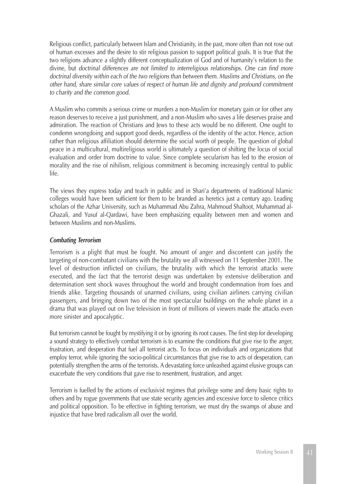Religious conflict, particularly between Islam and Christianity, in the past, more often than not rose out of human excesses and the desire to stir religious passion to support political goals. It is true that the two religions advance a slightly different conceptualization of God and of humanity's relation to the divine, but doctrinal differences are not limited to interreligious relationships. One can find more doctrinal diversity within each of the two religions than between them. Muslims and Christians, on the other hand, share similar core values of respect of human life and dignity and profound commitment to charity and the common good.

A Muslim who commits a serious crime or murders a non-Muslim for monetary gain or for other any reason deserves to receive a just punishment, and a non-Muslim who saves a life deserves praise and admiration. The reaction of Christians and Jews to these acts would be no different. One ought to condemn wrongdoing and support good deeds, regardless of the identity of the actor. Hence, action rather than religious affiliation should determine the social worth of people. The question of global peace in a multicultural, multireligious world is ultimately a question of shifting the locus of social evaluation and order from doctrine to value. Since complete secularism has led to the erosion of morality and the rise of nihilism, religious commitment is becoming increasingly central to public life.

The views they express today and teach in public and in Shari'a departments of traditional Islamic colleges would have been sufficient for them to be branded as heretics just a century ago. Leading scholars of the Azhar University, such as Muhammad Abu Zahra, Mahmoud Shaltoot, Muhammad al-Ghazali, and Yusuf al-Qardawi, have been emphasizing equality between men and women and between Muslims and non-Muslims.

#### Combating Terrorism

Terrorism is a plight that must be fought. No amount of anger and discontent can justify the targeting of non-combatant civilians with the brutality we all witnessed on 11 September 2001. The level of destruction inflicted on civilians, the brutality with which the terrorist attacks were executed, and the fact that the terrorist design was undertaken by extensive deliberation and determination sent shock waves throughout the world and brought condemnation from foes and friends alike. Targeting thousands of unarmed civilians, using civilian airliners carrying civilian passengers, and bringing down two of the most spectacular buildings on the whole planet in a drama that was played out on live television in front of millions of viewers made the attacks even more sinister and apocalyptic.

But terrorism cannot be fought by mystifying it or by ignoring its root causes. The first step for developing a sound strategy to effectively combat terrorism is to examine the conditions that give rise to the anger, frustration, and desperation that fuel all terrorist acts. To focus on individuals and organizations that employ terror, while ignoring the socio-political circumstances that give rise to acts of desperation, can potentially strengthen the arms of the terrorists. A devastating force unleashed against elusive groups can exacerbate the very conditions that gave rise to resentment, frustration, and anger.

Terrorism is fuelled by the actions of exclusivist regimes that privilege some and deny basic rights to others and by rogue governments that use state security agencies and excessive force to silence critics and political opposition. To be effective in fighting terrorism, we must dry the swamps of abuse and injustice that have bred radicalism all over the world.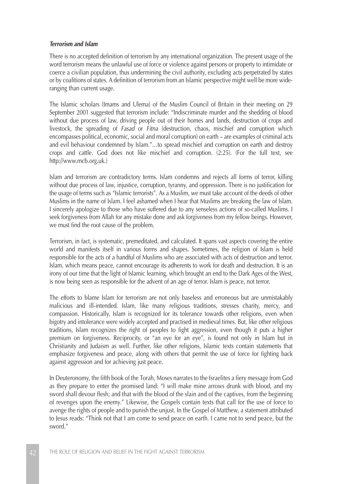#### Terrorism and Islam

There is no accepted definition of terrorism by any international organization. The present usage of the word terrorism means the unlawful use of force or violence against persons or property to intimidate or coerce a civilian population, thus undermining the civil authority, excluding acts perpetrated by states or by coalitions of states. A definition of terrorism from an Islamic perspective might well be more wideranging than current usage.

The Islamic scholars (Imams and Ulema) of the Muslim Council of Britain in their meeting on 29 September 2001 suggested that terrorism include: "Indiscriminate murder and the shedding of blood without due process of law, driving people out of their homes and lands, destruction of crops and livestock, the spreading of Fasad or Fitna (destruction, chaos, mischief and corruption which encompasses political, economic, social and moral corruption) on earth – are examples of criminal acts and evil behaviour condemned by Islam."…to spread mischief and corruption on earth and destroy crops and cattle. God does not like mischief and corruption. (2:25). (For the full text, see http://www.mcb.org.uk.)

Islam and terrorism are contradictory terms. Islam condemns and rejects all forms of terror, killing without due process of law, injustice, corruption, tyranny, and oppression. There is no justification for the usage of terms such as "Islamic terrorists". As a Muslim, we must take account of the deeds of other Muslims in the name of Islam. I feel ashamed when I hear that Muslims are breaking the law of Islam. I sincerely apologize to those who have suffered due to any senseless actions of so-called Muslims. I seek forgiveness from Allah for any mistake done and ask forgiveness from my fellow beings. However, we must find the root cause of the problem.

Terrorism, in fact, is systematic, premeditated, and calculated. It spans vast aspects covering the entire world and manifests itself in various forms and shapes. Sometimes, the religion of Islam is held responsible for the acts of a handful of Muslims who are associated with acts of destruction and terror. Islam, which means peace, cannot encourage its adherents to work for death and destruction. It is an irony of our time that the light of Islamic learning, which brought an end to the Dark Ages of the West, is now being seen as responsible for the advent of an age of terror. Islam is peace, not terror.

The efforts to blame Islam for terrorism are not only baseless and erroneous but are unmistakably malicious and ill-intended. Islam, like many religious traditions, stresses charity, mercy, and compassion. Historically, Islam is recognized for its tolerance towards other religions, even when bigotry and intolerance were widely accepted and practised in medieval times. But, like other religious traditions, Islam recognizes the right of peoples to fight aggression, even though it puts a higher premium on forgiveness. Reciprocity, or "an eye for an eye", is found not only in Islam but in Christianity and Judaism as well. Further, like other religions, Islamic texts contain statements that emphasize forgiveness and peace, along with others that permit the use of force for fighting back against aggression and for achieving just peace.

In Deuteronomy, the fifth book of the Torah, Moses narrates to the Israelites a fiery message from God as they prepare to enter the promised land: "I will make mine arrows drunk with blood, and my sword shall devour flesh; and that with the blood of the slain and of the captives, from the beginning of revenges upon the enemy." Likewise, the Gospels contain texts that call for the use of force to avenge the rights of people and to punish the unjust. In the Gospel of Matthew, a statement attributed to Jesus reads: "Think not that I am come to send peace on earth. I came not to send peace, but the sword."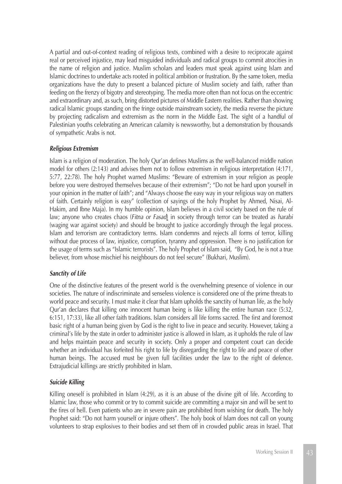A partial and out-of-context reading of religious texts, combined with a desire to reciprocate against real or perceived injustice, may lead misguided individuals and radical groups to commit atrocities in the name of religion and justice. Muslim scholars and leaders must speak against using Islam and Islamic doctrines to undertake acts rooted in political ambition or frustration. By the same token, media organizations have the duty to present a balanced picture of Muslim society and faith, rather than feeding on the frenzy of bigotry and stereotyping. The media more often than not focus on the eccentric and extraordinary and, as such, bring distorted pictures of Middle Eastern realities. Rather than showing radical Islamic groups standing on the fringe outside mainstream society, the media reverse the picture by projecting radicalism and extremism as the norm in the Middle East. The sight of a handful of Palestinian youths celebrating an American calamity is newsworthy, but a demonstration by thousands of sympathetic Arabs is not.

#### Religious Extremism

Islam is a religion of moderation. The holy Qur'an defines Muslims as the well-balanced middle nation model for others (2:143) and advises them not to follow extremism in religious interpretation (4:171, 5:77, 22:78). The holy Prophet warned Muslims: "Beware of extremism in your religion as people before you were destroyed themselves because of their extremism"; "Do not be hard upon yourself in your opinion in the matter of faith"; and "Always choose the easy way in your religious way on matters of faith. Certainly religion is easy" (collection of sayings of the holy Prophet by Ahmed, Nisai, Al-Hakim, and Ibne Maja). In my humble opinion, Islam believes in a civil society based on the rule of law; anyone who creates chaos (Fitna or Fasad) in society through terror can be treated as harabi (waging war against society) and should be brought to justice accordingly through the legal process. Islam and terrorism are contradictory terms. Islam condemns and rejects all forms of terror, killing without due process of law, injustice, corruption, tyranny and oppression. There is no justification for the usage of terms such as "Islamic terrorists". The holy Prophet of Islam said, "By God, he is not a true believer, from whose mischief his neighbours do not feel secure" (Bukhari, Muslim).

### Sanctity of Life

One of the distinctive features of the present world is the overwhelming presence of violence in our societies. The nature of indiscriminate and senseless violence is considered one of the prime threats to world peace and security. I must make it clear that Islam upholds the sanctity of human life, as the holy Qur'an declares that killing one innocent human being is like killing the entire human race (5:32, 6:151, 17:33), like all other faith traditions. Islam considers all life forms sacred. The first and foremost basic right of a human being given by God is the right to live in peace and security. However, taking a criminal's life by the state in order to administer justice is allowed in Islam, as it upholds the rule of law and helps maintain peace and security in society. Only a proper and competent court can decide whether an individual has forfeited his right to life by disregarding the right to life and peace of other human beings. The accused must be given full facilities under the law to the right of defence. Extrajudicial killings are strictly prohibited in Islam.

## Suicide Killing

Killing oneself is prohibited in Islam (4:29), as it is an abuse of the divine gift of life. According to Islamic law, those who commit or try to commit suicide are committing a major sin and will be sent to the fires of hell. Even patients who are in severe pain are prohibited from wishing for death. The holy Prophet said: "Do not harm yourself or injure others". The holy book of Islam does not call on young volunteers to strap explosives to their bodies and set them off in crowded public areas in Israel. That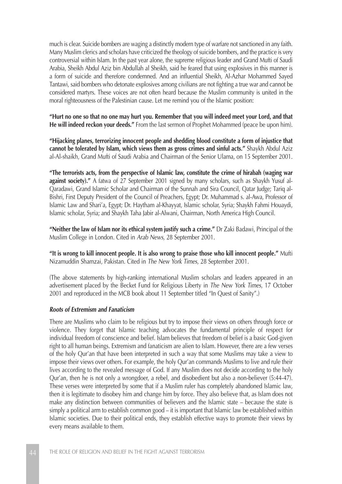much is clear. Suicide bombers are waging a distinctly modern type of warfare not sanctioned in any faith. Many Muslim clerics and scholars have criticized the theology of suicide bombers, and the practice is very controversial within Islam. In the past year alone, the supreme religious leader and Grand Mufti of Saudi Arabia, Sheikh Abdul Aziz bin Abdullah al Sheikh, said he feared that using explosives in this manner is a form of suicide and therefore condemned. And an influential Sheikh, Al-Azhar Mohammed Sayed Tantawi, said bombers who detonate explosives among civilians are not fighting a true war and cannot be considered martyrs. These voices are not often heard because the Muslim community is united in the moral righteousness of the Palestinian cause. Let me remind you of the Islamic position:

"Hurt no one so that no one may hurt you. Remember that you will indeed meet your Lord, and that He will indeed reckon your deeds." From the last sermon of Prophet Mohammed (peace be upon him).

"Hijacking planes, terrorizing innocent people and shedding blood constitute a form of injustice that cannot be tolerated by Islam, which views them as gross crimes and sinful acts." Shaykh Abdul Aziz al-Al-shaikh, Grand Mufti of Saudi Arabia and Chairman of the Senior Ulama, on 15 September 2001.

"The terrorists acts, from the perspective of Islamic law, constitute the crime of hirabah (waging war against society)." A fatwa of 27 September 2001 signed by many scholars, such as Shaykh Yusuf al-Qaradawi, Grand Islamic Scholar and Chairman of the Sunnah and Sira Council, Qatar Judge; Tariq al-Bishri, First Deputy President of the Council of Preachers, Egypt; Dr. Muhammad s. al-Awa, Professor of Islamic Law and Shari'a, Egypt; Dr. Haytham al-Khayyat, Islamic scholar, Syria; Shaykh Fahmi Houaydi, Islamic scholar, Syria; and Shaykh Taha Jabir al-Alwani, Chairman, North America High Council.

"Neither the law of Islam nor its ethical system justify such a crime." Dr Zaki Badawi, Principal of the Muslim College in London. Cited in Arab News, 28 September 2001.

"It is wrong to kill innocent people. It is also wrong to praise those who kill innocent people." Mufti Nizamuddin Shamzai, Pakistan. Cited in The New York Times, 28 September 2001.

(The above statements by high-ranking international Muslim scholars and leaders appeared in an advertisement placed by the Becket Fund for Religious Liberty in The New York Times, 17 October 2001 and reproduced in the MCB book about 11 September titled "In Quest of Sanity".)

#### Roots of Extremism and Fanaticism

There are Muslims who claim to be religious but try to impose their views on others through force or violence. They forget that Islamic teaching advocates the fundamental principle of respect for individual freedom of conscience and belief. Islam believes that freedom of belief is a basic God-given right to all human beings. Extremism and fanaticism are alien to Islam. However, there are a few verses of the holy Qur'an that have been interpreted in such a way that some Muslims may take a view to impose their views over others. For example, the holy Qur'an commands Muslims to live and rule their lives according to the revealed message of God. If any Muslim does not decide according to the holy Qur'an, then he is not only a wrongdoer, a rebel, and disobedient but also a non-believer (5:44-47). These verses were interpreted by some that if a Muslim ruler has completely abandoned Islamic law, then it is legitimate to disobey him and change him by force. They also believe that, as Islam does not make any distinction between communities of believers and the Islamic state – because the state is simply a political arm to establish common good – it is important that Islamic law be established within Islamic societies. Due to their political ends, they establish effective ways to promote their views by every means available to them.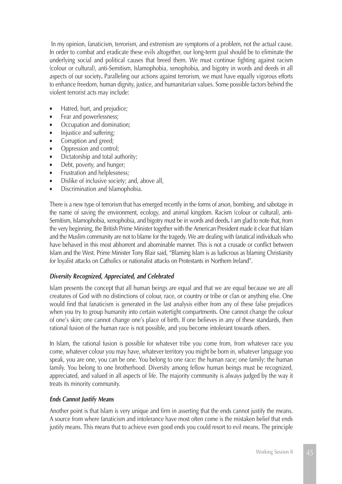In my opinion, fanaticism, terrorism, and extremism are symptoms of a problem, not the actual cause. In order to combat and eradicate these evils altogether, our long-term goal should be to eliminate the underlying social and political causes that breed them. We must continue fighting against racism (colour or cultural), anti-Semitism, Islamophobia, xenophobia, and bigotry in words and deeds in all aspects of our society. Paralleling our actions against terrorism, we must have equally vigorous efforts to enhance freedom, human dignity, justice, and humanitarian values. Some possible factors behind the violent terrorist acts may include:

- Hatred, hurt, and prejudice;
- Fear and powerlessness;
- Occupation and domination:
- Injustice and suffering;
- Corruption and greed;
- Oppression and control:
- Dictatorship and total authority;
- Debt, poverty, and hunger;
- Frustration and helplessness;
- Dislike of inclusive society; and, above all,
- Discrimination and Islamophobia.

There is a new type of terrorism that has emerged recently in the forms of arson, bombing, and sabotage in the name of saving the environment, ecology, and animal kingdom. Racism (colour or cultural), anti-Semitism, Islamophobia, xenophobia, and bigotry must be in words and deeds. I am glad to note that, from the very beginning, the British Prime Minister together with the American President made it clear that Islam and the Muslim community are not to blame for the tragedy. We are dealing with fanatical individuals who have behaved in this most abhorrent and abominable manner. This is not a crusade or conflict between Islam and the West. Prime Minister Tony Blair said, "Blaming Islam is as ludicrous as blaming Christianity for loyalist attacks on Catholics or nationalist attacks on Protestants in Northern Ireland".

## Diversity Recognized, Appreciated, and Celebrated

Islam presents the concept that all human beings are equal and that we are equal because we are all creatures of God with no distinctions of colour, race, or country or tribe or clan or anything else. One would find that fanaticism is generated in the last analysis either from any of these false prejudices when you try to group humanity into certain watertight compartments. One cannot change the colour of one's skin; one cannot change one's place of birth. If one believes in any of these standards, then rational fusion of the human race is not possible, and you become intolerant towards others.

In Islam, the rational fusion is possible for whatever tribe you come from, from whatever race you come, whatever colour you may have, whatever territory you might be born in, whatever language you speak, you are one, you can be one. You belong to one race: the human race; one family: the human family. You belong to one brotherhood. Diversity among fellow human beings must be recognized, appreciated, and valued in all aspects of life. The majority community is always judged by the way it treats its minority community.

### Ends Cannot Justify Means

Another point is that Islam is very unique and firm in asserting that the ends cannot justify the means. A source from where fanaticism and intolerance have most often come is the mistaken belief that ends justify means. This means that to achieve even good ends you could resort to evil means. The principle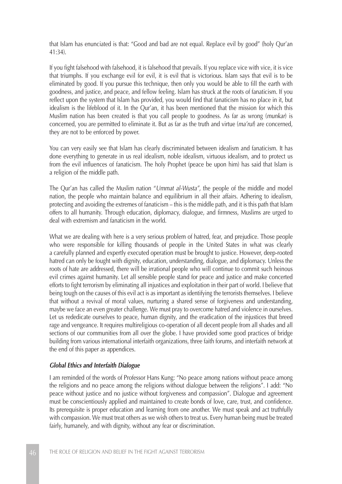that Islam has enunciated is that: "Good and bad are not equal. Replace evil by good" (holy Qur'an 41:34).

If you fight falsehood with falsehood, it is falsehood that prevails. If you replace vice with vice, it is vice that triumphs. If you exchange evil for evil, it is evil that is victorious. Islam says that evil is to be eliminated by good. If you pursue this technique, then only you would be able to fill the earth with goodness, and justice, and peace, and fellow feeling. Islam has struck at the roots of fanaticism. If you reflect upon the system that Islam has provided, you would find that fanaticism has no place in it, but idealism is the lifeblood of it. In the Qur'an, it has been mentioned that the mission for which this Muslim nation has been created is that you call people to goodness. As far as wrong (munkar) is concerned, you are permitted to eliminate it. But as far as the truth and virtue (ma'ruf) are concerned, they are not to be enforced by power.

You can very easily see that Islam has clearly discriminated between idealism and fanaticism. It has done everything to generate in us real idealism, noble idealism, virtuous idealism, and to protect us from the evil influences of fanaticism. The holy Prophet (peace be upon him) has said that Islam is a religion of the middle path.

The Qur'an has called the Muslim nation "Ummat al-Wusta", the people of the middle and model nation, the people who maintain balance and equilibrium in all their affairs. Adhering to idealism, protecting and avoiding the extremes of fanaticism – this is the middle path, and it is this path that Islam offers to all humanity. Through education, diplomacy, dialogue, and firmness, Muslims are urged to deal with extremism and fanaticism in the world.

What we are dealing with here is a very serious problem of hatred, fear, and prejudice. Those people who were responsible for killing thousands of people in the United States in what was clearly a carefully planned and expertly executed operation must be brought to justice. However, deep-rooted hatred can only be fought with dignity, education, understanding, dialogue, and diplomacy. Unless the roots of hate are addressed, there will be irrational people who will continue to commit such heinous evil crimes against humanity. Let all sensible people stand for peace and justice and make concerted efforts to fight terrorism by eliminating all injustices and exploitation in their part of world. I believe that being tough on the causes of this evil act is as important as identifying the terrorists themselves. I believe that without a revival of moral values, nurturing a shared sense of forgiveness and understanding, maybe we face an even greater challenge. We must pray to overcome hatred and violence in ourselves. Let us rededicate ourselves to peace, human dignity, and the eradication of the injustices that breed rage and vengeance. It requires multireligious co-operation of all decent people from all shades and all sections of our communities from all over the globe. I have provided some good practices of bridge building from various international interfaith organizations, three faith forums, and interfaith network at the end of this paper as appendices.

#### Global Ethics and Interfaith Dialogue

I am reminded of the words of Professor Hans Kung: "No peace among nations without peace among the religions and no peace among the religions without dialogue between the religions". I add: "No peace without justice and no justice without forgiveness and compassion". Dialogue and agreement must be conscientiously applied and maintained to create bonds of love, care, trust, and confidence. Its prerequisite is proper education and learning from one another. We must speak and act truthfully with compassion. We must treat others as we wish others to treat us. Every human being must be treated fairly, humanely, and with dignity, without any fear or discrimination.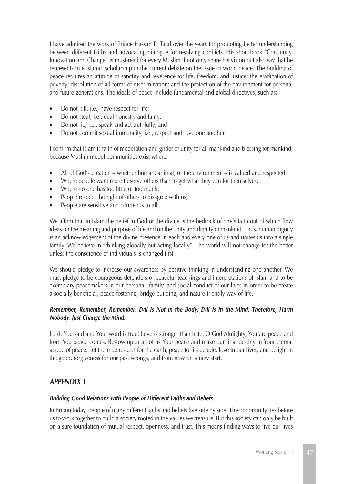I have admired the work of Prince Hassan El Talal over the years for promoting better understanding between different faiths and advocating dialogue for resolving conflicts. His short book "Continuity, Innovation and Change" is must-read for every Muslim. I not only share his vision but also say that he represents true Islamic scholarship in the current debate on the issue of world peace. The building of peace requires an attitude of sanctity and reverence for life, freedom, and justice; the eradication of poverty; dissolution of all forms of discrimination; and the protection of the environment for personal and future generations. The ideals of peace include fundamental and global directives, such as:

- Do not kill, i.e., have respect for life;
- Do not steal, i.e., deal honestly and fairly;
- Do not lie, i.e., speak and act truthfully; and
- Do not commit sexual immorality, i.e., respect and love one another.

I confirm that Islam is faith of moderation and girder of unity for all mankind and blessing for mankind, because Muslim model communities exist where:

- All of God's creation whether human, animal, or the environment is valued and respected;
- Where people want more to serve others than to get what they can for themselves;
- Where no one has too little or too much;
- People respect the right of others to disagree with us;
- People are sensitive and courteous to all.

We affirm that in Islam the belief in God or the divine is the bedrock of one's faith out of which flow ideas on the meaning and purpose of life and on the unity and dignity of mankind. Thus, human dignity is an acknowledgement of the divine presence in each and every one of us and unites us into a single family. We believe in "thinking globally but acting locally". The world will not change for the better unless the conscience of individuals is changed first.

We should pledge to increase our awareness by positive thinking in understanding one another. We must pledge to be courageous defenders of peaceful teachings and interpretations of Islam and to be exemplary peacemakers in our personal, family, and social conduct of our lives in order to be create a socially beneficial, peace-fostering, bridge-building, and nature-friendly way of life.

### Remember, Remember, Remember: Evil Is Not in the Body; Evil Is in the Mind; Therefore, Harm Nobody. Just Change the Mind.

Lord, You said and Your word is true! Love is stronger than hate. O God Almighty, You are peace and from You peace comes. Bestow upon all of us Your peace and make our final destiny in Your eternal abode of peace. Let there be respect for the earth, peace for its people, love in our lives, and delight in the good, forgiveness for our past wrongs, and from now on a new start.

## APPENDIX 1

### Building Good Relations with People of Different Faiths and Beliefs

In Britain today, people of many different faiths and beliefs live side by side. The opportunity lies before us to work together to build a society rooted in the values we treasure. But this society can only be built on a sure foundation of mutual respect, openness, and trust. This means finding ways to live our lives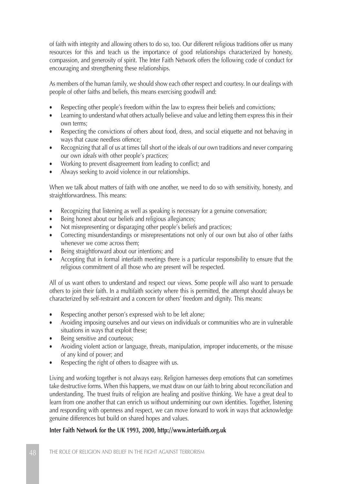of faith with integrity and allowing others to do so, too. Our different religious traditions offer us many resources for this and teach us the importance of good relationships characterized by honesty, compassion, and generosity of spirit. The Inter Faith Network offers the following code of conduct for encouraging and strengthening these relationships.

As members of the human family, we should show each other respect and courtesy. In our dealings with people of other faiths and beliefs, this means exercising goodwill and:

- Respecting other people's freedom within the law to express their beliefs and convictions;
- Learning to understand what others actually believe and value and letting them express this in their own terms;
- Respecting the convictions of others about food, dress, and social etiquette and not behaving in ways that cause needless offence;
- Recognizing that all of us at times fall short of the ideals of our own traditions and never comparing our own ideals with other people's practices;
- Working to prevent disagreement from leading to conflict; and
- Always seeking to avoid violence in our relationships.

When we talk about matters of faith with one another, we need to do so with sensitivity, honesty, and straightforwardness. This means:

- Recognizing that listening as well as speaking is necessary for a genuine conversation:
- Being honest about our beliefs and religious allegiances;
- Not misrepresenting or disparaging other people's beliefs and practices;
- Correcting misunderstandings or misrepresentations not only of our own but also of other faiths whenever we come across them;
- Being straightforward about our intentions; and
- Accepting that in formal interfaith meetings there is a particular responsibility to ensure that the religious commitment of all those who are present will be respected.

All of us want others to understand and respect our views. Some people will also want to persuade others to join their faith. In a multifaith society where this is permitted, the attempt should always be characterized by self-restraint and a concern for others' freedom and dignity. This means:

- Respecting another person's expressed wish to be left alone:
- Avoiding imposing ourselves and our views on individuals or communities who are in vulnerable situations in ways that exploit these;
- Being sensitive and courteous;
- Avoiding violent action or language, threats, manipulation, improper inducements, or the misuse of any kind of power; and
- Respecting the right of others to disagree with us.

Living and working together is not always easy. Religion harnesses deep emotions that can sometimes take destructive forms. When this happens, we must draw on our faith to bring about reconciliation and understanding. The truest fruits of religion are healing and positive thinking. We have a great deal to learn from one another that can enrich us without undermining our own identities. Together, listening and responding with openness and respect, we can move forward to work in ways that acknowledge genuine differences but build on shared hopes and values.

### Inter Faith Network for the UK 1993, 2000, http://www.interfaith.org.uk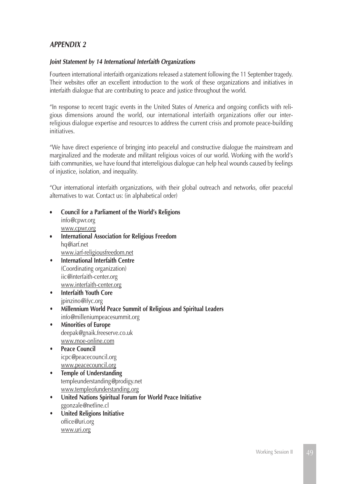## APPENDIX 2

### Joint Statement by 14 International Interfaith Organizations

Fourteen international interfaith organizations released a statement following the 11 September tragedy. Their websites offer an excellent introduction to the work of these organizations and initiatives in interfaith dialogue that are contributing to peace and justice throughout the world.

"In response to recent tragic events in the United States of America and ongoing conflicts with religious dimensions around the world, our international interfaith organizations offer our interreligious dialogue expertise and resources to address the current crisis and promote peace-building initiatives.

"We have direct experience of bringing into peaceful and constructive dialogue the mainstream and marginalized and the moderate and militant religious voices of our world. Working with the world's faith communities, we have found that interreligious dialogue can help heal wounds caused by feelings of injustice, isolation, and inequality.

"Our international interfaith organizations, with their global outreach and networks, offer peaceful alternatives to war. Contact us: (in alphabetical order)

- Council for a Parliament of the World's Religions info@cpwr.org www.cpwr.org
- International Association for Religious Freedom hq@iarf.net www.iarf-religiousfreedom.net
- International Interfaith Centre (Coordinating organization) iic@interfaith-center.org www.interfaith-center.org
- Interfaith Youth Core jpinzino@ifyc.org
- Millennium World Peace Summit of Religious and Spiritual Leaders info@milleniumpeacesummit.org
- Minorities of Europe deepak@gnaik.freeserve.co.uk www.moe-online.com
- Peace Council icpc@peacecouncil.org www.peacecouncil.org
- Temple of Understanding templeunderstanding@prodigy.net www.templeofunderstanding.org
- United Nations Spiritual Forum for World Peace Initiative ggonzale@netline.cl
- United Religions Initiative office@uri.org www.uri.org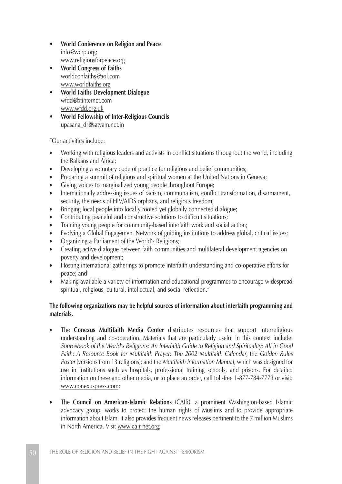- World Conference on Religion and Peace info@wcrp.org; www.religionsforpeace.org
- World Congress of Faiths worldconfaiths@aol.com www.worldfaiths.org
- World Faiths Development Dialogue wfdd@btinternet.com www.wfdd.org.uk
- World Fellowship of Inter-Religious Councils upasana\_dr@satyam.net.in

"Our activities include:

- Working with religious leaders and activists in conflict situations throughout the world, including the Balkans and Africa;
- Developing a voluntary code of practice for religious and belief communities;
- Preparing a summit of religious and spiritual women at the United Nations in Geneva;
- Giving voices to marginalized young people throughout Europe;
- Internationally addressing issues of racism, communalism, conflict transformation, disarmament, security, the needs of HIV/AIDS orphans, and religious freedom;
- Bringing local people into locally rooted yet globally connected dialogue;
- Contributing peaceful and constructive solutions to difficult situations;
- Training young people for community-based interfaith work and social action;
- Evolving a Global Engagement Network of guiding institutions to address global, critical issues;
- Organizing a Parliament of the World's Religions;
- Creating active dialogue between faith communities and multilateral development agencies on poverty and development;
- Hosting international gatherings to promote interfaith understanding and co-operative efforts for peace; and
- Making available a variety of information and educational programmes to encourage widespread spiritual, religious, cultural, intellectual, and social reflection."

## The following organizations may be helpful sources of information about interfaith programming and materials.

- The Conexus Multifaith Media Center distributes resources that support interreligious understanding and co-operation. Materials that are particularly useful in this context include: Sourcebook of the World's Religions: An Interfaith Guide to Religion and Spirituality; All in Good Faith: A Resource Book for Multifaith Prayer; The 2002 Multifaith Calendar; the Golden Rules Poster (versions from 13 religions); and the Multifaith Information Manual, which was designed for use in institutions such as hospitals, professional training schools, and prisons. For detailed information on these and other media, or to place an order, call toll-free 1-877-784-7779 or visit: www.conexuspress.com;
- The **Council on American-Islamic Relations** (CAIR), a prominent Washington-based Islamic advocacy group, works to protect the human rights of Muslims and to provide appropriate information about Islam. It also provides frequent news releases pertinent to the 7 million Muslims in North America. Visit www.cair-net.org;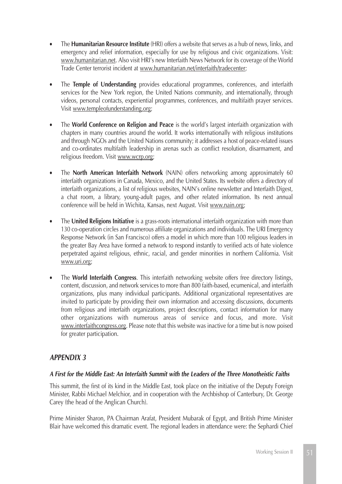- The **Humanitarian Resource Institute** (HRI) offers a website that serves as a hub of news, links, and emergency and relief information, especially for use by religious and civic organizations. Visit: www.humanitarian.net. Also visit HRI's new Interfaith News Network for its coverage of the World Trade Center terrorist incident at www.humanitarian.net/interfaith/tradecenter;
- The Temple of Understanding provides educational programmes, conferences, and interfaith services for the New York region, the United Nations community, and internationally, through videos, personal contacts, experiential programmes, conferences, and multifaith prayer services. Visit www.templeofunderstanding.org;
- The World Conference on Religion and Peace is the world's largest interfaith organization with chapters in many countries around the world. It works internationally with religious institutions and through NGOs and the United Nations community; it addresses a host of peace-related issues and co-ordinates multifaith leadership in arenas such as conflict resolution, disarmament, and religious freedom. Visit www.wcrp.org;
- The North American Interfaith Network (NAIN) offers networking among approximately 60 interfaith organizations in Canada, Mexico, and the United States. Its website offers a directory of interfaith organizations, a list of religious websites, NAIN's online newsletter and Interfaith Digest, a chat room, a library, young-adult pages, and other related information. Its next annual conference will be held in Wichita, Kansas, next August. Visit www.nain.org;
- The United Religions Initiative is a grass-roots international interfaith organization with more than 130 co-operation circles and numerous affiliate organizations and individuals. The URI Emergency Response Network (in San Francisco) offers a model in which more than 100 religious leaders in the greater Bay Area have formed a network to respond instantly to verified acts of hate violence perpetrated against religious, ethnic, racial, and gender minorities in northern California. Visit www.uri.org;
- The World Interfaith Congress. This interfaith networking website offers free directory listings, content, discussion, and network services to more than 800 faith-based, ecumenical, and interfaith organizations, plus many individual participants. Additional organizational representatives are invited to participate by providing their own information and accessing discussions, documents from religious and interfaith organizations, project descriptions, contact information for many other organizations with numerous areas of service and focus, and more. Visit www.interfaithcongress.org. Please note that this website was inactive for a time but is now poised for greater participation.

## APPENDIX 3

## A First for the Middle East: An Interfaith Summit with the Leaders of the Three Monotheistic Faiths

This summit, the first of its kind in the Middle East, took place on the initiative of the Deputy Foreign Minister, Rabbi Michael Melchior, and in cooperation with the Archbishop of Canterbury, Dr. George Carey (the head of the Anglican Church).

Prime Minister Sharon, PA Chairman Arafat, President Mubarak of Egypt, and British Prime Minister Blair have welcomed this dramatic event. The regional leaders in attendance were: the Sephardi Chief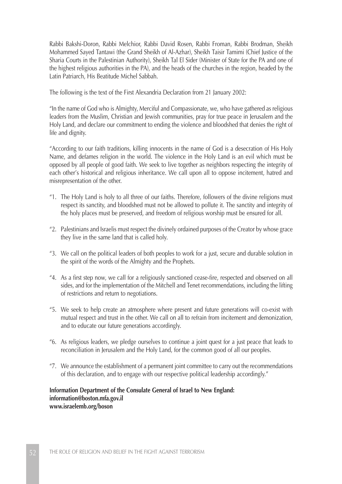Rabbi Bakshi-Doron, Rabbi Melchior, Rabbi David Rosen, Rabbi Froman, Rabbi Brodman, Sheikh Mohammed Sayed Tantawi (the Grand Sheikh of Al-Azhar), Sheikh Taisir Tamimi (Chief Justice of the Sharia Courts in the Palestinian Authority), Sheikh Tal El Sider (Minister of State for the PA and one of the highest religious authorities in the PA), and the heads of the churches in the region, headed by the Latin Patriarch, His Beatitude Michel Sabbah.

The following is the text of the First Alexandria Declaration from 21 January 2002:

"In the name of God who is Almighty, Merciful and Compassionate, we, who have gathered as religious leaders from the Muslim, Christian and Jewish communities, pray for true peace in Jerusalem and the Holy Land, and declare our commitment to ending the violence and bloodshed that denies the right of life and dignity.

"According to our faith traditions, killing innocents in the name of God is a desecration of His Holy Name, and defames religion in the world. The violence in the Holy Land is an evil which must be opposed by all people of good faith. We seek to live together as neighbors respecting the integrity of each other's historical and religious inheritance. We call upon all to oppose incitement, hatred and misrepresentation of the other.

- "1. The Holy Land is holy to all three of our faiths. Therefore, followers of the divine religions must respect its sanctity, and bloodshed must not be allowed to pollute it. The sanctity and integrity of the holy places must be preserved, and freedom of religious worship must be ensured for all.
- "2. Palestinians and Israelis must respect the divinely ordained purposes of the Creator by whose grace they live in the same land that is called holy.
- "3. We call on the political leaders of both peoples to work for a just, secure and durable solution in the spirit of the words of the Almighty and the Prophets.
- "4. As a first step now, we call for a religiously sanctioned cease-fire, respected and observed on all sides, and for the implementation of the Mitchell and Tenet recommendations, including the lifting of restrictions and return to negotiations.
- "5. We seek to help create an atmosphere where present and future generations will co-exist with mutual respect and trust in the other. We call on all to refrain from incitement and demonization, and to educate our future generations accordingly.
- "6. As religious leaders, we pledge ourselves to continue a joint quest for a just peace that leads to reconciliation in Jerusalem and the Holy Land, for the common good of all our peoples.
- "7. We announce the establishment of a permanent joint committee to carry out the recommendations of this declaration, and to engage with our respective political leadership accordingly."

#### Information Department of the Consulate General of Israel to New England: information@boston.mfa.gov.il www.israelemb.org/boson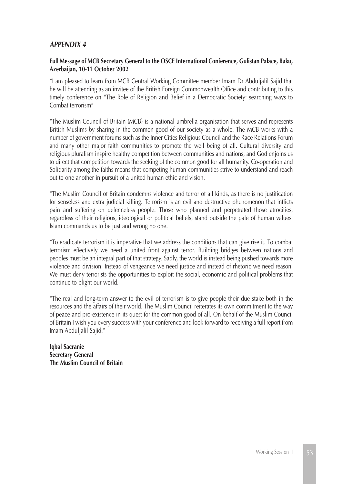## APPENDIX 4

### Full Message of MCB Secretary General to the OSCE International Conference, Gulistan Palace, Baku, Azerbaijan, 10-11 October 2002

"I am pleased to learn from MCB Central Working Committee member Imam Dr Abduljalil Sajid that he will be attending as an invitee of the British Foreign Commonwealth Office and contributing to this timely conference on "The Role of Religion and Belief in a Democratic Society: searching ways to Combat terrorism"

"The Muslim Council of Britain (MCB) is a national umbrella organisation that serves and represents British Muslims by sharing in the common good of our society as a whole. The MCB works with a number of government forums such as the Inner Cities Religious Council and the Race Relations Forum and many other major faith communities to promote the well being of all. Cultural diversity and religious pluralism inspire healthy competition between communities and nations, and God enjoins us to direct that competition towards the seeking of the common good for all humanity. Co-operation and Solidarity among the faiths means that competing human communities strive to understand and reach out to one another in pursuit of a united human ethic and vision.

"The Muslim Council of Britain condemns violence and terror of all kinds, as there is no justification for senseless and extra judicial killing. Terrorism is an evil and destructive phenomenon that inflicts pain and suffering on defenceless people. Those who planned and perpetrated those atrocities, regardless of their religious, ideological or political beliefs, stand outside the pale of human values. Islam commands us to be just and wrong no one.

"To eradicate terrorism it is imperative that we address the conditions that can give rise it. To combat terrorism effectively we need a united front against terror. Building bridges between nations and peoples must be an integral part of that strategy. Sadly, the world is instead being pushed towards more violence and division. Instead of vengeance we need justice and instead of rhetoric we need reason. We must deny terrorists the opportunities to exploit the social, economic and political problems that continue to blight our world.

"The real and long-term answer to the evil of terrorism is to give people their due stake both in the resources and the affairs of their world. The Muslim Council reiterates its own commitment to the way of peace and pro-existence in its quest for the common good of all. On behalf of the Muslim Council of Britain I wish you every success with your conference and look forward to receiving a full report from Imam Abdulialil Sajid."

Iqbal Sacranie Secretary General The Muslim Council of Britain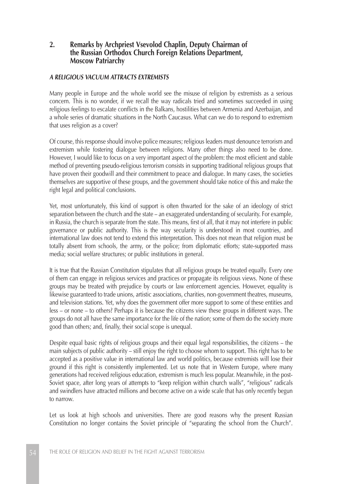## 2. Remarks by Archpriest Vsevolod Chaplin, Deputy Chairman of the Russian Orthodox Church Foreign Relations Department, Moscow Patriarchy

### A RELIGIOUS VACUUM ATTRACTS EXTREMISTS

Many people in Europe and the whole world see the misuse of religion by extremists as a serious concern. This is no wonder, if we recall the way radicals tried and sometimes succeeded in using religious feelings to escalate conflicts in the Balkans, hostilities between Armenia and Azerbaijan, and a whole series of dramatic situations in the North Caucasus. What can we do to respond to extremism that uses religion as a cover?

Of course, this response should involve police measures; religious leaders must denounce terrorism and extremism while fostering dialogue between religions. Many other things also need to be done. However, I would like to focus on a very important aspect of the problem: the most efficient and stable method of preventing pseudo-religious terrorism consists in supporting traditional religious groups that have proven their goodwill and their commitment to peace and dialogue. In many cases, the societies themselves are supportive of these groups, and the government should take notice of this and make the right legal and political conclusions.

Yet, most unfortunately, this kind of support is often thwarted for the sake of an ideology of strict separation between the church and the state – an exaggerated understanding of secularity. For example, in Russia, the church is separate from the state. This means, first of all, that it may not interfere in public governance or public authority. This is the way secularity is understood in most countries, and international law does not tend to extend this interpretation. This does not mean that religion must be totally absent from schools, the army, or the police; from diplomatic efforts; state-supported mass media; social welfare structures; or public institutions in general.

It is true that the Russian Constitution stipulates that all religious groups be treated equally. Every one of them can engage in religious services and practices or propagate its religious views. None of these groups may be treated with prejudice by courts or law enforcement agencies. However, equality is likewise guaranteed to trade unions, artistic associations, charities, non-government theatres, museums, and television stations. Yet, why does the government offer more support to some of these entities and less – or none – to others? Perhaps it is because the citizens view these groups in different ways. The groups do not all have the same importance for the life of the nation; some of them do the society more good than others; and, finally, their social scope is unequal.

Despite equal basic rights of religious groups and their equal legal responsibilities, the citizens – the main subjects of public authority – still enjoy the right to choose whom to support. This right has to be accepted as a positive value in international law and world politics, because extremists will lose their ground if this right is consistently implemented. Let us note that in Western Europe, where many generations had received religious education, extremism is much less popular. Meanwhile, in the post-Soviet space, after long years of attempts to "keep religion within church walls", "religious" radicals and swindlers have attracted millions and become active on a wide scale that has only recently begun to narrow.

Let us look at high schools and universities. There are good reasons why the present Russian Constitution no longer contains the Soviet principle of "separating the school from the Church".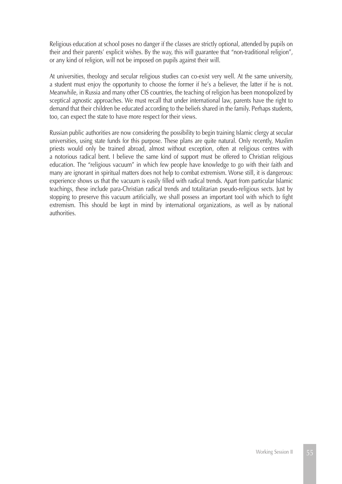Religious education at school poses no danger if the classes are strictly optional, attended by pupils on their and their parents' explicit wishes. By the way, this will guarantee that "non-traditional religion", or any kind of religion, will not be imposed on pupils against their will.

At universities, theology and secular religious studies can co-exist very well. At the same university, a student must enjoy the opportunity to choose the former if he's a believer, the latter if he is not. Meanwhile, in Russia and many other CIS countries, the teaching of religion has been monopolized by sceptical agnostic approaches. We must recall that under international law, parents have the right to demand that their children be educated according to the beliefs shared in the family. Perhaps students, too, can expect the state to have more respect for their views.

Russian public authorities are now considering the possibility to begin training Islamic clergy at secular universities, using state funds for this purpose. These plans are quite natural. Only recently, Muslim priests would only be trained abroad, almost without exception, often at religious centres with a notorious radical bent. I believe the same kind of support must be offered to Christian religious education. The "religious vacuum" in which few people have knowledge to go with their faith and many are ignorant in spiritual matters does not help to combat extremism. Worse still, it is dangerous: experience shows us that the vacuum is easily filled with radical trends. Apart from particular Islamic teachings, these include para-Christian radical trends and totalitarian pseudo-religious sects. Just by stopping to preserve this vacuum artificially, we shall possess an important tool with which to fight extremism. This should be kept in mind by international organizations, as well as by national authorities.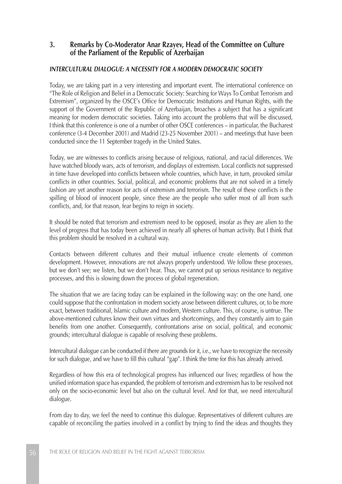## 3. Remarks by Co-Moderator Anar Rzayev, Head of the Committee on Culture of the Parliament of the Republic of Azerbaijan

### INTERCULTURAL DIALOGUE: A NECESSITY FOR A MODERN DEMOCRATIC SOCIETY

Today, we are taking part in a very interesting and important event. The international conference on "The Role of Religion and Belief in a Democratic Society: Searching for Ways To Combat Terrorism and Extremism", organized by the OSCE's Office for Democratic Institutions and Human Rights, with the support of the Government of the Republic of Azerbaijan, broaches a subject that has a significant meaning for modern democratic societies. Taking into account the problems that will be discussed, I think that this conference is one of a number of other OSCE conferences – in particular, the Bucharest conference (3-4 December 2001) and Madrid (23-25 November 2001) – and meetings that have been conducted since the 11 September tragedy in the United States.

Today, we are witnesses to conflicts arising because of religious, national, and racial differences. We have watched bloody wars, acts of terrorism, and displays of extremism. Local conflicts not suppressed in time have developed into conflicts between whole countries, which have, in turn, provoked similar conflicts in other countries. Social, political, and economic problems that are not solved in a timely fashion are yet another reason for acts of extremism and terrorism. The result of these conflicts is the spilling of blood of innocent people, since these are the people who suffer most of all from such conflicts, and, for that reason, fear begins to reign in society.

It should be noted that terrorism and extremism need to be opposed, insofar as they are alien to the level of progress that has today been achieved in nearly all spheres of human activity. But I think that this problem should be resolved in a cultural way.

Contacts between different cultures and their mutual influence create elements of common development. However, innovations are not always properly understood. We follow these processes, but we don't see; we listen, but we don't hear. Thus, we cannot put up serious resistance to negative processes, and this is slowing down the process of global regeneration.

The situation that we are facing today can be explained in the following way: on the one hand, one could suppose that the confrontation in modern society arose between different cultures, or, to be more exact, between traditional, Islamic culture and modern, Western culture. This, of course, is untrue. The above-mentioned cultures know their own virtues and shortcomings, and they constantly aim to gain benefits from one another. Consequently, confrontations arise on social, political, and economic grounds; intercultural dialogue is capable of resolving these problems.

Intercultural dialogue can be conducted if there are grounds for it, i.e., we have to recognize the necessity for such dialogue, and we have to fill this cultural "gap". I think the time for this has already arrived.

Regardless of how this era of technological progress has influenced our lives; regardless of how the unified information space has expanded, the problem of terrorism and extremism has to be resolved not only on the socio-economic level but also on the cultural level. And for that, we need intercultural dialogue.

From day to day, we feel the need to continue this dialogue. Representatives of different cultures are capable of reconciling the parties involved in a conflict by trying to find the ideas and thoughts they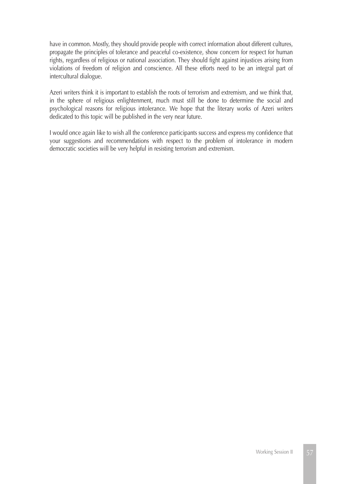have in common. Mostly, they should provide people with correct information about different cultures, propagate the principles of tolerance and peaceful co-existence, show concern for respect for human rights, regardless of religious or national association. They should fight against injustices arising from violations of freedom of religion and conscience. All these efforts need to be an integral part of intercultural dialogue.

Azeri writers think it is important to establish the roots of terrorism and extremism, and we think that, in the sphere of religious enlightenment, much must still be done to determine the social and psychological reasons for religious intolerance. We hope that the literary works of Azeri writers dedicated to this topic will be published in the very near future.

I would once again like to wish all the conference participants success and express my confidence that your suggestions and recommendations with respect to the problem of intolerance in modern democratic societies will be very helpful in resisting terrorism and extremism.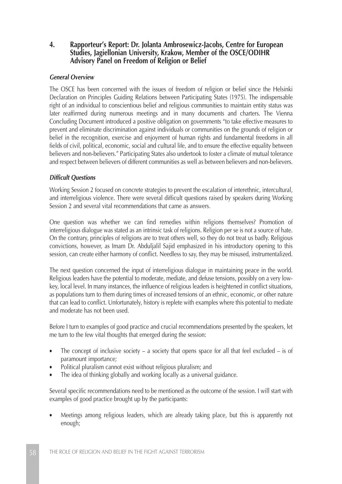## 4. Rapporteur's Report: Dr. Jolanta Ambrosewicz-Jacobs, Centre for European Studies, Jagiellonian University, Krakow, Member of the OSCE/ODIHR Advisory Panel on Freedom of Religion or Belief

## General Overview

The OSCE has been concerned with the issues of freedom of religion or belief since the Helsinki Declaration on Principles Guiding Relations between Participating States (1975). The indispensable right of an individual to conscientious belief and religious communities to maintain entity status was later reaffirmed during numerous meetings and in many documents and charters. The Vienna Concluding Document introduced a positive obligation on governments "to take effective measures to prevent and eliminate discrimination against individuals or communities on the grounds of religion or belief in the recognition, exercise and enjoyment of human rights and fundamental freedoms in all fields of civil, political, economic, social and cultural life, and to ensure the effective equality between believers and non-believers." Participating States also undertook to foster a climate of mutual tolerance and respect between believers of different communities as well as between believers and non-believers.

## Difficult Questions

Working Session 2 focused on concrete strategies to prevent the escalation of interethnic, intercultural, and interreligious violence. There were several difficult questions raised by speakers during Working Session 2 and several vital recommendations that came as answers.

One question was whether we can find remedies within religions themselves? Promotion of interreligious dialogue was stated as an intrinsic task of religions. Religion per se is not a source of hate. On the contrary, principles of religions are to treat others well, so they do not treat us badly. Religious convictions, however, as Imam Dr. Abduljalil Sajid emphasized in his introductory opening to this session, can create either harmony of conflict. Needless to say, they may be misused, instrumentalized.

The next question concerned the input of interreligious dialogue in maintaining peace in the world. Religious leaders have the potential to moderate, mediate, and defuse tensions, possibly on a very lowkey, local level. In many instances, the influence of religious leaders is heightened in conflict situations, as populations turn to them during times of increased tensions of an ethnic, economic, or other nature that can lead to conflict. Unfortunately, history is replete with examples where this potential to mediate and moderate has not been used.

Before I turn to examples of good practice and crucial recommendations presented by the speakers, let me turn to the few vital thoughts that emerged during the session:

- The concept of inclusive society a society that opens space for all that feel excluded is of paramount importance;
- Political pluralism cannot exist without religious pluralism; and
- The idea of thinking globally and working locally as a universal guidance.

Several specific recommendations need to be mentioned as the outcome of the session. I will start with examples of good practice brought up by the participants:

• Meetings among religious leaders, which are already taking place, but this is apparently not enough;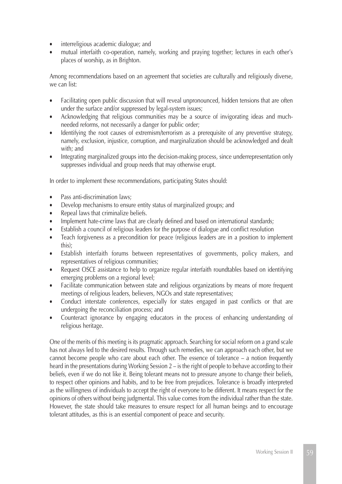- interreligious academic dialogue; and
- mutual interfaith co-operation, namely, working and praying together; lectures in each other's places of worship, as in Brighton.

Among recommendations based on an agreement that societies are culturally and religiously diverse, we can list:

- Facilitating open public discussion that will reveal unpronounced, hidden tensions that are often under the surface and/or suppressed by legal-system issues;
- Acknowledging that religious communities may be a source of invigorating ideas and muchneeded reforms, not necessarily a danger for public order;
- Identifying the root causes of extremism/terrorism as a prerequisite of any preventive strategy, namely, exclusion, injustice, corruption, and marginalization should be acknowledged and dealt with; and
- Integrating marginalized groups into the decision-making process, since underrepresentation only suppresses individual and group needs that may otherwise erupt.

In order to implement these recommendations, participating States should:

- Pass anti-discrimination laws;
- Develop mechanisms to ensure entity status of marginalized groups; and
- Repeal laws that criminalize beliefs.
- Implement hate-crime laws that are clearly defined and based on international standards;
- Establish a council of religious leaders for the purpose of dialogue and conflict resolution
- Teach forgiveness as a precondition for peace (religious leaders are in a position to implement this);
- Establish interfaith forums between representatives of governments, policy makers, and representatives of religious communities;
- Request OSCE assistance to help to organize regular interfaith roundtables based on identifying emerging problems on a regional level;
- Facilitate communication between state and religious organizations by means of more frequent meetings of religious leaders, believers, NGOs and state representatives;
- Conduct interstate conferences, especially for states engaged in past conflicts or that are undergoing the reconciliation process; and
- Counteract ignorance by engaging educators in the process of enhancing understanding of religious heritage.

One of the merits of this meeting is its pragmatic approach. Searching for social reform on a grand scale has not always led to the desired results. Through such remedies, we can approach each other, but we cannot become people who care about each other. The essence of tolerance – a notion frequently heard in the presentations during Working Session 2 – is the right of people to behave according to their beliefs, even if we do not like it. Being tolerant means not to pressure anyone to change their beliefs, to respect other opinions and habits, and to be free from prejudices. Tolerance is broadly interpreted as the willingness of individuals to accept the right of everyone to be different. It means respect for the opinions of others without being judgmental. This value comes from the individual rather than the state. However, the state should take measures to ensure respect for all human beings and to encourage tolerant attitudes, as this is an essential component of peace and security.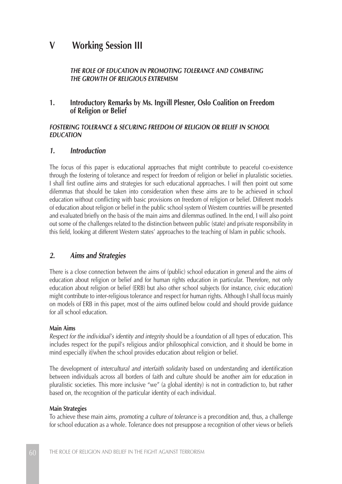# V Working Session III

## THE ROLE OF EDUCATION IN PROMOTING TOLERANCE AND COMBATING THE GROWTH OF RELIGIOUS EXTREMISM

## 1. Introductory Remarks by Ms. Ingvill Plesner, Oslo Coalition on Freedom of Religion or Belief

### FOSTERING TOLERANCE & SECURING FREEDOM OF RELIGION OR BELIEF IN SCHOOL **EDUCATION**

## 1. Introduction

The focus of this paper is educational approaches that might contribute to peaceful co-existence through the fostering of tolerance and respect for freedom of religion or belief in pluralistic societies. I shall first outline aims and strategies for such educational approaches. I will then point out some dilemmas that should be taken into consideration when these aims are to be achieved in school education without conflicting with basic provisions on freedom of religion or belief. Different models of education about religion or belief in the public school system of Western countries will be presented and evaluated briefly on the basis of the main aims and dilemmas outlined. In the end, I will also point out some of the challenges related to the distinction between public (state) and private responsibility in this field, looking at different Western states' approaches to the teaching of Islam in public schools.

## 2. Aims and Strategies

There is a close connection between the aims of (public) school education in general and the aims of education about religion or belief and for human rights education in particular. Therefore, not only education about religion or belief (ERB) but also other school subjects (for instance, civic education) might contribute to inter-religious tolerance and respect for human rights. Although I shall focus mainly on models of ERB in this paper, most of the aims outlined below could and should provide guidance for all school education.

#### Main Aims

Respect for the individual's identity and integrity should be a foundation of all types of education. This includes respect for the pupil's religious and/or philosophical conviction, and it should be borne in mind especially if/when the school provides education about religion or belief.

The development of intercultural and interfaith solidarity based on understanding and identification between individuals across all borders of faith and culture should be another aim for education in pluralistic societies. This more inclusive "we" (a global identity) is not in contradiction to, but rather based on, the recognition of the particular identity of each individual.

#### Main Strategies

To achieve these main aims, promoting a culture of tolerance is a precondition and, thus, a challenge for school education as a whole. Tolerance does not presuppose a recognition of other views or beliefs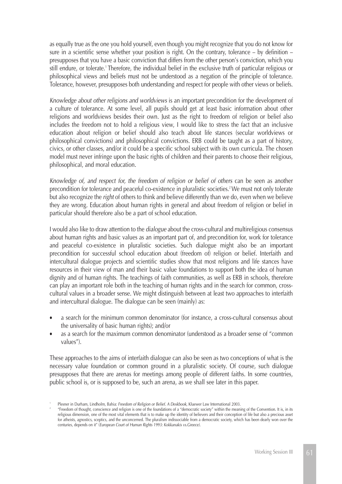as equally true as the one you hold yourself, even though you might recognize that you do not know for sure in a scientific sense whether your position is right. On the contrary, tolerance – by definition – presupposes that you have a basic conviction that differs from the other person's conviction, which you still endure, or tolerate.<sup>1</sup> Therefore, the individual belief in the exclusive truth of particular religious or philosophical views and beliefs must not be understood as a negation of the principle of tolerance. Tolerance, however, presupposes both understanding and respect for people with other views or beliefs.

Knowledge about other religions and worldviews is an important precondition for the development of a culture of tolerance. At some level, all pupils should get at least basic information about other religions and worldviews besides their own. Just as the right to freedom of religion or belief also includes the freedom not to hold a religious view, I would like to stress the fact that an inclusive education about religion or belief should also teach about life stances (secular worldviews or philosophical convictions) and philosophical convictions. ERB could be taught as a part of history, civics, or other classes, and/or it could be a specific school subject with its own curricula. The chosen model must never infringe upon the basic rights of children and their parents to choose their religious, philosophical, and moral education.

Knowledge of, and respect for, the freedom of religion or belief of others can be seen as another precondition for tolerance and peaceful co-existence in pluralistic societies.<sup>2</sup> We must not only tolerate but also recognize the right of others to think and believe differently than we do, even when we believe they are wrong. Education about human rights in general and about freedom of religion or belief in particular should therefore also be a part of school education.

I would also like to draw attention to the dialogue about the cross-cultural and multireligious consensus about human rights and basic values as an important part of, and precondition for, work for tolerance and peaceful co-existence in pluralistic societies. Such dialogue might also be an important precondition for successful school education about (freedom of) religion or belief. Interfaith and intercultural dialogue projects and scientific studies show that most religions and life stances have resources in their view of man and their basic value foundations to support both the idea of human dignity and of human rights. The teachings of faith communities, as well as ERB in schools, therefore can play an important role both in the teaching of human rights and in the search for common, crosscultural values in a broader sense. We might distinguish between at least two approaches to interfaith and intercultural dialogue. The dialogue can be seen (mainly) as:

- a search for the minimum common denominator (for instance, a cross-cultural consensus about the universality of basic human rights); and/or
- as a search for the maximum common denominator (understood as a broader sense of "common values").

These approaches to the aims of interfaith dialogue can also be seen as two conceptions of what is the necessary value foundation or common ground in a pluralistic society. Of course, such dialogue presupposes that there are arenas for meetings among people of different faiths. In some countries, public school is, or is supposed to be, such an arena, as we shall see later in this paper.

Plesner in Durham, Lindholm, Bahia: Freedom of Religion or Belief. A Deskbook, Kluewer Law International 2003.

<sup>2</sup> "Freedom of thought, conscience and religion is one of the foundations of a "democratic society" within the meaning of the Convention. It is, in its religious dimension, one of the most vital elements that is to make up the identity of believers and their conception of life but also a precious asset for atheists, agnostics, sceptics, and the unconcerned. The pluralism indissociable from a democratic society, which has been dearly won over the centuries, depends on it" (European Court of Human Rights 1993: Kokkanakis vs.Greece).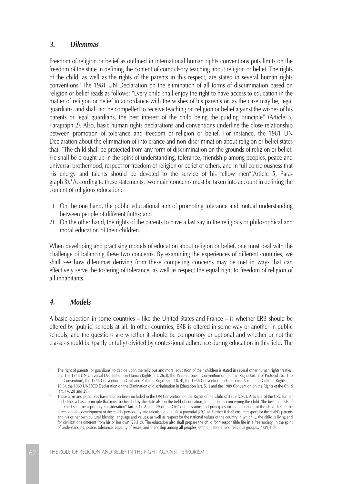## 3. Dilemmas

Freedom of religion or belief as outlined in international human rights conventions puts limits on the freedom of the state in defining the content of compulsory teaching about religion or belief. The rights of the child, as well as the rights of the parents in this respect, are stated in several human rights conventions.3 The 1981 UN Declaration on the elimination of all forms of discrimination based on religion or belief reads as follows: "Every child shall enjoy the right to have access to education in the matter of religion or belief in accordance with the wishes of his parents or, as the case may be, legal guardians, and shall not be compelled to receive teaching on religion or belief against the wishes of his parents or legal guardians, the best interest of the child being the guiding principle" (Article 5, Paragraph 2). Also, basic human rights declarations and conventions underline the close relationship between promotion of tolerance and freedom of religion or belief. For instance, the 1981 UN Declaration about the elimination of intolerance and non-discrimination about religion or belief states that: "The child shall be protected from any form of discrimination on the grounds of religion or belief. He shall be brought up in the spirit of understanding, tolerance, friendship among peoples, peace and universal brotherhood, respect for freedom of religion or belief of others, and in full consciousness that his energy and talents should be devoted to the service of his fellow men"(Article 5, Paragraph 3).4According to these statements, two main concerns must be taken into account in defining the content of religious education:

- 1) On the one hand, the public educational aim of promoting tolerance and mutual understanding between people of different faiths; and
- 2) On the other hand, the rights of the parents to have a last say in the religious or philosophical and moral education of their children.

When developing and practising models of education about religion or belief, one must deal with the challenge of balancing these two concerns. By examining the experiences of different countries, we shall see how dilemmas deriving from these competing concerns may be met in ways that can effectively serve the fostering of tolerance, as well as respect the equal right to freedom of religion of all inhabitants.

## 4. Models

A basic question in some countries – like the United States and France – is whether ERB should be offered by (public) schools at all. In other countries, ERB is offered in some way or another in public schools, and the questions are whether it should be compulsory or optional and whether or not the classes should be (partly or fully) divided by confessional adherence during education in this field. The

The right of parents (or guardians) to decide upon the religious and moral education of their children is stated in several other human rights treaties, e.g. The 1948 UN Universal Declaration on Human Rights (art. 26,3), the 1950 European Convention on Human Rights (art. 2 of Protocol No. 1 to the Convention), the 1966 Convention on Civil and Political Rights (art. 18, 4), the 1966 Convention on Economic, Social and Cultural Rights (art. 13,3), the 1969 UNESCO Declaration on the Elimination of discrimination in Education (art. 5,1) and the 1989 Convention on the Rights of the Child (art. 14, 28 and 29).

These aims and principles have later on been included in the UN Convention on the Rights of the Child of 1989 (CRC). Article 3 of the CRC further underlines a basic principle that must be heeded by the state also in the field of education; In all actions concerning the child "the best interests of the child shall be a primary consideration" (art. 3,1). Article 29 of the CRC outlines aims and principles for the education of the child: It shall be directed to the development of the child's personality and talents to their fullest potential (29,1 a). Further it shall ensure respect for the child's parents and his or her own cultural identity, language and values, as well as respect for the national values of the country in which … the child is living and for civilizations different from his or her own (29,1 c). The education also shall prepare the child for " responsible life in a free society, in the spirit of understanding, peace, tolerance, equality of sexes, and friendship among all peoples, ethnic, national and religious groups…" (29,1 d).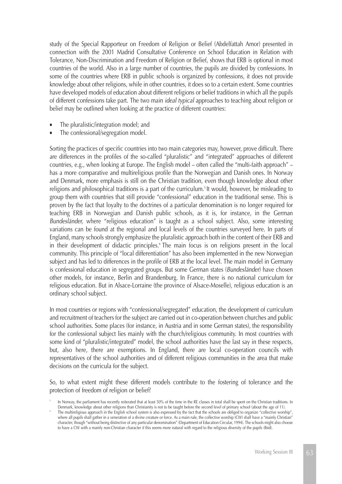study of the Special Rapporteur on Freedom of Religion or Belief (Abdelfattah Amor) presented in connection with the 2001 Madrid Consultative Conference on School Education in Relation with Tolerance, Non-Discrimination and Freedom of Religion or Belief, shows that ERB is optional in most countries of the world. Also in a large number of countries, the pupils are divided by confessions. In some of the countries where ERB in public schools is organized by confessions, it does not provide knowledge about other religions, while in other countries, it does so to a certain extent. Some countries have developed models of education about different religions or belief traditions in which all the pupils of different confessions take part. The two main ideal typical approaches to teaching about religion or belief may be outlined when looking at the practice of different countries:

- The pluralistic/integration model: and
- The confessional/segregation model.

Sorting the practices of specific countries into two main categories may, however, prove difficult. There are differences in the profiles of the so-called "pluralistic" and "integrated" approaches of different countries, e.g., when looking at Europe. The English model – often called the "multi-faith approach" – has a more comparative and multireligious profile than the Norwegian and Danish ones. In Norway and Denmark, more emphasis is still on the Christian tradition, even though knowledge about other religions and philosophical traditions is a part of the curriculum.<sup>5</sup> It would, however, be misleading to group them with countries that still provide "confessional" education in the traditional sense. This is proven by the fact that loyalty to the doctrines of a particular denomination is no longer required for teaching ERB in Norwegian and Danish public schools, as it is, for instance, in the German Bundesländer, where "religious education" is taught as a school subject. Also, some interesting variations can be found at the regional and local levels of the countries surveyed here. In parts of England, many schools strongly emphasize the pluralistic approach both in the content of their ERB and in their development of didactic principles.<sup>6</sup> The main focus is on religions present in the local community. This principle of "local differentiation" has also been implemented in the new Norwegian subject and has led to differences in the profile of ERB at the local level. The main model in Germany is confessional education in segregated groups. But some German states (Bundesländer) have chosen other models, for instance, Berlin and Brandenburg. In France, there is no national curriculum for religious education. But in Alsace-Lorraine (the province of Alsace-Moselle), religious education is an ordinary school subject.

In most countries or regions with "confessional/segregated" education, the development of curriculum and recruitment of teachers for the subject are carried out in co-operation between churches and public school authorities. Some places (for instance, in Austria and in some German states), the responsibility for the confessional subject lies mainly with the church/religious community. In most countries with some kind of "pluralistic/integrated" model, the school authorities have the last say in these respects, but, also here, there are exemptions. In England, there are local co-operation councils with representatives of the school authorities and of different religious communities in the area that make decisions on the curricula for the subject.

So, to what extent might these different models contribute to the fostering of tolerance and the protection of freedom of religion or belief?

In Norway, the parliament has recently reiterated that at least 50% of the time in the RE classes in total shall be spent on the Christian traditions. In Denmark, knowledge about other religions than Christianity is not to be taught before the second level of primary school (about the age of 11).

The multireligious approach in the English school system is also expressed by the fact that the schools are obliged to organize "collective worship", where all pupils shall gather in a veneration of a divine creature or force. As a main rule, the collective worship (CW) shall have a "mainly Christian" character, though "without being distinctive of any particular denomination" (Department of Education Circular, 1994). The schools might also choose to have a CW with a mainly non-Christian character if this seems more natural with regard to the religious diversity of the pupils (Ibid).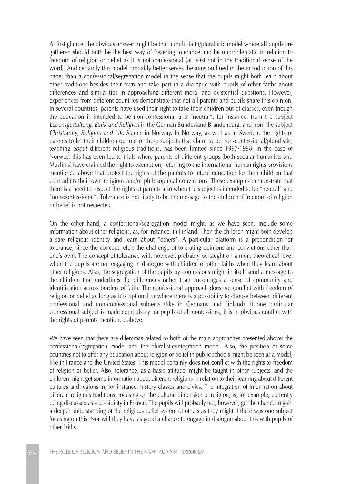At first glance, the obvious answer might be that a multi-faith/pluralistic model where all pupils are gathered should both be the best way of fostering tolerance and be unproblematic in relation to freedom of religion or belief as it is not confessional (at least not in the traditional sense of the word). And certainly this model probably better serves the aims outlined in the introduction of this paper than a confessional/segregation model in the sense that the pupils might both learn about other traditions besides their own and take part in a dialogue with pupils of other faiths about differences and similarities in approaching different moral and existential questions. However, experiences from different countries demonstrate that not all parents and pupils share this opinion. In several countries, parents have used their right to take their children out of classes, even though the education is intended to be non-confessional and "neutral", for instance, from the subject Lebensgestaltung, Ethik und Religion in the German Bundesland Brandenburg, and from the subject Christianity, Religion and Life Stance in Norway. In Norway, as well as in Sweden, the rights of parents to let their children opt out of these subjects that claim to be non-confessional/pluralistic, teaching about different religious traditions, has been limited since 1997/1998. In the case of Norway, this has even led to trials where parents of different groups (both secular humanists and Muslims) have claimed the right to exemption, referring to the international human rights provisions mentioned above that protect the rights of the parents to refuse education for their children that contradicts their own religious and/or philosophical convictions. These examples demonstrate that there is a need to respect the rights of parents also when the subject is intended to be "neutral" and "non-confessional". Tolerance is not likely to be the message to the children if freedom of religion or belief is not respected.

On the other hand, a confessional/segregation model might, as we have seen, include some information about other religions, as, for instance, in Finland. Then the children might both develop a safe religious identity and learn about "others". A particular platform is a precondition for tolerance, since the concept refers the challenge of tolerating opinions and convictions other than one's own. The concept of tolerance will, however, probably be taught on a more theoretical level when the pupils are not engaging in dialogue with children of other faiths when they learn about other religions. Also, the segregation of the pupils by confessions might in itself send a message to the children that underlines the differences rather than encourages a sense of community and identification across borders of faith. The confessional approach does not conflict with freedom of religion or belief as long as it is optional or where there is a possibility to choose between different confessional and non-confessional subjects (like in Germany and Finland). If one particular confessional subject is made compulsory for pupils of all confessions, it is in obvious conflict with the rights of parents mentioned above.

We have seen that there are dilemmas related to both of the main approaches presented above: the confessional/segregation model and the pluralistic/integration model. Also, the position of some countries not to offer any education about religion or belief in public schools might be seen as a model, like in France and the United States. This model certainly does not conflict with the rights to freedom of religion or belief. Also, tolerance, as a basic attitude, might be taught in other subjects, and the children might get some information about different religions in relation to their learning about different cultures and regions in, for instance, history classes and civics. The integration of information about different religious traditions, focusing on the cultural dimension of religion, is, for example, currently being discussed as a possibility in France. The pupils will probably not, however, get the chance to gain a deeper understanding of the religious belief system of others as they might if there was one subject focusing on this. Nor will they have as good a chance to engage in dialogue about this with pupils of other faiths.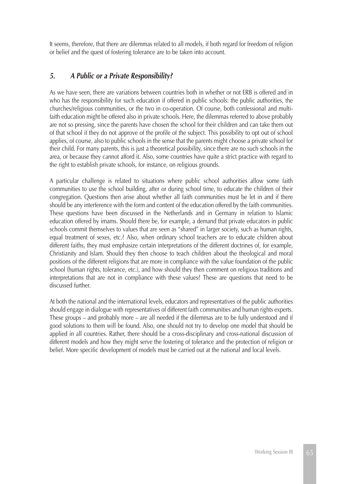It seems, therefore, that there are dilemmas related to all models, if both regard for freedom of religion or belief and the quest of fostering tolerance are to be taken into account.

## 5. A Public or a Private Responsibility?

As we have seen, there are variations between countries both in whether or not ERB is offered and in who has the responsibility for such education if offered in public schools: the public authorities, the churches/religious communities, or the two in co-operation. Of course, both confessional and multifaith education might be offered also in private schools. Here, the dilemmas referred to above probably are not so pressing, since the parents have chosen the school for their children and can take them out of that school if they do not approve of the profile of the subject. This possibility to opt out of school applies, of course, also to public schools in the sense that the parents might choose a private school for their child. For many parents, this is just a theoretical possibility, since there are no such schools in the area, or because they cannot afford it. Also, some countries have quite a strict practice with regard to the right to establish private schools, for instance, on religious grounds.

A particular challenge is related to situations where public school authorities allow some faith communities to use the school building, after or during school time, to educate the children of their congregation. Questions then arise about whether all faith communities must be let in and if there should be any interference with the form and content of the education offered by the faith communities. These questions have been discussed in the Netherlands and in Germany in relation to Islamic education offered by imams. Should there be, for example, a demand that private educators in public schools commit themselves to values that are seen as "shared" in larger society, such as human rights, equal treatment of sexes, etc.? Also, when ordinary school teachers are to educate children about different faiths, they must emphasize certain interpretations of the different doctrines of, for example, Christianity and Islam. Should they then choose to teach children about the theological and moral positions of the different religions that are more in compliance with the value foundation of the public school (human rights, tolerance, etc.), and how should they then comment on religious traditions and interpretations that are not in compliance with these values? These are questions that need to be discussed further.

At both the national and the international levels, educators and representatives of the public authorities should engage in dialogue with representatives of different faith communities and human rights experts. These groups – and probably more – are all needed if the dilemmas are to be fully understood and if good solutions to them will be found. Also, one should not try to develop one model that should be applied in all countries. Rather, there should be a cross-disciplinary and cross-national discussion of different models and how they might serve the fostering of tolerance and the protection of religion or belief. More specific development of models must be carried out at the national and local levels.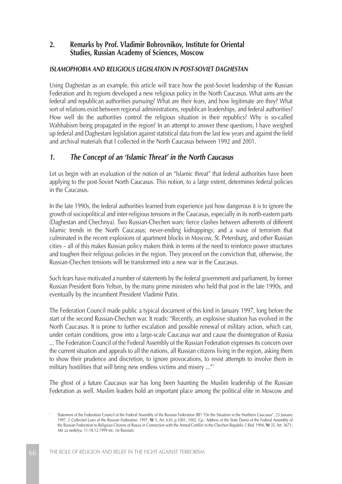## 2. Remarks by Prof. Vladimir Bobrovnikov, Institute for Oriental Studies, Russian Academy of Sciences, Moscow

## ISLAMOPHOBIA AND RELIGIOUS LEGISLATION IN POST-SOVIET DAGHESTAN

Using Daghestan as an example, this article will trace how the post-Soviet leadership of the Russian Federation and its regions developed a new religious policy in the North Caucasus. What aims are the federal and republican authorities pursuing? What are their fears, and how legitimate are they? What sort of relations exist between regional administrations, republican leaderships, and federal authorities? How well do the authorities control the religious situation in their republics? Why is so-called Wahhabism being propagated in the region? In an attempt to answer these questions, I have weighed up federal and Daghestani legislation against statistical data from the last few years and against the field and archival materials that I collected in the North Caucasus between 1992 and 2001.

## 1. The Concept of an 'Islamic Threat' in the North Caucasus

Let us begin with an evaluation of the notion of an "Islamic threat" that federal authorities have been applying to the post-Soviet North Caucasus. This notion, to a large extent, determines federal policies in the Caucasus.

In the late 1990s, the federal authorities learned from experience just how dangerous it is to ignore the growth of sociopolitical and inter-religious tensions in the Caucasus, especially in its north-eastern parts (Daghestan and Chechnya). Two Russian-Chechen wars; fierce clashes between adherents of different Islamic trends in the North Caucasus; never-ending kidnappings; and a wave of terrorism that culminated in the recent explosions of apartment blocks in Moscow, St. Petersburg, and other Russian cities – all of this makes Russian policy makers think in terms of the need to reinforce power structures and toughen their religious policies in the region. They proceed on the conviction that, otherwise, the Russian-Chechen tensions will be transformed into a new war in the Caucasus.

Such fears have motivated a number of statements by the federal government and parliament, by former Russian President Boris Yeltsin, by the many prime ministers who held that post in the late 1990s, and eventually by the incumbent President Vladimir Putin.

The Federation Council made public a typical document of this kind in January 1997, long before the start of the second Russian-Chechen war. It reads: "Recently, an explosive situation has evolved in the North Caucasus. It is prone to further escalation and possible renewal of military action, which can, under certain conditions, grow into a large-scale Caucasus war and cause the disintegration of Russia ... The Federation Council of the Federal Assembly of the Russian Federation expresses its concern over the current situation and appeals to all the nations, all Russian citizens living in the region, asking them to show their prudence and discretion, to ignore provocations, to resist attempts to involve them in military hostilities that will bring new endless victims and misery ..."<sup>1</sup>

The ghost of a future Caucasus war has long been haunting the Muslim leadership of the Russian Federation as well. Muslim leaders hold an important place among the political elite in Moscow and

Statement of the Federation Council of the Federal Assembly of the Russian Federation (RF) "On the Situation in the Northern Caucasus", 23 January 1997. // Collected Laws of the Russian Federation. 1997, № 5, Art. 630, p.1001, 1002. Cp.: Address of the State Duma of the Federal Assembly of the Russian Federation to Religious Citizens of Russia in Connection with the Armed Conflict in the Chechen Republic // Ibid. 1994, № 35, Art. 3671; Mir za nedelyu. 11-18.12.1999 etc. (in Russian).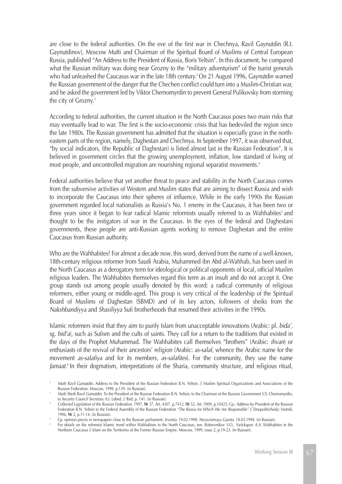are close to the federal authorities. On the eve of the first war in Chechnya, Ravil Gaynutdin (R.I. Gaynutdinov), Moscow Mufti and Chairman of the Spiritual Board of Muslims of Central European Russia, published "An Address to the President of Russia, Boris Yeltsin". In this document, he compared what the Russian military was doing near Grozny to the "military adventurism" of the tsarist generals who had unleashed the Caucasus war in the late 18th century.<sup>2</sup> On 21 August 1996, Gaynutdin warned the Russian government of the danger that the Chechen conflict could turn into a Muslim-Christian war, and he asked the government led by Viktor Chernomyrdin to prevent General Pulikovsky from storming the city of Grozny.<sup>3</sup>

According to federal authorities, the current situation in the North Caucasus poses two main risks that may eventually lead to war. The first is the socio-economic crisis that has bedeviled the region since the late 1980s. The Russian government has admitted that the situation is especially grave in the northeastern parts of the region, namely, Daghestan and Chechnya. In September 1997, it was observed that, "by social indicators, (the Republic of Daghestan) is listed almost last in the Russian Federation". It is believed in government circles that the growing unemployment, inflation, low standard of living of most people, and uncontrolled migration are nourishing regional separatist movements.<sup>4</sup>

Federal authorities believe that yet another threat to peace and stability in the North Caucasus comes from the subversive activities of Western and Muslim states that are aiming to dissect Russia and wish to incorporate the Caucasus into their spheres of influence. While in the early 1990s the Russian government regarded local nationalists as Russia's No. 1 enemy in the Caucasus, it has been two or three years since it began to fear radical Islamic reformists usually referred to as Wahhabites<sup>5</sup> and thought to be the instigators of war in the Caucasus. In the eyes of the federal and Daghestani governments, these people are anti-Russian agents working to remove Daghestan and the entire Caucasus from Russian authority.

Who are the Wahhabites? For almost a decade now, this word, derived from the name of a well-known, 18th-century religious reformer from Saudi Arabia, Muhammed ibn Abd al-Wahhab, has been used in the North Caucasus as a derogatory term for ideological or political opponents of local, official Muslim religious leaders. The Wahhabites themselves regard this term as an insult and do not accept it. One group stands out among people usually denoted by this word: a radical community of religious reformers, either young or middle-aged. This group is very critical of the leadership of the Spiritual Board of Muslims of Daghestan (SBMD) and of its key actors, followers of sheiks from the Nakshbandiyya and Shasiliyya Sufi brotherhoods that resumed their activities in the 1990s.

Islamic reformers insist that they aim to purify Islam from unacceptable innovations (Arabic: pl. bida', sg. bid'a), such as Sufism and the cults of saints. They call for a return to the traditions that existed in the days of the Prophet Muhammad. The Wahhabites call themselves "brothers" (Arabic: ihvan) or enthusiasts of the revival of their ancestors' religion (Arabic: as-salaf, whence the Arabic name for the movement as-salafiya and for its members, as-salafites). For the community, they use the name Jamaat.<sup>6</sup> In their dogmatism, interpretations of the Sharia, community structure, and religious ritual,

Mufti Ravil Gainutdin. Address to the President of the Russian Federation B.N. Yeltsin. // Muslim Spiritual Organizations and Associations of the Russian Federation. Moscow, 1999, p.139. (in Russian).

Mufti Sheik Ravil Gainutdin. To the President of the Russian Federation B.N. Yeltsin, to the Chairman of the Russian Government V.S. Chernomyrdin, to Security Council Secretary A.I. Lebed. // Ibid, p. 141. (in Russian).

<sup>4</sup> Collected Legislation of the Russian Federation. 1997, № 37, Art. 4307, p.7412, № 52, Art. 5909, p.10425; Cp.: Address by President of the Russian Federation B.N. Yeltsin to the Federal Assembly of the Russian Federation "The Russia for Which We Are Responsible" // Etnopolitichesky Vestnik. 1996, № 2, p.11-14. (in Russian).

<sup>5</sup> Cp. opinion pieces in newspapers close to the Russian parliament: Izvestia. 19.02.1998; Nezavisimaya Gazeta. 18.03.1998. (in Russian).

For details on the reformist Islamic trend within Wahhabism in the North Caucasus, see: Bobrovnikov V.O., Yarlykapov A.A. Wahhabites in the Northern Caucasus // Islam on the Territories of the Former Russian Empire. Moscow, 1999, issue 2, p.19-23. (in Russian).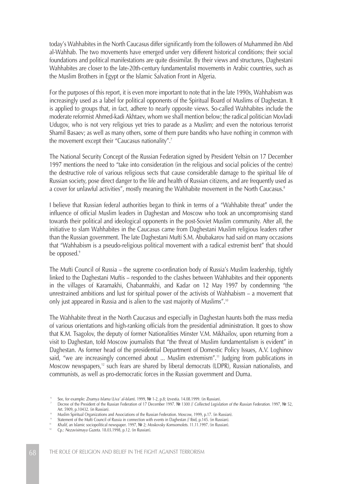today's Wahhabites in the North Caucasus differ significantly from the followers of Muhammed ibn Abd al-Wahhab. The two movements have emerged under very different historical conditions; their social foundations and political manifestations are quite dissimilar. By their views and structures, Daghestani Wahhabites are closer to the late-20th-century fundamentalist movements in Arabic countries, such as the Muslim Brothers in Egypt or the Islamic Salvation Front in Algeria.

For the purposes of this report, it is even more important to note that in the late 1990s, Wahhabism was increasingly used as a label for political opponents of the Spiritual Board of Muslims of Daghestan. It is applied to groups that, in fact, adhere to nearly opposite views. So-called Wahhabites include the moderate reformist Ahmed-kadi Akhtaev, whom we shall mention below; the radical politician Movladi Udugov, who is not very religious yet tries to parade as a Muslim; and even the notorious terrorist Shamil Basaev; as well as many others, some of them pure bandits who have nothing in common with the movement except their "Caucasus nationality".<sup>7</sup>

The National Security Concept of the Russian Federation signed by President Yeltsin on 17 December 1997 mentions the need to "take into consideration (in the religious and social policies of the centre) the destructive role of various religious sects that cause considerable damage to the spiritual life of Russian society, pose direct danger to the life and health of Russian citizens, and are frequently used as a cover for unlawful activities", mostly meaning the Wahhabite movement in the North Caucasus.<sup>8</sup>

I believe that Russian federal authorities began to think in terms of a "Wahhabite threat" under the influence of official Muslim leaders in Daghestan and Moscow who took an uncompromising stand towards their political and ideological opponents in the post-Soviet Muslim community. After all, the initiative to slam Wahhabites in the Caucasus came from Daghestani Muslim religious leaders rather than the Russian government. The late Daghestani Mufti S.M. Abubakarov had said on many occasions that "Wahhabism is a pseudo-religious political movement with a radical extremist bent" that should be opposed.<sup>9</sup>

The Mufti Council of Russia – the supreme co-ordination body of Russia's Muslim leadership, tightly linked to the Daghestani Muftis – responded to the clashes between Wahhabites and their opponents in the villages of Karamakhi, Chabanmakhi, and Kadar on 12 May 1997 by condemning "the unrestrained ambitions and lust for spiritual power of the activists of Wahhabism – a movement that only just appeared in Russia and is alien to the vast majority of Muslims".10

The Wahhabite threat in the North Caucasus and especially in Daghestan haunts both the mass media of various orientations and high-ranking officials from the presidential administration. It goes to show that K.M. Tsagolov, the deputy of former Nationalities Minster V.M. Mikhailov, upon returning from a visit to Daghestan, told Moscow journalists that "the threat of Muslim fundamentalism is evident" in Daghestan. As former head of the presidential Department of Domestic Policy Issues, A.V. Loghinov said, "we are increasingly concerned about ... Muslim extremism".<sup>11</sup> Judging from publications in Moscow newspapers,<sup>12</sup> such fears are shared by liberal democrats (LDPR), Russian nationalists, and communists, as well as pro-democratic forces in the Russian government and Duma.

<sup>6</sup> See, for example: Znamya Islama (Liva' al-Islam). 1999, № 1-2, p.8; Izvestia. 14.08.1999. (in Russian).

<sup>7</sup> Decree of the President of the Russian Federation of 17 December 1997. № 1300 // Collected Legislation of the Russian Federation. 1997, № 52, Art. 5909, p.10432. (in Russian).

<sup>8</sup> Muslim Spiritual Organizations and Associations of the Russian Federation. Moscow, 1999, p.17. (in Russian).

<sup>9</sup> Statement of the Mufti Council of Russia in connection with events in Daghestan // Ibid, p.145. (in Russian).

<sup>&</sup>lt;sup>11</sup> Khalif, an Islamic sociopolitical newspaper. 1997, № 2; Moskovsky Komsomolets. 11.11.1997. (in Russian).

<sup>12</sup> Cp.: Nezavisimaya Gazeta. 18.03.1998, p.12. (in Russian).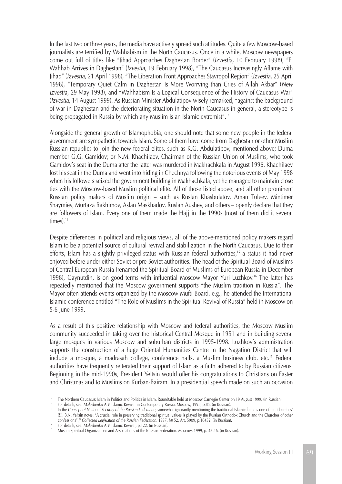In the last two or three years, the media have actively spread such attitudes. Quite a few Moscow-based journalists are terrified by Wahhabism in the North Caucasus. Once in a while, Moscow newspapers come out full of titles like "Jihad Approaches Daghestan Border" (Izvestia, 10 February 1998), "El Wahhab Arrives in Daghestan" (Izvestia, 19 February 1998), "The Caucasus Increasingly Aflame with Jihad" (Izvestia, 21 April 1998), "The Liberation Front Approaches Stavropol Region" (Izvestia, 25 April 1998), "Temporary Quiet Calm in Daghestan Is More Worrying than Cries of Allah Akbar" (New Izvestia, 29 May 1998), and "Wahhabism Is a Logical Consequence of the History of Caucasus War" (Izvestia, 14 August 1999). As Russian Minister Abdulatipov wisely remarked, "against the background of war in Daghestan and the deteriorating situation in the North Caucasus in general, a stereotype is being propagated in Russia by which any Muslim is an Islamic extremist".<sup>13</sup>

Alongside the general growth of Islamophobia, one should note that some new people in the federal government are sympathetic towards Islam. Some of them have come from Daghestan or other Muslim Russian republics to join the new federal elites, such as R.G. Abdulatipov, mentioned above; Duma member G.G. Gamidov; or N.M. Khachilaev, Chairman of the Russian Union of Muslims, who took Gamidov's seat in the Duma after the latter was murdered in Makhachkala in August 1996. Khachilaev lost his seat in the Duma and went into hiding in Chechnya following the notorious events of May 1998 when his followers seized the government building in Makhachkala, yet he managed to maintain close ties with the Moscow-based Muslim political elite. All of those listed above, and all other prominent Russian policy makers of Muslim origin – such as Ruslan Khasbulatov, Aman Tuleev, Mintimer Shaymiev, Murtaza Rakhimov, Aslan Maskhadov, Ruslan Aushev, and others – openly declare that they are followers of Islam. Every one of them made the Hajj in the 1990s (most of them did it several  $times)$ .<sup>14</sup>

Despite differences in political and religious views, all of the above-mentioned policy makers regard Islam to be a potential source of cultural revival and stabilization in the North Caucasus. Due to their efforts, Islam has a slightly privileged status with Russian federal authorities,<sup>15</sup> a status it had never enjoyed before under either Soviet or pre-Soviet authorities. The head of the Spiritual Board of Muslims of Central European Russia (renamed the Spiritual Board of Muslims of European Russia in December 1998), Gaynutdin, is on good terms with influential Moscow Mayor Yuri Luzhkov.<sup>16</sup> The latter has repeatedly mentioned that the Moscow government supports "the Muslim tradition in Russia". The Mayor often attends events organized by the Moscow Mufti Board, e.g., he attended the International Islamic conference entitled "The Role of Muslims in the Spiritual Revival of Russia" held in Moscow on 5-6 June 1999.

As a result of this positive relationship with Moscow and federal authorities, the Moscow Muslim community succeeded in taking over the historical Central Mosque in 1991 and in building several large mosques in various Moscow and suburban districts in 1995-1998. Luzhkov's administration supports the construction of a huge Oriental Humanities Centre in the Nagatino District that will include a mosque, a madrasah college, conference halls, a Muslim business club, etc.<sup>17</sup> Federal authorities have frequently reiterated their support of Islam as a faith adhered to by Russian citizens. Beginning in the mid-1990s, President Yeltsin would offer his congratulations to Christians on Easter and Christmas and to Muslims on Kurban-Bairam. In a presidential speech made on such an occasion

<sup>13</sup> The Northern Caucasus: Islam in Politics and Politics in Islam. Roundtable held at Moscow Carnegie Center on 19 August 1999. (in Russian).

<sup>14</sup> For details, see: Malashenko A.V. Islamic Revival in Contemporary Russia. Moscow, 1998, p.85. (in Russian).

In the Concept of National Security of the Russian Federation, somewhat ignorantly mentioning the traditional Islamic faith as one of the 'churches' (?!), B.N. Yeltsin notes: "A crucial role in preserving traditional spiritual values is played by the Russian Orthodox Church and the Churches of other confessions" // Collected Legislation of the Russian Federation. 1997, № 52, Art. 5909, p.10432. (in Russian).

For details, see: Malashenko A.V. Islamic Revival, p.122. (in Russian).

<sup>17</sup> Muslim Spiritual Organizations and Associations of the Russian Federation. Moscow, 1999, p. 45-46. (in Russian).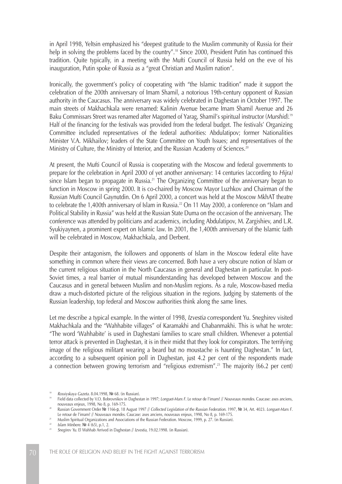in April 1998, Yeltsin emphasized his "deepest gratitude to the Muslim community of Russia for their help in solving the problems faced by the country".<sup>18</sup> Since 2000, President Putin has continued this tradition. Quite typically, in a meeting with the Mufti Council of Russia held on the eve of his inauguration, Putin spoke of Russia as a "great Christian and Muslim nation".

Ironically, the government's policy of cooperating with "the Islamic tradition" made it support the celebration of the 200th anniversary of Imam Shamil, a notorious 19th-century opponent of Russian authority in the Caucasus. The anniversary was widely celebrated in Daghestan in October 1997. The main streets of Makhachkala were renamed: Kalinin Avenue became Imam Shamil Avenue and 26 Baku Commissars Street was renamed after Magomed of Yarag, Shamil's spiritual instructor (Murshid). 19 Half of the financing for the festivals was provided from the federal budget. The festivals' Organizing Committee included representatives of the federal authorities: Abdulatipov; former Nationalities Minister V.A. Mikhailov; leaders of the State Committee on Youth Issues; and representatives of the Ministry of Culture, the Ministry of Interior, and the Russian Academy of Sciences.<sup>20</sup>

At present, the Mufti Council of Russia is cooperating with the Moscow and federal governments to prepare for the celebration in April 2000 of yet another anniversary: 14 centuries (according to Hijra) since Islam began to propagate in Russia.<sup>21</sup> The Organizing Committee of the anniversary began to function in Moscow in spring 2000. It is co-chaired by Moscow Mayor Luzhkov and Chairman of the Russian Mufti Council Gaynutdin. On 6 April 2000, a concert was held at the Moscow MkhAT theatre to celebrate the 1,400th anniversary of Islam in Russia.<sup>22</sup> On 11 May 2000, a conference on "Islam and Political Stability in Russia" was held at the Russian State Duma on the occasion of the anniversary. The conference was attended by politicians and academics, including Abdulatipov, M. Zargishiev, and L.R. Syukiyaynen, a prominent expert on Islamic law. In 2001, the 1,400th anniversary of the Islamic faith will be celebrated in Moscow, Makhachkala, and Derbent.

Despite their antagonism, the followers and opponents of Islam in the Moscow federal elite have something in common where their views are concerned. Both have a very obscure notion of Islam or the current religious situation in the North Caucasus in general and Daghestan in particular. In post-Soviet times, a real barrier of mutual misunderstanding has developed between Moscow and the Caucasus and in general between Muslim and non-Muslim regions. As a rule, Moscow-based media draw a much-distorted picture of the religious situation in the regions. Judging by statements of the Russian leadership, top federal and Moscow authorities think along the same lines.

Let me describe a typical example. In the winter of 1998, *Izvestia* correspondent Yu. Sneghirev visited Makhachkala and the "Wahhabite villages" of Karamakhi and Chabanmakhi. This is what he wrote: "The word 'Wahhabite' is used in Daghestani families to scare small children. Whenever a potential terror attack is prevented in Daghestan, it is in their midst that they look for conspirators. The terrifying image of the religious militant wearing a beard but no moustache is haunting Daghestan." In fact, according to a subsequent opinion poll in Daghestan, just 4.2 per cent of the respondents made a connection between growing terrorism and "religious extremism".<sup>23</sup> The majority (66.2 per cent)

<sup>18</sup> Rossiyskaya Gazeta. 8.04.1998, № 68. (in Russian).

Field data collected by V.O. Bobrovnikov in Daghestan in 1997; Longuet-Marx F. Le retour de l'imam? // Nouveaux mondes. Caucase: axes anciens, nouveaux enjeux, 1998, No 8, p. 169-175.

Russian Government Order № 1166-p, 18 August 1997 // Collected Legislation of the Russian Federation. 1997, № 34, Art. 4023. Longuet-Marx F. Le retour de l'imam? // Nouveaux mondes. Caucase: axes anciens, nouveaux enjeux, 1998, No 8, p. 169-175.

<sup>&</sup>lt;sup>21</sup> Muslim Spiritual Organizations and Associations of the Russian Federation. Moscow, 1999, p. 27. (in Russian).

<sup>&</sup>lt;sup>22</sup> Islam Minbere. № 4 (65), p.1, 2.<br><sup>23</sup> Spegirev Vu El Wabbab Arrived i

Snegirev Yu. El Wahhab Arrived in Daghestan // Izvestia, 19.02.1998. (in Russian).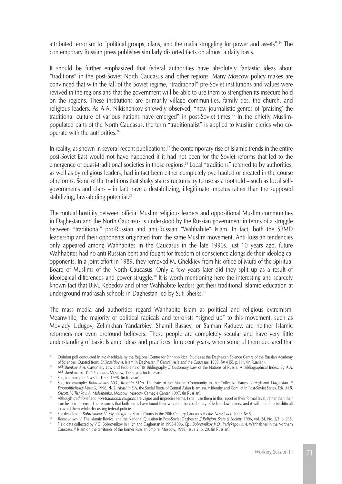attributed terrorism to "political groups, clans, and the mafia struggling for power and assets".24 The contemporary Russian press publishes similarly distorted facts on almost a daily basis.

It should be further emphasized that federal authorities have absolutely fantastic ideas about "traditions" in the post-Soviet North Caucasus and other regions. Many Moscow policy makes are convinced that with the fall of the Soviet regime, "traditional" pre-Soviet institutions and values were revived in the regions and that the government will be able to use them to strengthen its insecure hold on the regions. These institutions are primarily village communities, family ties, the church, and religious leaders. As A.A. Nikishenkov shrewdly observed, "new journalistic genres of 'praising' the traditional culture of various nations have emerged" in post-Soviet times.25 In the chiefly Muslimpopulated parts of the North Caucasus, the term "traditionalist" is applied to Muslim clerics who cooperate with the authorities.<sup>26</sup>

In reality, as shown in several recent publications, $27$  the contemporary rise of Islamic trends in the entire post-Soviet East would not have happened if it had not been for the Soviet reforms that led to the emergence of quasi-traditional societies in those regions.<sup>28</sup> Local "traditions" referred to by authorities, as well as by religious leaders, had in fact been either completely overhauled or created in the course of reforms. Some of the traditions that shaky state structures try to use as a foothold – such as local selfgovernments and clans – in fact have a destabilizing, illegitimate impetus rather than the supposed stabilizing, law-abiding potential.<sup>29</sup>

The mutual hostility between official Muslim religious leaders and oppositional Muslim communities in Daghestan and the North Caucasus is understood by the Russian government in terms of a struggle between "traditional" pro-Russian and anti-Russian "Wahhabite" Islam. In fact, both the SBMD leadership and their opponents originated from the same Muslim movement. Anti-Russian tendencies only appeared among Wahhabites in the Caucasus in the late 1990s. Just 10 years ago, future Wahhabites had no anti-Russian bent and fought for freedom of conscience alongside their ideological opponents. In a joint effort in 1989, they removed M. Ghekkiev from his office of Mufti of the Spiritual Board of Muslims of the North Caucasus. Only a few years later did they split up as a result of ideological differences and power struggle.<sup>30</sup> It is worth mentioning here the interesting and scarcely known fact that B.M. Kebedov and other Wahhabite leaders got their traditional Islamic education at underground madrasah schools in Daghestan led by Sufi Sheiks.<sup>31</sup>

The mass media and authorities regard Wahhabite Islam as political and religious extremism. Meanwhile, the majority of political radicals and terrorists "signed up" to this movement, such as Movlady Udugov, Zelimkhan Yandarbiev, Shamil Basaev, or Salman Raduev, are neither Islamic reformers nor even profound believers. These people are completely secular and have very little understanding of basic Islamic ideas and practices. In recent years, when some of them declared that

<sup>24</sup> Opinion poll conducted in Makhachkala by the Regional Centre for Ethnopolitical Studies at the Daghestan Science Centre of the Russian Academy of Sciences. Quoted from: Shikhsaidov A. Islam in Daghestan // Central Asia and the Caucasus. 1999, № 4 (5), p.111. (in Russian).

Nikishenkov A.A. Customary Law and Problems of Its Bibliography // Customary Law of the Nations of Russia. A Bibliographical Index. By A.A. Nikishenkov. Ed. Yu.I. Semenov. Moscow, 1998, p.3. (in Russian).

See, for example: Izvestia. 10.02.1998. (in Russian).

See, for example: Bobrovnikov V.O., Roschin M.Yu. The Fate of the Muslim Community in the Collective Farms of Highland Daghestan. // Etnopolitichesky Vestnik, 1996, № 2; Abashin S.N. the Social Roots of Central Asian Islamism. // Identity and Conflict in Post-Soviet States. Eds. M.B. Olcott, V. Tishkov, A. Malashenko. Moscow: Moscow Carnegie Center. 1997. (in Russian).

Although traditional and non-traditional religions are vague and imprecise terms, I shall use them in this report in their formal legal, rather than their true historical, sense. The reason is that both terms have found their way into the vocabulary of federal lawmakers, and it will therefore be difficult to avoid them while discussing federal policies.

<sup>29</sup> For details see: Bobrovnikov V. Mythologizing Sharia Courts in the 20th Century Caucasus // ISIM Newsletter, 2000, № 5.

<sup>&</sup>lt;sup>30</sup> Bobrovnikov V. The Islamic Revival and the National Question in Post-Soviet Daghestan // Religion, State & Society. 1996, vol. 24, No. 2/3, p. 235. Field data collected by V.O. Bobrovnikov in Highland Daghestan in 1995-1996. Cp.: Bobrovnikov V.O., Yarlykapov A.A. Wahhabites in the Northern Caucasus // Islam on the territories of the former Russian Empire. Moscow, 1999, issue 2, p. 20. (in Russian).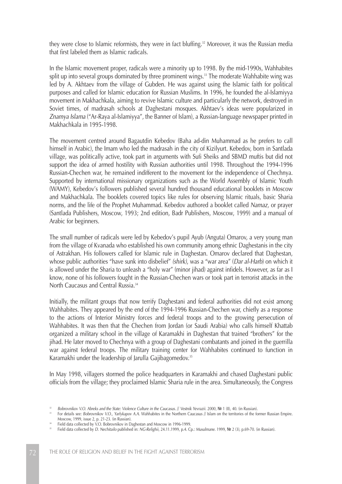they were close to Islamic reformists, they were in fact bluffing.<sup>32</sup> Moreover, it was the Russian media that first labeled them as Islamic radicals.

In the Islamic movement proper, radicals were a minority up to 1998. By the mid-1990s, Wahhabites split up into several groups dominated by three prominent wings.<sup>33</sup> The moderate Wahhabite wing was led by A. Akhtaev from the village of Gubden. He was against using the Islamic faith for political purposes and called for Islamic education for Russian Muslims. In 1996, he founded the al-Islamiyya movement in Makhachkala, aiming to revive Islamic culture and particularly the network, destroyed in Soviet times, of madrasah schools at Daghestani mosques. Akhtaev's ideas were popularized in Znamya Islama ("Ar-Raya al-Islamiyya", the Banner of Islam), a Russian-language newspaper printed in Makhachkala in 1995-1998.

The movement centred around Bagautdin Kebedov (Baha ad-din Muhammad as he prefers to call himself in Arabic), the Imam who led the madrasah in the city of Kizilyurt. Kebedov, born in Santlada village, was politically active, took part in arguments with Sufi Sheiks and SBMD muftis but did not support the idea of armed hostility with Russian authorities until 1998. Throughout the 1994-1996 Russian-Chechen war, he remained indifferent to the movement for the independence of Chechnya. Supported by international missionary organizations such as the World Assembly of Islamic Youth (WAMY), Kebedov's followers published several hundred thousand educational booklets in Moscow and Makhachkala. The booklets covered topics like rules for observing Islamic rituals, basic Sharia norms, and the life of the Prophet Muhammad. Kebedov authored a booklet called Namaz, or prayer (Santlada Publishers, Moscow, 1993; 2nd edition, Badr Publishers, Moscow, 1999) and a manual of Arabic for beginners.

The small number of radicals were led by Kebedov's pupil Ayub (Anguta) Omarov, a very young man from the village of Kvanada who established his own community among ethnic Daghestanis in the city of Astrakhan. His followers called for Islamic rule in Daghestan. Omarov declared that Daghestan, whose public authorities "have sunk into disbelief" (shirk), was a "war area" (Dar al-Harb) on which it is allowed under the Sharia to unleash a "holy war" (minor jihad) against infidels. However, as far as I know, none of his followers fought in the Russian-Chechen wars or took part in terrorist attacks in the North Caucasus and Central Russia.<sup>34</sup>

Initially, the militant groups that now terrify Daghestani and federal authorities did not exist among Wahhabites. They appeared by the end of the 1994-1996 Russian-Chechen war, chiefly as a response to the actions of Interior Ministry forces and federal troops and to the growing persecution of Wahhabites. It was then that the Chechen from Jordan (or Saudi Arabia) who calls himself Khattab organized a military school in the village of Karamakhi in Daghestan that trained "brothers" for the jihad. He later moved to Chechnya with a group of Daghestani combatants and joined in the guerrilla war against federal troops. The military training center for Wahhabites continued to function in Karamakhi under the leadership of Jarulla Gajibagomedov.<sup>35</sup>

In May 1998, villagers stormed the police headquarters in Karamakhi and chased Daghestani public officials from the village; they proclaimed Islamic Sharia rule in the area. Simultaneously, the Congress

<sup>32</sup> Bobrovnikov V.O. Abreks and the State: Violence Culture in the Caucasus. // Vestnik Yevrazii. 2000, № 1 (8), 40. (in Russian).

For details see: Bobrovnikov V.O., Yarlykapov A.A. Wahhabites in the Northern Caucasus // Islam on the territories of the former Russian Empire. Moscow, 1999, issue 2, p. 21-23. (in Russian).

<sup>&</sup>lt;sup>34</sup> Field data collected by V.O. Bobrovnikov in Daghestan and Moscow in 1996-1999.

Field data collected by D. Nechitailo published in: NG-Relighii, 24.11.1999, p.4. Cp.: Musulmane. 1999, № 2 (3), p.69-70. (in Russian).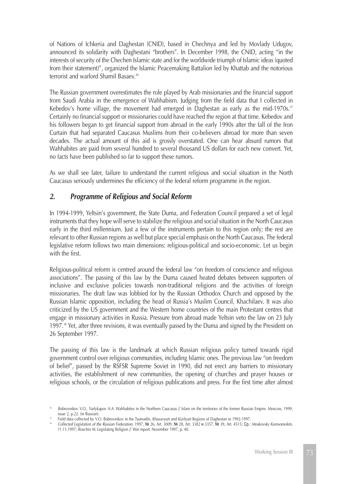of Nations of Ichkeria and Daghestan (CNID), based in Chechnya and led by Movlady Udugov, announced its solidarity with Daghestani "brothers". In December 1998, the CNID, acting "in the interests of security of the Chechen Islamic state and for the worldwide triumph of Islamic ideas (quoted from their statement)", organized the Islamic Peacemaking Battalion led by Khattab and the notorious terrorist and warlord Shamil Basaev<sup>36</sup>

The Russian government overestimates the role played by Arab missionaries and the financial support from Saudi Arabia in the emergence of Wahhabism. Judging from the field data that I collected in Kebedov's home village, the movement had emerged in Daghestan as early as the mid-1970s.<sup>37</sup> Certainly no financial support or missionaries could have reached the region at that time. Kebedov and his followers began to get financial support from abroad in the early 1990s after the fall of the Iron Curtain that had separated Caucasus Muslims from their co-believers abroad for more than seven decades. The actual amount of this aid is grossly overstated. One can hear absurd rumors that Wahhabites are paid from several hundred to several thousand US dollars for each new convert. Yet, no facts have been published so far to support these rumors.

As we shall see later, failure to understand the current religious and social situation in the North Caucasus seriously undermines the efficiency of the federal reform programme in the region.

### 2. Programme of Religious and Social Reform

In 1994-1999, Yeltsin's government, the State Duma, and Federation Council prepared a set of legal instruments that they hope will serve to stabilize the religious and social situation in the North Caucasus early in the third millennium. Just a few of the instruments pertain to this region only; the rest are relevant to other Russian regions as well but place special emphasis on the North Caucasus. The federal legislative reform follows two main dimensions: religious-political and socio-economic. Let us begin with the first.

Religious-political reform is centred around the federal law "on freedom of conscience and religious associations". The passing of this law by the Duma caused heated debates between supporters of inclusive and exclusive policies towards non-traditional religions and the activities of foreign missionaries. The draft law was lobbied for by the Russian Orthodox Church and opposed by the Russian Islamic opposition, including the head of Russia's Muslim Council, Khachilaev. It was also criticized by the US government and the Western home countries of the main Protestant centres that engage in missionary activities in Russia. Pressure from abroad made Yeltsin veto the law on 23 July 1997.38 Yet, after three revisions, it was eventually passed by the Duma and signed by the President on 26 September 1997.

The passing of this law is the landmark at which Russian religious policy turned towards rigid government control over religious communities, including Islamic ones. The previous law "on freedom of belief", passed by the RSFSR Supreme Soviet in 1990, did not erect any barriers to missionary activities, the establishment of new communities, the opening of churches and prayer houses or religious schools, or the circulation of religious publications and press. For the first time after almost

Bobrovnikov V.O., Yarlykapov A.A. Wahhabites in the Northern Caucasus // Islam on the territories of the former Russian Empire. Moscow, 1999, issue 2, p.22. (in Russian).

<sup>37</sup> Field data collected by V.O. Bobrovnikov in the Tsumadin, Khasavyurt and Kizilyurt Regions of Daghestan in 1992-1997.

<sup>38</sup> Collected Legislation of the Russian Federation. 1997, № 26, Art. 3009, № 28, Art. 3382 и 3357, № 39, Art. 4515; Cp.: Moskovsky Komsomolets. 11.11.1997; Roschin M. Legislating Religion // War report. November 1997, p. 40.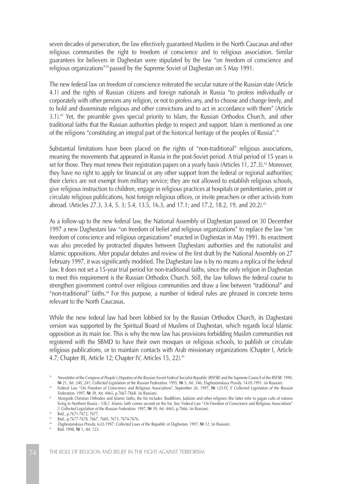seven decades of persecution, the law effectively guaranteed Muslims in the North Caucasus and other religious communities the right to freedom of conscience and to religious association. Similar guarantees for believers in Daghestan were stipulated by the law "on freedom of conscience and religious organizations"39 passed by the Supreme Soviet of Daghestan on 5 May 1991.

The new federal law on freedom of conscience reiterated the secular nature of the Russian state (Article 4.1) and the rights of Russian citizens and foreign nationals in Russia "to profess individually or corporately with other persons any religion, or not to profess any, and to choose and change freely, and to hold and disseminate religious and other convictions and to act in accordance with them" (Article 3.1).40 Yet, the preamble gives special priority to Islam, the Russian Orthodox Church, and other traditional faiths that the Russian authorities pledge to respect and support. Islam is mentioned as one of the religions "constituting an integral part of the historical heritage of the peoples of Russia".41

Substantial limitations have been placed on the rights of "non-traditional" religious associations, meaning the movements that appeared in Russia in the post-Soviet period. A trial period of 15 years is set for those. They must renew their registration papers on a yearly basis (Articles 11, 27.3).<sup>42</sup> Moreover, they have no right to apply for financial or any other support from the federal or regional authorities; their clerics are not exempt from military service; they are not allowed to establish religious schools, give religious instruction to children, engage in religious practices at hospitals or penitentiaries, print or circulate religious publications, host foreign religious offices, or invite preachers or other activists from abroad. (Articles 27.3, 3.4, 5. 3; 5.4, 13.5, 16.3, and 17.1; and 17.2, 18.2, 19, and 20.2).<sup>43</sup>

As a follow-up to the new federal law, the National Assembly of Daghestan passed on 30 December 1997 a new Daghestani law "on freedom of belief and religious organizations" to replace the law "on freedom of conscience and religious organizations" enacted in Daghestan in May 1991. Its enactment was also preceded by protracted disputes between Daghestani authorities and the nationalist and Islamic oppositions. After popular debates and review of the first draft by the National Assembly on 27 February 1997, it was significantly modified. The Daghestani law is by no means a replica of the federal law. It does not set a 15-year trial period for non-traditional faiths, since the only religion in Daghestan to meet this requirement is the Russian Orthodox Church. Still, the law follows the federal course to strengthen government control over religious communities and draw a line between "traditional" and "non-traditional" faiths.<sup>44</sup> For this purpose, a number of federal rules are phrased in concrete terms relevant to the North Caucasus.

While the new federal law had been lobbied for by the Russian Orthodox Church, its Daghestani version was supported by the Spiritual Board of Muslims of Daghestan, which regards local Islamic opposition as its main foe. This is why the new law has provisions forbidding Muslim communities not registered with the SBMD to have their own mosques or religious schools, to publish or circulate religious publications, or to maintain contacts with Arab missionary organizations (Chapter I, Article 4.7; Chapter III, Article 12; Chapter IV, Articles 15, 22).<sup>45</sup>

<sup>39</sup> Newsletter of the Congress of People's Deputies of the Russian Soviet Federal Socialist Republic (RSFSR) and the Supreme Council of the RSFSR. 1990, № 21, Art. 240, 241; Collected Legislation of the Russian Federation. 1995, № 5, Art. 346; Daghestanskaya Pravda. 14.05.1991. (in Russian).

<sup>40</sup> Federal Law "On Freedom of Conscience and Religious Associations", September 26, 1997, № 125-FÇ // Collected Legislation of the Russian Federation. 1997, № 39, Art. 4465, p.7667-7668. (in Russian).

<sup>41</sup> Alongside Christian Orthodox and Islamic faiths, the list includes 'Buddhism, Judaism and other religions (the latter refer to pagan cults of nations living in Northern Russia – V.B.)'. Islamic faith comes second on the list. See: Federal Law "On Freedom of Conscience and Religious Associations" // Collected Legislation of the Russian Federation. 1997, № 39, Art. 4465, p.7666. (in Russian).

<sup>42</sup> Ibid., p.7671-7672, 7677.

<sup>43</sup> Ibid., p.7677-7678, 7667, 7669, 7673, 7674-7676.

<sup>44</sup> Daghestanskaya Pravda. 6.03.1997; Collected Laws of the Republic of Daghestan. 1997, № 12. (in Russian).

Ibid. 1998, № 1, Art. 123.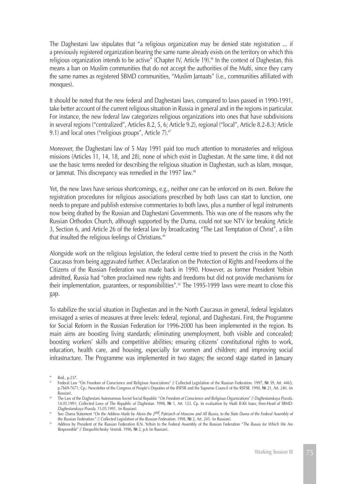The Daghestani law stipulates that "a religious organization may be denied state registration ... if a previously registered organization bearing the same name already exists on the territory on which this religious organization intends to be active" (Chapter IV, Article 19).<sup>46</sup> In the context of Daghestan, this means a ban on Muslim communities that do not accept the authorities of the Mufti, since they carry the same names as registered SBMD communities, "Muslim Jamaats" (i.e., communities affiliated with mosques).

It should be noted that the new federal and Daghestani laws, compared to laws passed in 1990-1991, take better account of the current religious situation in Russia in general and in the regions in particular. For instance, the new federal law categorizes religious organizations into ones that have subdivisions in several regions ("centralized", Articles 8.2, 5, 6; Article 9.2), regional ("local", Article 8.2-8.3; Article 9.1) and local ones ("religious groups", Article  $7$ ).<sup>47</sup>

Moreover, the Daghestani law of 5 May 1991 paid too much attention to monasteries and religious missions (Articles 11, 14, 18, and 28), none of which exist in Daghestan. At the same time, it did not use the basic terms needed for describing the religious situation in Daghestan, such as Islam, mosque, or Jammat. This discrepancy was remedied in the 1997 law.<sup>48</sup>

Yet, the new laws have serious shortcomings, e.g., neither one can be enforced on its own. Before the registration procedures for religious associations prescribed by both laws can start to function, one needs to prepare and publish extensive commentaries to both laws, plus a number of legal instruments now being drafted by the Russian and Daghestani Governments. This was one of the reasons why the Russian Orthodox Church, although supported by the Duma, could not sue NTV for breaking Article 3, Section 6, and Article 26 of the federal law by broadcasting "The Last Temptation of Christ", a film that insulted the religious feelings of Christians.<sup>49</sup>

Alongside work on the religious legislation, the federal centre tried to prevent the crisis in the North Caucasus from being aggravated further. A Declaration on the Protection of Rights and Freedoms of the Citizens of the Russian Federation was made back in 1990. However, as former President Yeltsin admitted, Russia had "often proclaimed new rights and freedoms but did not provide mechanisms for their implementation, guarantees, or responsibilities".<sup>50</sup> The 1995-1999 laws were meant to close this gap.

To stabilize the social situation in Daghestan and in the North Caucasus in general, federal legislators envisaged a series of measures at three levels: federal, regional, and Daghestani. First, the Programme for Social Reform in the Russian Federation for 1996-2000 has been implemented in the region. Its main aims are boosting living standards; eliminating unemployment, both visible and concealed; boosting workers' skills and competitive abilities; ensuring citizens' constitutional rights to work, education, health care, and housing, especially for women and children; and improving social infrastructure. The Programme was implemented in two stages; the second stage started in January

 $^{46}$  Ibid., p.237.

<sup>47</sup> Federal Law "On Freedom of Conscience and Religious Associations" // Collected Legislation of the Russian Federation. 1997, № 39, Art. 4465, p.7669-7671; Cp.: Newsletter of the Congress of People's Deputies of the RSFSR and the Supreme Council of the RSFSR. 1990, № 21, Art. 240. (in Russian).

<sup>&</sup>lt;sup>48</sup> The Law of the Daghestani Autonomous Soviet Social Republic "On Freedom of Conscience and Religious Organizations" // Daghestanskaya Pravda. 14.05.1991; Collected Laws of The Republic of Daghestan. 1998, № 1, Art. 123. Cp. its evaluation by Mufti B-Kh Isaev, then-Head of SBMD: Daghestanskaya Pravda. 15.05.1991. (in Russian).

See: Duma Statement "On the Address Made by Alexis the 2<sup>nd</sup>, Patriarch of Moscow and All Russia, to the State Duma of the Federal Assembly of the Russian Federation." // Collected Legislation of the Russian Federation. 1998, № 2, Art. 245. (in Russian).

Address by President of the Russian Federation B.N. Yeltsin to the Federal Assembly of the Russian Federation "The Russia for Which We Are Responsible" // Etnopolitichesky Vestnik. 1996, № 2, p.6 (in Russian).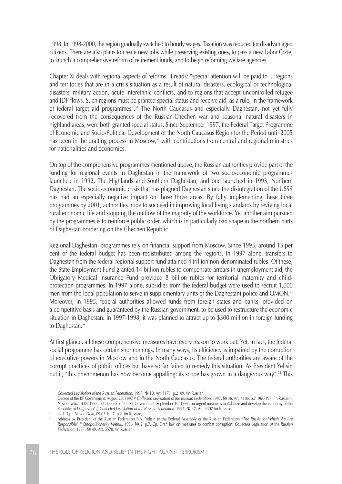1998. In 1998-2000, the region gradually switched to hourly wages. Taxation was reduced for disadvantaged citizens. There are also plans to create new jobs while preserving existing ones, to pass a new Labor Code, to launch a comprehensive reform of retirement funds, and to begin reforming welfare agencies.

Chapter XI deals with regional aspects of reforms. It reads: "special attention will be paid to ... regions and territories that are in a crisis situation as a result of natural disasters, ecological or technological disasters, military action, acute interethnic conflicts, and to regions that accept uncontrolled refugee and IDP flows. Such regions must be granted special status and receive aid, as a rule, in the framework of federal target aid programmes".51 The North Caucasus and especially Daghestan, not yet fully recovered from the consequences of the Russian-Chechen war and seasonal natural disasters in highland areas, were both granted special status. Since September 1997, the Federal Target Programme of Economic and Socio-Political Development of the North Caucasus Region for the Period until 2005 has been in the drafting process in Moscow,<sup>52</sup> with contributions from central and regional ministries for nationalities and economics.

On top of the comprehensive programmes mentioned above, the Russian authorities provide part of the funding for regional events in Daghestan in the framework of two socio-economic programmes launched in 1992, The Highlands and Southern Daghestan, and one launched in 1993, Northern Daghestan. The socio-economic crisis that has plagued Daghestan since the disintegration of the USSR has had an especially negative impact on those three areas. By fully implementing these three programmes by 2001, authorities hope to succeed in improving local living standards by reviving local rural economic life and stopping the outflow of the majority of the workforce. Yet another aim pursued by the programmes is to reinforce public order, which is in particularly bad shape in the northern parts of Daghestan bordering on the Chechen Republic.

Regional Daghestani programmes rely on financial support from Moscow. Since 1995, around 15 per cent of the federal budget has been redistributed among the regions. In 1997 alone, transfers to Daghestan from the federal regional support fund attained 4 trillion non-denominated rubles. Of these, the State Employment Fund granted 14 billion rubles to compensate arrears in unemployment aid; the Obligatory Medical Insurance Fund provided 8 billion rubles for territorial maternity and childprotection programmes. In 1997 alone, subsidies from the federal budget were used to recruit 1,000 men from the local population to serve in supplementary units of the Daghestani police and OMON.<sup>53</sup> Moreover, in 1995, federal authorities allowed funds from foreign states and banks, provided on a competitive basis and guaranteed by the Russian government, to be used to restructure the economic situation in Daghestan. In 1997-1998, it was planned to attract up to \$300 million in foreign funding to Daghestan.<sup>54</sup>

At first glance, all these comprehensive measures have every reason to work out. Yet, in fact, the federal social programme has certain shortcomings. In many ways, its efficiency is impaired by the corruption of executive powers in Moscow and in the North Caucasus. The federal authorities are aware of the corrupt practices of public offices but have so far failed to remedy this situation. As President Yeltsin put it, "this phenomenon has now become appalling; its scope has grown in a dangerous way".<sup>55</sup> This

<sup>&</sup>lt;sup>51</sup> Collected Legislation of the Russian Federation. 1997, № 10, Art. 1173, p.2109. (in Russian).<br><sup>52</sup> Pearse of the PE Courmnent, August 20, 1007 *U* Collected Legislation of the Bussian Federation

<sup>52</sup> Decree of the RF Government, August 28, 1997 // Collected Legislation of the Russian Federation. 1997, № 36, Art. 4186, p.7196-7197. (in Russian). Novoe Delo. 14.06.1997, p.1; Decree of the RF Government, September 10, 1997, on urgent measures to stabilize and develop the economy of the Republic of Daghestan" // Collected Legislation of the Russian Federation. 1997, № 37, Art. 4307 (in Russian).

Ibid.. Cp.: Novoe Delo, 09.05.1997, p.2. (in Russian).

Address by President of the Russian Federation B.N. Yeltsin to the Federal Assembly of the Russian Federation "The Russia for Which We Are Responsible" // Etnopolitichesky Vestnik. 1996, № 2, p.7. Cp. Draft law on measures to combat corruption: Collected Legislation of the Russian Federation. 1997, № 49, Art. 5578. (in Russian).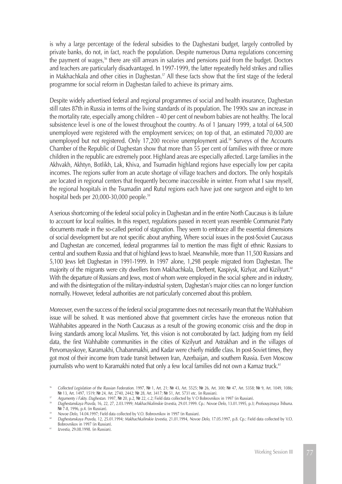is why a large percentage of the federal subsidies to the Daghestani budget, largely controlled by private banks, do not, in fact, reach the population. Despite numerous Duma regulations concerning the payment of wages,<sup>56</sup> there are still arrears in salaries and pensions paid from the budget. Doctors and teachers are particularly disadvantaged. In 1997-1999, the latter repeatedly held strikes and rallies in Makhachkala and other cities in Daghestan.<sup>57</sup> All these facts show that the first stage of the federal programme for social reform in Daghestan failed to achieve its primary aims.

Despite widely advertised federal and regional programmes of social and health insurance, Daghestan still rates 87th in Russia in terms of the living standards of its population. The 1990s saw an increase in the mortality rate, especially among children – 40 per cent of newborn babies are not healthy. The local subsistence level is one of the lowest throughout the country. As of 1 January 1999, a total of 64,500 unemployed were registered with the employment services; on top of that, an estimated 70,000 are unemployed but not registered. Only 17,200 receive unemployment aid.<sup>58</sup> Surveys of the Accounts Chamber of the Republic of Daghestan show that more than 55 per cent of families with three or more children in the republic are extremely poor. Highland areas are especially affected. Large families in the Akhvakh, Akhtyn, Botlikh, Lak, Khiva, and Tsumadin highland regions have especially low per capita incomes. The regions suffer from an acute shortage of village teachers and doctors. The only hospitals are located in regional centers that frequently become inaccessible in winter. From what I saw myself, the regional hospitals in the Tsumadin and Rutul regions each have just one surgeon and eight to ten hospital beds per 20,000-30,000 people.<sup>59</sup>

A serious shortcoming of the federal social policy in Daghestan and in the entire North Caucasus is its failure to account for local realities. In this respect, regulations passed in recent years resemble Communist Party documents made in the so-called period of stagnation. They seem to embrace all the essential dimensions of social development but are not specific about anything. Where social issues in the post-Soviet Caucasus and Daghestan are concerned, federal programmes fail to mention the mass flight of ethnic Russians to central and southern Russia and that of highland Jews to Israel. Meanwhile, more than 11,500 Russians and 5,100 Jews left Daghestan in 1991-1999. In 1997 alone, 1,298 people migrated from Daghestan. The majority of the migrants were city dwellers from Makhachkala, Derbent, Kaspiysk, Kizlyar, and Kizilyurt.<sup>60</sup> With the departure of Russians and Jews, most of whom were employed in the social sphere and in industry, and with the disintegration of the military-industrial system, Daghestan's major cities can no longer function normally. However, federal authorities are not particularly concerned about this problem.

Moreover, even the success of the federal social programme does not necessarily mean that the Wahhabism issue will be solved. It was mentioned above that government circles have the erroneous notion that Wahhabites appeared in the North Caucasus as a result of the growing economic crisis and the drop in living standards among local Muslims. Yet, this vision is not corroborated by fact. Judging from my field data, the first Wahhabite communities in the cities of Kizilyurt and Astrakhan and in the villages of Pervomayskoye, Karamakhi, Chabanmakhi, and Kadar were chiefly middle class. In post-Soviet times, they got most of their income from trade transit between Iran, Azerbaijan, and southern Russia. Even Moscow journalists who went to Karamakhi noted that only a few local families did not own a Kamaz truck.<sup>61</sup>

<sup>56</sup> Collected Legislation of the Russian Federation. 1997, № 1, Art. 21; № 43, Art. 5525; № 26, Art. 300; № 47, Art. 5358; № 9, Art. 1049, 1086; № 13, Art. 1497, 1519; № 24, Art. 2740, 2442; № 28, Art. 3417; № 51, Art. 5731 etc. (in Russian).

<sup>57</sup> Argumenty i Fakty. Daghestan. 1997, № 20, p.2, № 22, c.2; Field data collected by V O Bobrovnikov in 1997 (in Russian).

<sup>58</sup> Daghestanskaya Pravda, 16, 22, 27, 2.03.1999; Makhachkalinskie Izvestia, 29.01.1999. Cp.: Novoe Delo, 13.01.1995, p.3; Profsouyznaya Tribuna. № 7-8, 1996, p.4. (in Russian).

Novoe Delo, 14.04.1997; Field data collected by V.O. Bobrovnikov in 1997 (in Russian).

<sup>60</sup> Daghestanskaya Pravda, 12, 25.01.1994; Makhachkalinskie Izvestia, 21.01.1994, Novoe Delo, 17.05.1997, p.8. Cp.: Field data collected by V.O. Bobrovnikov in 1997 (in Russian).

Izvestia, 29.08.1998. (in Russian).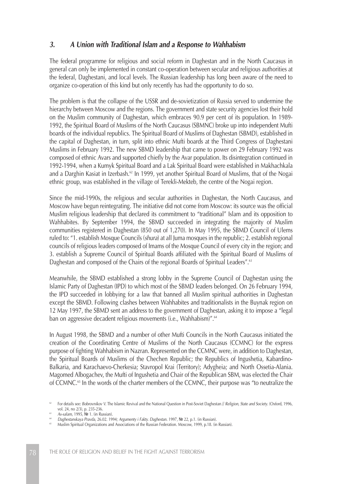### 3. A Union with Traditional Islam and a Response to Wahhabism

The federal programme for religious and social reform in Daghestan and in the North Caucasus in general can only be implemented in constant co-operation between secular and religious authorities at the federal, Daghestani, and local levels. The Russian leadership has long been aware of the need to organize co-operation of this kind but only recently has had the opportunity to do so.

The problem is that the collapse of the USSR and de-sovietization of Russia served to undermine the hierarchy between Moscow and the regions. The government and state security agencies lost their hold on the Muslim community of Daghestan, which embraces 90.9 per cent of its population. In 1989- 1992, the Spiritual Board of Muslims of the North Caucasus (SBMNC) broke up into independent Mufti boards of the individual republics. The Spiritual Board of Muslims of Daghestan (SBMD), established in the capital of Daghestan, in turn, split into ethnic Mufti boards at the Third Congress of Daghestani Muslims in February 1992. The new SBMD leadership that came to power on 29 February 1992 was composed of ethnic Avars and supported chiefly by the Avar population. Its disintegration continued in 1992-1994, when a Kumyk Spiritual Board and a Lak Spiritual Board were established in Makhachkala and a Darghin Kasiat in Izerbash.<sup>62</sup> In 1999, yet another Spiritual Board of Muslims, that of the Nogai ethnic group, was established in the village of Terekli-Mekteb, the centre of the Nogai region.

Since the mid-1990s, the religious and secular authorities in Daghestan, the North Caucasus, and Moscow have begun reintegrating. The initiative did not come from Moscow: its source was the official Muslim religious leadership that declared its commitment to "traditional" Islam and its opposition to Wahhabites. By September 1994, the SBMD succeeded in integrating the majority of Muslim communities registered in Daghestan (850 out of 1,270). In May 1995, the SBMD Council of Ulems ruled to: "1. establish Mosque Councils (shura) at all Juma mosques in the republic; 2. establish regional councils of religious leaders composed of Imams of the Mosque Council of every city in the region; and 3. establish a Supreme Council of Spiritual Boards affiliated with the Spiritual Board of Muslims of Daghestan and composed of the Chairs of the regional Boards of Spiritual Leaders".<sup>63</sup>

Meanwhile, the SBMD established a strong lobby in the Supreme Council of Daghestan using the Islamic Party of Daghestan (IPD) to which most of the SBMD leaders belonged. On 26 February 1994, the IPD succeeded in lobbying for a law that banned all Muslim spiritual authorities in Daghestan except the SBMD. Following clashes between Wahhabites and traditionalists in the Buynak region on 12 May 1997, the SBMD sent an address to the government of Daghestan, asking it to impose a "legal ban on aggressive decadent religious movements (i.e., Wahhabism)".<sup>64</sup>

In August 1998, the SBMD and a number of other Mufti Councils in the North Caucasus initiated the creation of the Coordinating Centre of Muslims of the North Caucasus (CCMNC) for the express purpose of fighting Wahhabism in Nazran. Represented on the CCMNC were, in addition to Daghestan, the Spiritual Boards of Muslims of the Chechen Republic; the Republics of Ingushetia, Kabardino-Balkaria, and Karachaevo-Cherkesia; Stavropol Krai (Territory); Adygheia; and North Ossetia-Alania. Magomed Albogachev, the Mufti of Ingushetia and Chair of the Republican SBM, was elected the Chair of CCMNC.<sup>65</sup> In the words of the charter members of the CCMNC, their purpose was "to neutralize the

<sup>65</sup> Muslim Spiritual Organizations and Associations of the Russian Federation. Moscow, 1999, p.18. (in Russian).

For details see: Bobrovnikov V. The Islamic Revival and the National Question in Post-Soviet Daghestan // Religion, State and Society. (Oxford, 1996, vol. 24, no 2/3), p. 235-236.

As-salam, 1995, № 1. (in Russian).

<sup>64</sup> Daghestanskaya Pravda, 26.02. 1994; Argumenty i Fakty. Daghestan. 1997, № 22, p.1. (in Russian).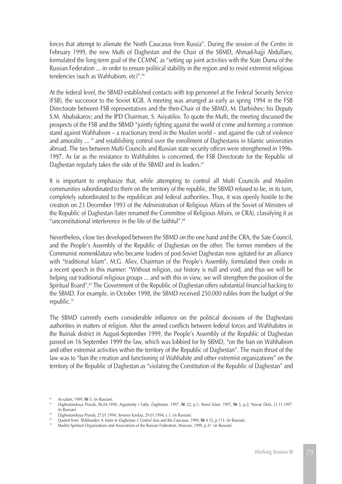forces that attempt to alienate the North Caucasus from Russia". During the session of the Centre in February 1999, the new Mufti of Daghestan and the Chair of the SBMD, Ahmad-hajji Abdullaev, formulated the long-term goal of the CCMNC as "setting up joint activities with the State Duma of the Russian Federation ... in order to ensure political stability in the region and to resist extremist religious tendencies (such as Wahhabism, etc)".<sup>66</sup>

At the federal level, the SBMD established contacts with top personnel at the Federal Security Service (FSB), the successor to the Soviet KGB. A meeting was arranged as early as spring 1994 in the FSB Directorate between FSB representatives and the then-Chair of the SBMD, M. Darbishev; his Deputy S.M. Abubakarov; and the IPD Chairman, S. Asiyatilov. To quote the Mufti, the meeting discussed the prospects of the FSB and the SBMD "jointly fighting against the world of crime and forming a common stand against Wahhabism – a reactionary trend in the Muslim world – and against the cult of violence and amorality ... " and establishing control over the enrollment of Daghestanis in Islamic universities abroad. The ties between Mufti Councils and Russian state security offices were strengthened in 1996- 1997. As far as the resistance to Wahhabites is concerned, the FSB Directorate for the Republic of Daghestan regularly takes the side of the SBMD and its leaders.<sup>67</sup>

It is important to emphasize that, while attempting to control all Mufti Councils and Muslim communities subordinated to them on the territory of the republic, the SBMD refused to be, in its turn, completely subordinated to the republican and federal authorities. Thus, it was openly hostile to the creation on 23 December 1993 of the Administration of Religious Affairs of the Soviet of Ministers of the Republic of Daghestan (later renamed the Committee of Religious Affairs, or CRA), classifying it as "unconstitutional interference in the life of the faithful".68

Nevertheless, close ties developed between the SBMD on the one hand and the CRA, the Sate Council, and the People's Assembly of the Republic of Daghestan on the other. The former members of the Communist nomenklatura who became leaders of post-Soviet Daghestan now agitated for an alliance with "traditional Islam". M.G. Aliev, Chairman of the People's Assembly, formulated their credo in a recent speech in this manner: "Without religion, our history is null and void, and thus we will be helping out traditional religious groups ... and with this in view, we will strengthen the position of the Spiritual Board".69 The Government of the Republic of Daghestan offers substantial financial backing to the SBMD. For example, in October 1998, the SBMD received 250,000 rubles from the budget of the republic.70

The SBMD currently exerts considerable influence on the political decisions of the Daghestani authorities in matters of religion. After the armed conflicts between federal forces and Wahhabites in the Buinak district in August-September 1999, the People's Assembly of the Republic of Daghestan passed on 16 September 1999 the law, which was lobbied for by SBMD, "on the ban on Wahhabism and other extremist activities within the territory of the Republic of Daghestan". The main thrust of the law was to "ban the creation and functioning of Wahhabite and other extremist organizations" on the territory of the Republic of Daghestan as "violating the Constitution of the Republic of Daghestan" and

<sup>66</sup> As-salam, 1999, № 5. (in Russian).

<sup>67</sup> Daghestanskaya Pravda, 06.04.1994; Argumenty i Fakty. Daghestan. 1997, № 22, p.1; Nurul Islam. 1997, № 5, p.2; Novoe Delo. 21.11.1997. (in Russian).

<sup>68</sup> Daghestanskaya Pravda, 27.01.1994; Severny Kavkaz, 29.01.1994, c.1. (in Russian).

Quoted from: Shikhsaidov A. Islam in Daghestan // Central Asia and the Caucasus. 1999, № 4 (5), p.113. (in Russian).

<sup>70</sup> Muslim Spiritual Organizations and Associations of the Russian Federation. Moscow, 1999, p.31. (in Russian).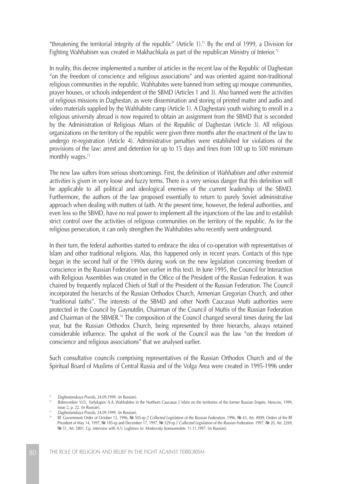"threatening the territorial integrity of the republic" (Article 1).<sup>71</sup> By the end of 1999, a Division for Fighting Wahhabism was created in Makhachkala as part of the republican Ministry of Interior.<sup>72</sup>

In reality, this decree implemented a number of articles in the recent law of the Republic of Daghestan "on the freedom of conscience and religious associations" and was oriented against non-traditional religious communities in the republic. Wahhabites were banned from setting up mosque communities, prayer houses, or schools independent of the SBMD (Articles 1 and 3). Also banned were the activities of religious missions in Daghestan, as were dissemination and storing of printed matter and audio and video materials supplied by the Wahhabite camp (Article 1). A Daghestani youth wishing to enroll in a religious university abroad is now required to obtain an assignment from the SBMD that is seconded by the Administration of Religious Affairs of the Republic of Daghestan (Article 3). All religious organizations on the territory of the republic were given three months after the enactment of the law to undergo re-registration (Article 4). Administrative penalties were established for violations of the provisions of the law: arrest and detention for up to 15 days and fines from 100 up to 500 minimum monthly wages.<sup>73</sup>

The new law suffers from serious shortcomings. First, the definition of Wahhabism and other extremist activities is given in very loose and fuzzy terms. There is a very serious danger that this definition will be applicable to all political and ideological enemies of the current leadership of the SBMD. Furthermore, the authors of the law proposed essentially to return to purely Soviet administrative approach when dealing with matters of faith. At the present time, however, the federal authorities, and even less so the SBMD, have no real power to implement all the injunctions of the law and to establish strict control over the activities of religious communities on the territory of the republic. As for the religious persecution, it can only strengthen the Wahhabites who recently went underground.

In their turn, the federal authorities started to embrace the idea of co-operation with representatives of Islam and other traditional religions. Alas, this happened only in recent years. Contacts of this type began in the second half of the 1990s during work on the new legislation concerning freedom of conscience in the Russian Federation (see earlier in this text). In June 1995, the Council for Interaction with Religious Assemblies was created in the Office of the President of the Russian Federation. It was chaired by frequently replaced Chiefs of Staff of the President of the Russian Federation. The Council incorporated the hierarchs of the Russian Orthodox Church, Armenian Gregorian Church, and other "traditional faiths". The interests of the SBMD and other North Caucasus Mufti authorities were protected in the Council by Gaynutdin, Chairman of the Council of Muftis of the Russian Federation and Chairman of the SBMER.74 The composition of the Council changed several times during the last year, but the Russian Orthodox Church, being represented by three hierarchs, always retained considerable influence. The upshot of the work of the Council was the law "on the freedom of conscience and religious associations" that we analysed earlier.

Such consultative councils comprising representatives of the Russian Orthodox Church and of the Spiritual Board of Muslims of Central Russia and of the Volga Area were created in 1995-1996 under

Daghestanskaya Pravda, 24.09.1999. (in Russian).

RF Government Order of October 13, 1996, № 505-rp // Collected Legislation of the Russian Federation. 1996, № 43, Art. 4909; Orders of the RF President of May 14, 1997, № 185-rp and December 17, 1997, № 529-rp // Collected Legislation of the Russian Federation. 1997, № 20, Art. 2269, № 51, Art. 5801. Cp. interview with A.V. Loghinov in: Moskovsky Komsomolets. 11.11.1997. (in Russian).

 $\frac{71}{72}$  Daghestanskaya Pravda, 24.09.1999. (in Russian).

<sup>72</sup> Bobrovnikov V.O., Yarlykapov A.A. Wahhabites in the Northern Caucasus // Islam on the territories of the former Russian Empire. Moscow, 1999, issue 2, p. 22. (in Russian).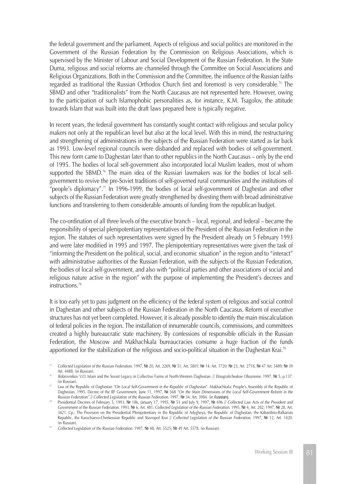the federal government and the parliament. Aspects of religious and social politics are monitored in the Government of the Russian Federation by the Commission on Religious Associations, which is supervised by the Minister of Labour and Social Development of the Russian Federation. In the State Duma, religious and social reforms are channeled through the Committee on Social Associations and Religious Organizations. Both in the Commission and the Committee, the influence of the Russian faiths regarded as traditional (the Russian Orthodox Church first and foremost) is very considerable.<sup>75</sup> The SBMD and other "traditionalists" from the North Caucasus are not represented here. However, owing to the participation of such Islamophobic personalities as, for instance, K.M. Tsagolov, the attitude towards Islam that was built into the draft laws prepared here is typically negative.

In recent years, the federal government has constantly sought contact with religious and secular policy makers not only at the republican level but also at the local level. With this in mind, the restructuring and strengthening of administrations in the subjects of the Russian Federation were started as far back as 1993. Low-level regional councils were disbanded and replaced with bodies of self-government. This new form came to Daghestan later than to other republics in the North Caucasus – only by the end of 1995. The bodies of local self-government also incorporated local Muslim leaders, most of whom supported the SBMD.<sup>76</sup> The main idea of the Russian lawmakers was for the bodies of local selfgovernment to revive the pre-Soviet traditions of self-governed rural communities and the institutions of "people's diplomacy".<sup>77</sup> In 1996-1999, the bodies of local self-government of Daghestan and other subjects of the Russian Federation were greatly strengthened by divesting them with broad administrative functions and transferring to them considerable amounts of funding from the republican budget.

The co-ordination of all three levels of the executive branch – local, regional, and federal – became the responsibility of special plenipotentiary representatives of the President of the Russian Federation in the region. The statutes of such representatives were signed by the President already on 5 February 1993 and were later modified in 1995 and 1997. The plenipotentiary representatives were given the task of "informing the President on the political, social, and economic situation" in the region and to "interact" with administrative authorities of the Russian Federation, with the subjects of the Russian Federation, the bodies of local self-government, and also with "political parties and other associations of social and religious nature active in the region" with the purpose of implementing the President's decrees and instructions.<sup>78</sup>

It is too early yet to pass judgment on the efficiency of the federal system of religious and social control in Daghestan and other subjects of the Russian Federation in the North Caucasus. Reform of executive structures has not yet been completed. However, it is already possible to identify the main miscalculation of federal policies in the region. The installation of innumerable councils, commissions, and committees created a highly bureaucratic state machinery. By confessions of responsible officials in the Russian Federation, the Moscow and Makhachkala bureaucracies consume a huge fraction of the funds apportioned for the stabilization of the religious and socio-political situation in the Daghestan Krai.79

<sup>75</sup> Collected Legislation of the Russian Federation. 1997, № 20, Art. 2269, № 51, Art. 5801; № 14, Art. 1720; № 23, Art. 2718, № 47 Art. 5489; № 39 Art. 4488. (in Russian).

<sup>76</sup> Bobrovnikov V.O. Islam and the Soviet Legacy in Collective Farms of North-Western Daghestan. // Etnograficheskoe Obozrenie. 1997, № 5, p.137. (in Russian).

Law of the Republic of Daghestan "On Local Self-Government in the Republic of Daghestan". Makhachkala: People's Assembly of the Republic of Daghestan, 1995. Decree of the RF Government, June 11, 1997, № 568 "On the Main Dimensions of the Local Self-Government Reform in the Russian Federation" // Collected Legislation of the Russian Federation. 1997, № 34, Art. 3984. (in Russian).

<sup>78</sup> Presidential Decrees of February 5, 1993, № 186, January 17, 1995, № 53 and July 9, 1997, № 696 // Collected Law Acts of the President and Government of the Russian Federation. 1993, № 6, Art. 481; Collected Legislation of the Russian Federation. 1995, № 4, Art. 282; 1997, № 28, Art. 3421. Cp.: The Provision on the Presidential Plenipotentiary in the Republic of Adygheya, the Republic of Daghestan, the Kabardino-Balkarian Republic, the Karachaevo-Cherkessian Republic and Stavropol Krai // Collected Legislation of the Russian Federation. 1997, № 12, Art. 1420. (in Russian).

Collected Legislation of the Russian Federation. 1997, № 48, Art. 5525; № 49 Art. 5578. (in Russian).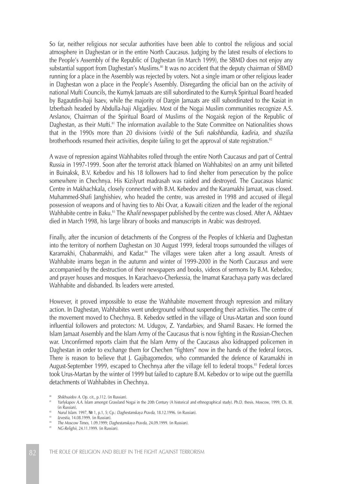So far, neither religious nor secular authorities have been able to control the religious and social atmosphere in Daghestan or in the entire North Caucasus. Judging by the latest results of elections to the People's Assembly of the Republic of Daghestan (in March 1999), the SBMD does not enjoy any substantial support from Daghestan's Muslims.<sup>80</sup> It was no accident that the deputy chairman of SBMD running for a place in the Assembly was rejected by voters. Not a single imam or other religious leader in Daghestan won a place in the People's Assembly. Disregarding the official ban on the activity of national Mufti Councils, the Kumyk Jamaats are still subordinated to the Kumyk Spiritual Board headed by Bagautdin-haji Isaev, while the majority of Dargin Jamaats are still subordinated to the Kasiat in Izberbash headed by Abdulla-haji Aligadjiev. Most of the Nogai Muslim communities recognize A.S. Arslanov, Chairman of the Spiritual Board of Muslims of the Nogaisk region of the Republic of Daghestan, as their Mufti.<sup>81</sup> The information available to the State Committee on Nationalities shows that in the 1990s more than 20 divisions (virds) of the Sufi nakshbandia, kadiria, and shazilia brotherhoods resumed their activities, despite failing to get the approval of state registration.<sup>82</sup>

A wave of repression against Wahhabites rolled through the entire North Caucasus and part of Central Russia in 1997-1999. Soon after the terrorist attack (blamed on Wahhabites) on an army unit billeted in Buinaksk, B.V. Kebedov and his 18 followers had to find shelter from persecution by the police somewhere in Chechnya. His Kizilyurt madrasah was raided and destroyed. The Caucasus Islamic Centre in Makhachkala, closely connected with B.M. Kebedov and the Karamakhi Jamaat, was closed. Muhammed-Shafi Janghishiev, who headed the centre, was arrested in 1998 and accused of illegal possession of weapons and of having ties to Abi Ovar, a Kuwaiti citizen and the leader of the regional Wahhabite centre in Baku.<sup>83</sup> The Khalif newspaper published by the centre was closed. After A. Akhtaev died in March 1998, his large library of books and manuscripts in Arabic was destroyed.

Finally, after the incursion of detachments of the Congress of the Peoples of Ichkeria and Daghestan into the territory of northern Daghestan on 30 August 1999, federal troops surrounded the villages of Karamakhi, Chabanmakhi, and Kadar.<sup>84</sup> The villages were taken after a long assault. Arrests of Wahhabite imams began in the autumn and winter of 1999-2000 in the North Caucasus and were accompanied by the destruction of their newspapers and books, videos of sermons by B.M. Kebedov, and prayer houses and mosques. In Karachaevo-Cherkessia, the Imamat Karachaya party was declared Wahhabite and disbanded. Its leaders were arrested.

However, it proved impossible to erase the Wahhabite movement through repression and military action. In Daghestan, Wahhabites went underground without suspending their activities. The centre of the movement moved to Chechnya. B. Kebedov settled in the village of Urus-Martan and soon found influential followers and protectors: M. Udugov, Z. Yandarbiev, and Shamil Basaev. He formed the Islam Jamaat Assembly and the Islam Army of the Caucasus that is now fighting in the Russian-Chechen war. Unconfirmed reports claim that the Islam Army of the Caucasus also kidnapped policemen in Daghestan in order to exchange them for Chechen "fighters" now in the hands of the federal forces. There is reason to believe that J. Gajibagomedov, who commanded the defence of Karamakhi in August-September 1999, escaped to Chechnya after the village fell to federal troops.<sup>85</sup> Federal forces took Urus-Martan by the winter of 1999 but failed to capture B.M. Kebedov or to wipe out the guerrilla detachments of Wahhabites in Chechnya.

<sup>80</sup> Shikhsaidov A. Op. cit., p.112. (in Russian).

Yarlykapov A.A. Islam amongst Grassland Nogai in the 20th Century (A historical and ethnographical study). Ph.D. thesis. Moscow, 1999, Ch. III. (in Russian).

<sup>82</sup> Nurul Islam. 1997, № 1, p.1, 5; Cp.: Daghestanskaya Pravda, 18.12.1996. (in Russian).

Izvestia, 14.08.1999. (in Russian).

<sup>84</sup> The Moscow Times, 1.09.1999; Daghestanskaya Pravda, 24.09.1999. (in Russian).

<sup>85</sup> NG-Relighii, 24.11.1999. (in Russian).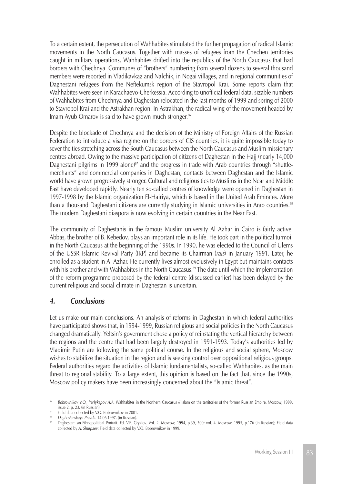To a certain extent, the persecution of Wahhabites stimulated the further propagation of radical Islamic movements in the North Caucasus. Together with masses of refugees from the Chechen territories caught in military operations, Wahhabites drifted into the republics of the North Caucasus that had borders with Chechnya. Communes of "brothers" numbering from several dozens to several thousand members were reported in Vladikavkaz and Nalchik, in Nogai villages, and in regional communities of Daghestani refugees from the Neftekumsk region of the Stavropol Krai. Some reports claim that Wahhabites were seen in Karachaevo-Cherkessia. According to unofficial federal data, sizable numbers of Wahhabites from Chechnya and Daghestan relocated in the last months of 1999 and spring of 2000 to Stavropol Krai and the Astrakhan region. In Astrakhan, the radical wing of the movement headed by Imam Ayub Omarov is said to have grown much stronger.<sup>86</sup>

Despite the blockade of Chechnya and the decision of the Ministry of Foreign Affairs of the Russian Federation to introduce a visa regime on the borders of CIS countries, it is quite impossible today to sever the ties stretching across the South Caucasus between the North Caucasus and Muslim missionary centres abroad. Owing to the massive participation of citizens of Daghestan in the Hajj (nearly 14,000 Daghestani pilgrims in 1999 alone) $87$  and the progress in trade with Arab countries through "shuttlemerchants" and commercial companies in Daghestan, contacts between Daghestan and the Islamic world have grown progressively stronger. Cultural and religious ties to Muslims in the Near and Middle East have developed rapidly. Nearly ten so-called centres of knowledge were opened in Daghestan in 1997-1998 by the Islamic organization El-Hairiya, which is based in the United Arab Emirates. More than a thousand Daghestani citizens are currently studying in Islamic universities in Arab countries.<sup>88</sup> The modern Daghestani diaspora is now evolving in certain countries in the Near East.

The community of Daghestanis in the famous Muslim university Al Azhar in Cairo is fairly active. Abbas, the brother of B. Kebedov, plays an important role in its life. He took part in the political turmoil in the North Caucasus at the beginning of the 1990s. In 1990, he was elected to the Council of Ulems of the USSR Islamic Revival Party (IRP) and became its Chairman (rais) in January 1991. Later, he enrolled as a student in Al Azhar. He currently lives almost exclusively in Egypt but maintains contacts with his brother and with Wahhabites in the North Caucasus.<sup>89</sup> The date until which the implementation of the reform programme proposed by the federal centre (discussed earlier) has been delayed by the current religious and social climate in Daghestan is uncertain.

### 4. Conclusions

Let us make our main conclusions. An analysis of reforms in Daghestan in which federal authorities have participated shows that, in 1994-1999, Russian religious and social policies in the North Caucasus changed dramatically. Yeltsin's government chose a policy of reinstating the vertical hierarchy between the regions and the centre that had been largely destroyed in 1991-1993. Today's authorities led by Vladimir Putin are following the same political course. In the religious and social sphere, Moscow wishes to stabilize the situation in the region and is seeking control over oppositional religious groups. Federal authorities regard the activities of Islamic fundamentalists, so-called Wahhabites, as the main threat to regional stability. To a large extent, this opinion is based on the fact that, since the 1990s, Moscow policy makers have been increasingly concerned about the "Islamic threat".

Bobrovnikov V.O., Yarlykapov A.A. Wahhabites in the Northern Caucasus // Islam on the territories of the former Russian Empire. Moscow, 1999, issue 2, p. 23. (in Russian).

Field data collected by V.O. Bobrovnikov in 2001.

Daghestanskaya Pravda. 14.06.1997. (in Russian).

Daghestan: an Ethnopolitical Portrait. Ed. V.F. Gryzlov. Vol. 2, Moscow, 1994, p.39, 300; vol. 4, Moscow, 1995, p.176 (in Russian); Field data collected by A. Shurpaev; Field data collected by V.O. Bobrovnikov in 1999.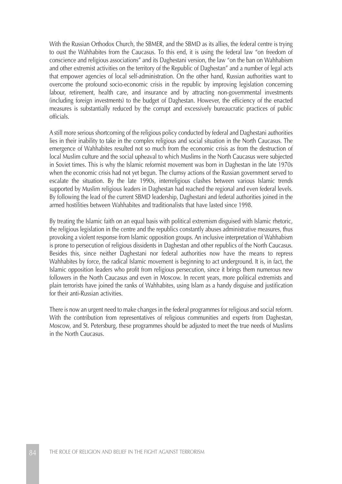With the Russian Orthodox Church, the SBMER, and the SBMD as its allies, the federal centre is trying to oust the Wahhabites from the Caucasus. To this end, it is using the federal law "on freedom of conscience and religious associations" and its Daghestani version, the law "on the ban on Wahhabism and other extremist activities on the territory of the Republic of Daghestan" and a number of legal acts that empower agencies of local self-administration. On the other hand, Russian authorities want to overcome the profound socio-economic crisis in the republic by improving legislation concerning labour, retirement, health care, and insurance and by attracting non-governmental investments (including foreign investments) to the budget of Daghestan. However, the efficiency of the enacted measures is substantially reduced by the corrupt and excessively bureaucratic practices of public officials.

A still more serious shortcoming of the religious policy conducted by federal and Daghestani authorities lies in their inability to take in the complex religious and social situation in the North Caucasus. The emergence of Wahhabites resulted not so much from the economic crisis as from the destruction of local Muslim culture and the social upheaval to which Muslims in the North Caucasus were subjected in Soviet times. This is why the Islamic reformist movement was born in Daghestan in the late 1970s when the economic crisis had not yet begun. The clumsy actions of the Russian government served to escalate the situation. By the late 1990s, interreligious clashes between various Islamic trends supported by Muslim religious leaders in Daghestan had reached the regional and even federal levels. By following the lead of the current SBMD leadership, Daghestani and federal authorities joined in the armed hostilities between Wahhabites and traditionalists that have lasted since 1998.

By treating the Islamic faith on an equal basis with political extremism disguised with Islamic rhetoric, the religious legislation in the centre and the republics constantly abuses administrative measures, thus provoking a violent response from Islamic opposition groups. An inclusive interpretation of Wahhabism is prone to persecution of religious dissidents in Daghestan and other republics of the North Caucasus. Besides this, since neither Daghestani nor federal authorities now have the means to repress Wahhabites by force, the radical Islamic movement is beginning to act underground. It is, in fact, the Islamic opposition leaders who profit from religious persecution, since it brings them numerous new followers in the North Caucasus and even in Moscow. In recent years, more political extremists and plain terrorists have joined the ranks of Wahhabites, using Islam as a handy disguise and justification for their anti-Russian activities.

There is now an urgent need to make changes in the federal programmes for religious and social reform. With the contribution from representatives of religious communities and experts from Daghestan, Moscow, and St. Petersburg, these programmes should be adjusted to meet the true needs of Muslims in the North Caucasus.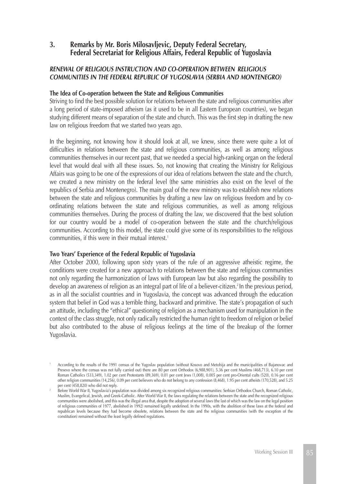### 3. Remarks by Mr. Boris Milosavljevic, Deputy Federal Secretary, Federal Secretariat for Religious Affairs, Federal Republic of Yugoslavia

### RENEWAL OF RELIGIOUS INSTRUCTION AND CO-OPERATION BETWEEN RELIGIOUS COMMUNITIES IN THE FEDERAL REPUBLIC OF YUGOSLAVIA (SERBIA AND MONTENEGRO)

#### The Idea of Co-operation between the State and Religious Communities

Striving to find the best possible solution for relations between the state and religious communities after a long period of state-imposed atheism (as it used to be in all Eastern European countries), we began studying different means of separation of the state and church. This was the first step in drafting the new law on religious freedom that we started two years ago.

In the beginning, not knowing how it should look at all, we knew, since there were quite a lot of difficulties in relations between the state and religious communities, as well as among religious communities themselves in our recent past, that we needed a special high-ranking organ on the federal level that would deal with all these issues. So, not knowing that creating the Ministry for Religious Affairs was going to be one of the expressions of our idea of relations between the state and the church, we created a new ministry on the federal level (the same ministries also exist on the level of the republics of Serbia and Montenegro). The main goal of the new ministry was to establish new relations between the state and religious communities by drafting a new law on religious freedom and by coordinating relations between the state and religious communities, as well as among religious communities themselves. During the process of drafting the law, we discovered that the best solution for our country would be a model of co-operation between the state and the church/religious communities. According to this model, the state could give some of its responsibilities to the religious communities, if this were in their mutual interest.<sup>1</sup>

#### Two Years' Experience of the Federal Republic of Yugoslavia

After October 2000, following upon sixty years of the rule of an aggressive atheistic regime, the conditions were created for a new approach to relations between the state and religious communities not only regarding the harmonization of laws with European law but also regarding the possibility to develop an awareness of religion as an integral part of life of a believer-citizen.<sup>2</sup> In the previous period, as in all the socialist countries and in Yugoslavia, the concept was advanced through the education system that belief in God was a terrible thing, backward and primitive. The state's propagation of such an attitude, including the "ethical" questioning of religion as a mechanism used for manipulation in the context of the class struggle, not only radically restricted the human right to freedom of religion or belief but also contributed to the abuse of religious feelings at the time of the breakup of the former Yugoslavia.

<sup>1</sup> According to the results of the 1991 census of the Yugoslav population (without Kosovo and Metohija and the municipalities of Bujanovac and Presevo where the census was not fully carried out) there are 80 per cent Orthodox (6,988,901), 5.36 per cent Muslims (468,713), 6.10 per cent Roman Catholics (533,349), 1.02 per cent Protestants (89,369), 0.01 per cent Jews (1,008), 0.005 per cent pro-Oriental cults (520), 0.16 per cent other religion communities (14,256), 0.09 per cent believers who do not belong to any confession (8,468), 1.95 per cent atheists (170,528), and 5.25 per cent (458,820) who did not reply.

<sup>2</sup> Before World War II, Yugoslavia's population was divided among six recognized religious communities: Serbian Orthodox Church, Roman Catholic, Muslim, Evangelical, Jewish, and Greek-Catholic. After World War II, the laws regulating the relations between the state and the recognized religious communities were abolished, and this was the illegal area that, despite the adoption of several laws (the last of which was the law on the legal position of religious communities of 1977, abolished in 1992) remained legally undefined. In the 1990s, with the abolition of these laws at the federal and republican levels because they had become obsolete, relations between the state and the religious communities (with the exception of the constitution) remained without the least legally defined regulations.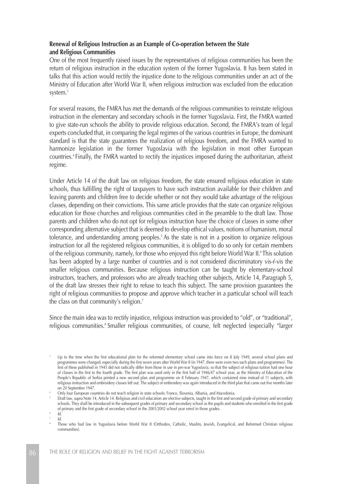#### Renewal of Religious Instruction as an Example of Co-operation between the State and Religious Communities

One of the most frequently raised issues by the representatives of religious communities has been the return of religious instruction in the education system of the former Yugoslavia. It has been stated in talks that this action would rectify the injustice done to the religious communities under an act of the Ministry of Education after World War II, when religious instruction was excluded from the education system.<sup>3</sup>

For several reasons, the FMRA has met the demands of the religious communities to reinstate religious instruction in the elementary and secondary schools in the former Yugoslavia. First, the FMRA wanted to give state-run schools the ability to provide religious education. Second, the FMRA's team of legal experts concluded that, in comparing the legal regimes of the various countries in Europe, the dominant standard is that the state guarantees the realization of religious freedom, and the FMRA wanted to harmonize legislation in the former Yugoslavia with the legislation in most other European countries.4 Finally, the FMRA wanted to rectify the injustices imposed during the authoritarian, atheist regime.

Under Article 14 of the draft law on religious freedom, the state ensured religious education in state schools, thus fulfilling the right of taxpayers to have such instruction available for their children and leaving parents and children free to decide whether or not they would take advantage of the religious classes, depending on their convictions. This same article provides that the state can organize religious education for those churches and religious communities cited in the preamble to the draft law. Those parents and children who do not opt for religious instruction have the choice of classes in some other corresponding alternative subject that is deemed to develop ethical values, notions of humanism, moral tolerance, and understanding among peoples.<sup>5</sup> As the state is not in a position to organize religious instruction for all the registered religious communities, it is obliged to do so only for certain members of the religious community, namely, for those who enjoyed this right before World War II.<sup>6</sup> This solution has been adopted by a large number of countries and is not considered discriminatory vis-f-vis the smaller religious communities. Because religious instruction can be taught by elementary-school instructors, teachers, and professors who are already teaching other subjects, Article 14, Paragraph 5, of the draft law stresses their right to refuse to teach this subject. The same provision guarantees the right of religious communities to propose and approve which teacher in a particular school will teach the class on that community's religion.7

Since the main idea was to rectify injustice, religious instruction was provided to "old", or "traditional", religious communities.<sup>8</sup> Smaller religious communities, of course, felt neglected (especially "larger

 $\overline{d}$ Id.

Up to the time when the first educational plan for the reformed elementary school came into force on 8 July 1949, several school plans and programmes were changed, especially during the first seven years after World War II (in 1947, there were even two such plans and programmes). The first of these published in 1945 did not radically differ from those in use in pre-war Yugoslavia, so that the subject of religious tuition had one hour of classes in the first to the fourth grade. The first plan was used only in the first half of 1946/47 school year, as the Ministry of Education of the People's Republic of Serbia printed a new second plan and programme on 8 February 1947, which contained nine instead of 11 subjects, with religious instruction and embroidery classes left out. The subject of embroidery was again introduced in the third plan that came out five months later on 20 September 1947.

<sup>4</sup> Only four European countries do not teach religion in state schools: France, Slovenia, Albania, and Macedonia.

Draft law, supra Note 14, Article 14. Religious and civil education are elective subjects, taught in the first and second grade of primary and secondary schools. They shall be introduced in the subsequent grades of primary and secondary school as the pupils and students who enrolled in the first grade of primary and the first grade of secondary school in the 2001/2002 school year enrol in those grades.

Those who had law in Yugoslavia before World War II (Orthodox, Catholic, Muslim, Jewish, Evangelical, and Reformed Christian religious communities).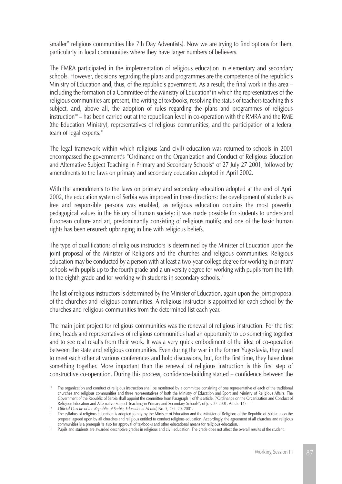smaller" religious communities like 7th Day Adventists). Now we are trying to find options for them, particularly in local communities where they have larger numbers of believers.

The FMRA participated in the implementation of religious education in elementary and secondary schools. However, decisions regarding the plans and programmes are the competence of the republic's Ministry of Education and, thus, of the republic's government. As a result, the final work in this area – including the formation of a Committee of the Ministry of Education<sup>9</sup> in which the representatives of the religious communities are present, the writing of textbooks, resolving the status of teachers teaching this subject, and, above all, the adoption of rules regarding the plans and programmes of religious instruction<sup>10</sup> – has been carried out at the republican level in co-operation with the RMRA and the RME (the Education Ministry), representatives of religious communities, and the participation of a federal team of legal experts.<sup>11</sup>

The legal framework within which religious (and civil) education was returned to schools in 2001 encompassed the government's "Ordinance on the Organization and Conduct of Religious Education and Alternative Subject Teaching in Primary and Secondary Schools" of 27 July 27 2001, followed by amendments to the laws on primary and secondary education adopted in April 2002.

With the amendments to the laws on primary and secondary education adopted at the end of April 2002, the education system of Serbia was improved in three directions: the development of students as free and responsible persons was enabled, as religious education contains the most powerful pedagogical values in the history of human society; it was made possible for students to understand European culture and art, predominantly consisting of religious motifs; and one of the basic human rights has been ensured: upbringing in line with religious beliefs.

The type of qualifications of religious instructors is determined by the Minister of Education upon the joint proposal of the Minister of Religions and the churches and religious communities. Religious education may be conducted by a person with at least a two-year college degree for working in primary schools with pupils up to the fourth grade and a university degree for working with pupils from the fifth to the eighth grade and for working with students in secondary schools.<sup>12</sup>

The list of religious instructors is determined by the Minister of Education, again upon the joint proposal of the churches and religious communities. A religious instructor is appointed for each school by the churches and religious communities from the determined list each year.

The main joint project for religious communities was the renewal of religious instruction. For the first time, heads and representatives of religious communities had an opportunity to do something together and to see real results from their work. It was a very quick embodiment of the idea of co-operation between the state and religious communities. Even during the war in the former Yugoslavia, they used to meet each other at various conferences and hold discussions, but, for the first time, they have done something together. More important than the renewal of religious instruction is this first step of constructive co-operation. During this process, confidence-building started – confidence between the

The organization and conduct of religious instruction shall be monitored by a committee consisting of one representative of each of the traditional churches and religious communities and three representatives of both the Ministry of Education and Sport and Ministry of Religious Affairs. The Government of the Republic of Serbia shall appoint the committee from Paragraph 1 of this article. ("Ordinance on the Organization and Conduct of Religious Education and Alternative Subject Teaching in Primary and Secondary Schools", of July 27 2001, Article 14).

Official Gazette of the Republic of Serbia, Educational Herald, No. 5, Oct. 20, 2001.

<sup>&</sup>lt;sup>11</sup> The syllabus of religious education is adopted jointly by the Minister of Education and the Minister of Religions of the Republic of Serbia upon the proposal agreed upon by all churches and religious entitled to conduct religious education. Accordingly, the agreement of all churches and religious communities is a prerequisite also for approval of textbooks and other educational means for religious education.

<sup>12</sup> Pupils and students are awarded descriptive grades in religious and civil education. The grade does not affect the overall results of the student.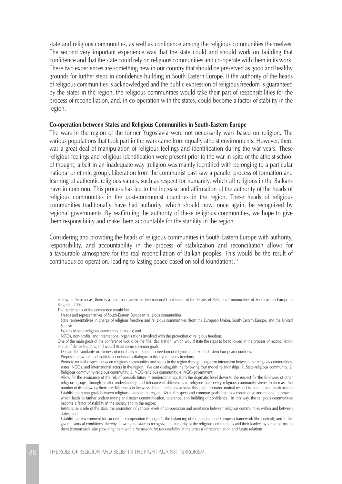state and religious communities, as well as confidence among the religious communities themselves. The second very important experience was that the state could and should work on building that confidence and that the state could rely on religious communities and co-operate with them in its work. These two experiences are something new in our country that should be preserved as good and healthy grounds for further steps in confidence-building in South-Eastern Europe. If the authority of the heads of religious communities is acknowledged and the public expression of religious freedom is guaranteed by the states in the region, the religious communities would take their part of responsibilities for the process of reconciliation, and, in co-operation with the states, could become a factor of stability in the region.

#### Co-operation between States and Religious Communities in South-Eastern Europe

The wars in the region of the former Yugoslavia were not necessarily wars based on religion. The various populations that took part in the wars came from equally atheist environments. However, there was a great deal of manipulation of religious feelings and identification during the war years. These religious feelings and religious identification were present prior to the war in spite of the atheist school of thought, albeit in an inadequate way (religion was mainly identified with belonging to a particular national or ethnic group). Liberation from the communist past saw a parallel process of formation and learning of authentic religious values, such as respect for humanity, which all religions in the Balkans have in common. This process has led to the increase and affirmation of the authority of the heads of religious communities in the post-communist countries in the region. These heads of religious communities traditionally have had authority, which should now, once again, be recognized by regional governments. By reaffirming the authority of these religious communities, we hope to give them responsibility and make them accountable for the stability in the region.

Considering and providing the heads of religious communities in South-Eastern Europe with authority, responsibility, and accountability in the process of stabilization and reconciliation allows for a favourable atmosphere for the real reconciliation of Balkan peoples. This would be the result of continuous co-operation, leading to lasting peace based on solid foundations.13

<sup>13</sup> Following these ideas, there is a plan to organize an International Conference of the Heads of Religious Communities of Southeastern Europe in Belgrade, 2003.

- The participants of the conference would be:
- · Heads and representatives of South-Eastern European religious communities;
- · State representatives in charge of religious freedom and religious communities (from the European Union, South-Eastern Europe, and the United States);
- · Experts in state-religious community relations; and
- · NGOs, non-profits, and international organizations involved with the protection of religious freedom.
- One of the main goals of the conference would be the final declaration, which would state the steps to be followed in the process of reconciliation and confidence-building and would stress some common goals:
- · Declare the similarity or likeness of moral law in relation to freedom of religion in all South-Eastern European countries;
- · Propose, allow for, and institute a continuous dialogue to discuss religious freedom;
- · Promote mutual respect between religious communities and states in the region through long-term interaction between the religious communities, states, NGOs, and international actors in the region. We can distinguish the following four model relationships: 1. State-religious community; 2. Religious community-religious community; 3. NGO-religious community; 4. NGO-government;

· Establish an environment for successful co-operation through: 1. the balancing of the regional and European framework (the context); and 2. the given historical conditions, thereby allowing the state to recognize the authority of the religious communities and their leaders by virtue of trust in them (contractual), also providing them with a framework for responsibility in the process of reconciliation and future relations.

<sup>·</sup> Allow for the avoidance of the risk of possible future misunderstandings, from the dogmatic level down to the respect for the followers of other religious groups, through greater understanding and tolerance of differences in religions (i.e., every religious community strives to increase the number of its followers; there are differences in the ways different religions achieve this goal). Genuine mutual respect is then the immediate result;

<sup>·</sup> Establish common goals between religious actors in the region. Mutual respect and common goals lead to a constructive and rational approach, which leads to further understanding and better communication, tolerance, and building of confidence. In this way, the religious communities become a factor of stability in the society and in the region;

<sup>·</sup> Institute, as a role of the state, the promotion of various levels of co-operation and assistance between religious communities within and between states; and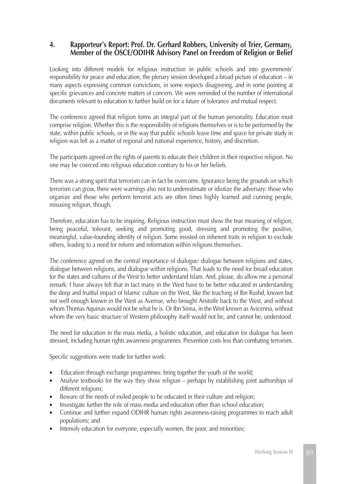### 4. Rapporteur's Report: Prof. Dr. Gerhard Robbers, University of Trier, Germany, Member of the OSCE/ODIHR Advisory Panel on Freedom of Religion or Belief

Looking into different models for religious instruction in public schools and into governments' responsibility for peace and education, the plenary session developed a broad picture of education – in many aspects expressing common convictions, in some respects disagreeing, and in some pointing at specific grievances and concrete matters of concern. We were reminded of the number of international documents relevant to education to further build on for a future of tolerance and mutual respect.

The conference agreed that religion forms an integral part of the human personality. Education must comprise religion. Whether this is the responsibility of religions themselves or is to be performed by the state, within public schools, or in the way that public schools leave time and space for private study in religion was left as a matter of regional and national experience, history, and discretion.

The participants agreed on the rights of parents to educate their children in their respective religion. No one may be coerced into religious education contrary to his or her beliefs.

There was a strong spirit that terrorism can in fact be overcome. Ignorance being the grounds on which terrorism can grow, there were warnings also not to underestimate or idiotize the adversary: those who organize and those who perform terrorist acts are often times highly learned and cunning people, misusing religion, though.

Therefore, education has to be inspiring. Religious instruction must show the true meaning of religion, being peaceful, tolerant, seeking and promoting good, stressing and promoting the positive, meaningful, value-founding identity of religion. Some insisted on inherent traits in religion to exclude others, leading to a need for reform and reformation within religions themselves.

The conference agreed on the central importance of dialogue: dialogue between religions and states, dialogue between religions, and dialogue within religions. That leads to the need for broad education for the states and cultures of the West to better understand Islam. And, please, do allow me a personal remark: I have always felt that in fact many in the West have to be better educated in understanding the deep and fruitful impact of Islamic culture on the West, like the teaching of Ibn Rushd, known but not well enough known in the West as Averroe, who brought Aristotle back to the West, and without whom Thomas Aquinas would not be what he is. Or Ibn Sinna, in the West known as Avicenna, without whom the very basic structure of Western philosophy itself would not be, and cannot be, understood.

The need for education in the mass media, a holistic education, and education for dialogue has been stressed, including human rights awareness programmes. Prevention costs less than combating terrorism.

Specific suggestions were made for further work:

- Education through exchange programmes: bring together the youth of the world;
- Analyse textbooks for the way they show religion perhaps by establishing joint authorships of different religions;
- Beware of the needs of exiled people to be educated in their culture and religion;
- Investigate further the role of mass media and education other than school education;
- Continue and further expand ODIHR human rights awareness-raising programmes to reach adult populations; and
- Intensify education for everyone, especially women, the poor, and minorities;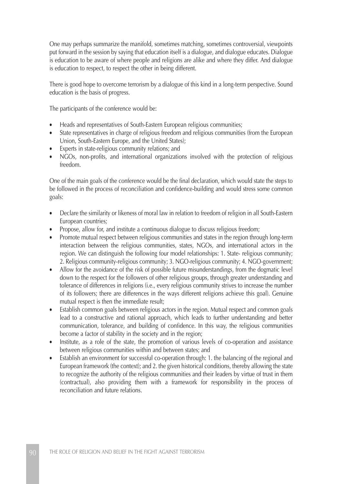One may perhaps summarize the manifold, sometimes matching, sometimes controversial, viewpoints put forward in the session by saying that education itself is a dialogue, and dialogue educates. Dialogue is education to be aware of where people and religions are alike and where they differ. And dialogue is education to respect, to respect the other in being different.

There is good hope to overcome terrorism by a dialogue of this kind in a long-term perspective. Sound education is the basis of progress.

The participants of the conference would be:

- Heads and representatives of South-Eastern European religious communities;
- State representatives in charge of religious freedom and religious communities (from the European Union, South-Eastern Europe, and the United States);
- Experts in state-religious community relations; and
- NGOs, non-profits, and international organizations involved with the protection of religious freedom.

One of the main goals of the conference would be the final declaration, which would state the steps to be followed in the process of reconciliation and confidence-building and would stress some common goals:

- Declare the similarity or likeness of moral law in relation to freedom of religion in all South-Eastern European countries;
- Propose, allow for, and institute a continuous dialogue to discuss religious freedom;
- Promote mutual respect between religious communities and states in the region through long-term interaction between the religious communities, states, NGOs, and international actors in the region. We can distinguish the following four model relationships: 1. State- religious community; 2. Religious community-religious community; 3. NGO-religious community; 4. NGO-government;
- Allow for the avoidance of the risk of possible future misunderstandings, from the dogmatic level down to the respect for the followers of other religious groups, through greater understanding and tolerance of differences in religions (i.e., every religious community strives to increase the number of its followers; there are differences in the ways different religions achieve this goal). Genuine mutual respect is then the immediate result;
- Establish common goals between religious actors in the region. Mutual respect and common goals lead to a constructive and rational approach, which leads to further understanding and better communication, tolerance, and building of confidence. In this way, the religious communities become a factor of stability in the society and in the region;
- Institute, as a role of the state, the promotion of various levels of co-operation and assistance between religious communities within and between states; and
- Establish an environment for successful co-operation through: 1. the balancing of the regional and European framework (the context); and 2. the given historical conditions, thereby allowing the state to recognize the authority of the religious communities and their leaders by virtue of trust in them (contractual), also providing them with a framework for responsibility in the process of reconciliation and future relations.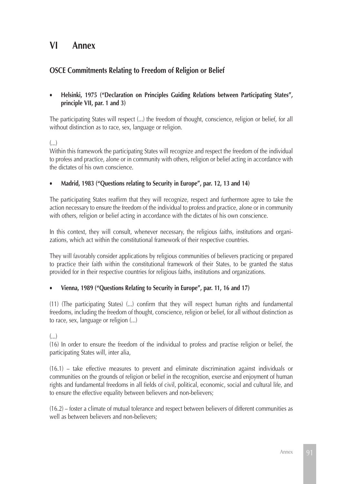## VI Annex

### OSCE Commitments Relating to Freedom of Religion or Belief

### • Helsinki, 1975 ("Declaration on Principles Guiding Relations between Participating States", principle VII, par. 1 and 3)

The participating States will respect (...) the freedom of thought, conscience, religion or belief, for all without distinction as to race, sex, language or religion.

 $\left( \ldots \right)$ 

Within this framework the participating States will recognize and respect the freedom of the individual to profess and practice, alone or in community with others, religion or belief acting in accordance with the dictates of his own conscience.

### • Madrid, 1983 ("Questions relating to Security in Europe", par. 12, 13 and 14)

The participating States reaffirm that they will recognize, respect and furthermore agree to take the action necessary to ensure the freedom of the individual to profess and practice, alone or in community with others, religion or belief acting in accordance with the dictates of his own conscience.

In this context, they will consult, whenever necessary, the religious faiths, institutions and organizations, which act within the constitutional framework of their respective countries.

They will favorably consider applications by religious communities of believers practicing or prepared to practice their faith within the constitutional framework of their States, to be granted the status provided for in their respective countries for religious faiths, institutions and organizations.

### • Vienna, 1989 ("Questions Relating to Security in Europe", par. 11, 16 and 17)

(11) (The participating States) (...) confirm that they will respect human rights and fundamental freedoms, including the freedom of thought, conscience, religion or belief, for all without distinction as to race, sex, language or religion (...)

### $\left(\ldots\right)$

(16) In order to ensure the freedom of the individual to profess and practise religion or belief, the participating States will, inter alia,

(16.1) – take effective measures to prevent and eliminate discrimination against individuals or communities on the grounds of religion or belief in the recognition, exercise and enjoyment of human rights and fundamental freedoms in all fields of civil, political, economic, social and cultural life, and to ensure the effective equality between believers and non-believers;

(16.2) – foster a climate of mutual tolerance and respect between believers of different communities as well as between believers and non-believers;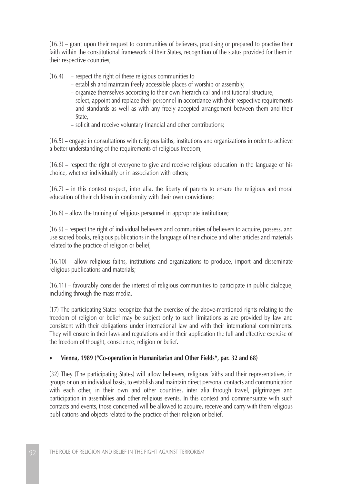(16.3) – grant upon their request to communities of believers, practising or prepared to practise their faith within the constitutional framework of their States, recognition of the status provided for them in their respective countries;

(16.4) – respect the right of these religious communities to

- establish and maintain freely accessible places of worship or assembly,
- organize themselves according to their own hierarchical and institutional structure,
- select, appoint and replace their personnel in accordance with their respective requirements and standards as well as with any freely accepted arrangement between them and their State,
- solicit and receive voluntary financial and other contributions;

(16.5) – engage in consultations with religious faiths, institutions and organizations in order to achieve a better understanding of the requirements of religious freedom:

(16.6) – respect the right of everyone to give and receive religious education in the language of his choice, whether individually or in association with others;

(16.7) – in this context respect, inter alia, the liberty of parents to ensure the religious and moral education of their children in conformity with their own convictions;

(16.8) – allow the training of religious personnel in appropriate institutions;

(16.9) – respect the right of individual believers and communities of believers to acquire, possess, and use sacred books, religious publications in the language of their choice and other articles and materials related to the practice of religion or belief,

(16.10) – allow religious faiths, institutions and organizations to produce, import and disseminate religious publications and materials;

(16.11) – favourably consider the interest of religious communities to participate in public dialogue, including through the mass media.

(17) The participating States recognize that the exercise of the above-mentioned rights relating to the freedom of religion or belief may be subject only to such limitations as are provided by law and consistent with their obligations under international law and with their international commitments. They will ensure in their laws and regulations and in their application the full and effective exercise of the freedom of thought, conscience, religion or belief.

### • Vienna, 1989 ("Co-operation in Humanitarian and Other Fields", par. 32 and 68)

(32) They (The participating States) will allow believers, religious faiths and their representatives, in groups or on an individual basis, to establish and maintain direct personal contacts and communication with each other, in their own and other countries, inter alia through travel, pilgrimages and participation in assemblies and other religious events. In this context and commensurate with such contacts and events, those concerned will be allowed to acquire, receive and carry with them religious publications and objects related to the practice of their religion or belief.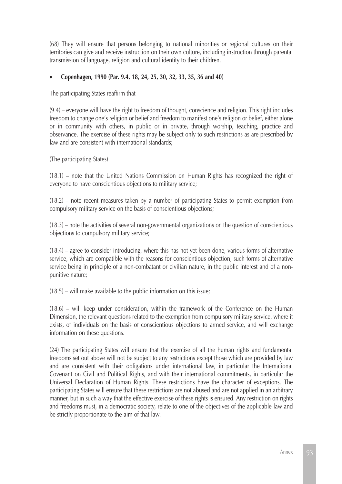(68) They will ensure that persons belonging to national minorities or regional cultures on their territories can give and receive instruction on their own culture, including instruction through parental transmission of language, religion and cultural identity to their children.

### • Copenhagen, 1990 (Par. 9.4, 18, 24, 25, 30, 32, 33, 35, 36 and 40)

The participating States reaffirm that

(9.4) – everyone will have the right to freedom of thought, conscience and religion. This right includes freedom to change one's religion or belief and freedom to manifest one's religion or belief, either alone or in community with others, in public or in private, through worship, teaching, practice and observance. The exercise of these rights may be subject only to such restrictions as are prescribed by law and are consistent with international standards;

(The participating States)

(18.1) – note that the United Nations Commission on Human Rights has recognized the right of everyone to have conscientious objections to military service;

(18.2) – note recent measures taken by a number of participating States to permit exemption from compulsory military service on the basis of conscientious objections;

(18.3) – note the activities of several non-governmental organizations on the question of conscientious objections to compulsory military service;

(18.4) – agree to consider introducing, where this has not yet been done, various forms of alternative service, which are compatible with the reasons for conscientious objection, such forms of alternative service being in principle of a non-combatant or civilian nature, in the public interest and of a nonpunitive nature;

(18.5) – will make available to the public information on this issue;

(18.6) – will keep under consideration, within the framework of the Conference on the Human Dimension, the relevant questions related to the exemption from compulsory military service, where it exists, of individuals on the basis of conscientious objections to armed service, and will exchange information on these questions.

(24) The participating States will ensure that the exercise of all the human rights and fundamental freedoms set out above will not be subject to any restrictions except those which are provided by law and are consistent with their obligations under international law, in particular the International Covenant on Civil and Political Rights, and with their international commitments, in particular the Universal Declaration of Human Rights. These restrictions have the character of exceptions. The participating States will ensure that these restrictions are not abused and are not applied in an arbitrary manner, but in such a way that the effective exercise of these rights is ensured. Any restriction on rights and freedoms must, in a democratic society, relate to one of the objectives of the applicable law and be strictly proportionate to the aim of that law.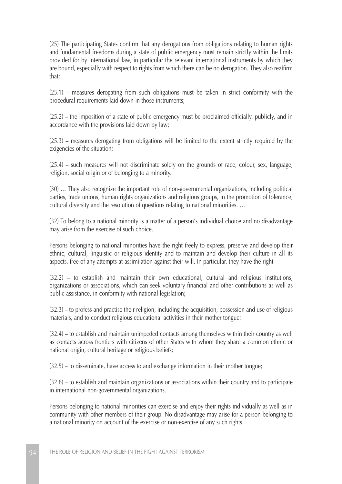(25) The participating States confirm that any derogations from obligations relating to human rights and fundamental freedoms during a state of public emergency must remain strictly within the limits provided for by international law, in particular the relevant international instruments by which they are bound, especially with respect to rights from which there can be no derogation. They also reaffirm that;

(25.1) – measures derogating from such obligations must be taken in strict conformity with the procedural requirements laid down in those instruments;

(25.2) – the imposition of a state of public emergency must be proclaimed officially, publicly, and in accordance with the provisions laid down by law;

(25.3) – measures derogating from obligations will be limited to the extent strictly required by the exigencies of the situation;

(25.4) – such measures will not discriminate solely on the grounds of race, colour, sex, language, religion, social origin or of belonging to a minority.

(30) … They also recognize the important role of non-governmental organizations, including political parties, trade unions, human rights organizations and religious groups, in the promotion of tolerance, cultural diversity and the resolution of questions relating to national minorities. …

(32) To belong to a national minority is a matter of a person's individual choice and no disadvantage may arise from the exercise of such choice.

Persons belonging to national minorities have the right freely to express, preserve and develop their ethnic, cultural, linguistic or religious identity and to maintain and develop their culture in all its aspects, free of any attempts at assimilation against their will. In particular, they have the right

(32.2) – to establish and maintain their own educational, cultural and religious institutions, organizations or associations, which can seek voluntary financial and other contributions as well as public assistance, in conformity with national legislation;

(32.3) – to profess and practise their religion, including the acquisition, possession and use of religious materials, and to conduct religious educational activities in their mother tongue;

(32.4) – to establish and maintain unimpeded contacts among themselves within their country as well as contacts across frontiers with citizens of other States with whom they share a common ethnic or national origin, cultural heritage or religious beliefs;

(32.5) – to disseminate, have access to and exchange information in their mother tongue;

(32.6) – to establish and maintain organizations or associations within their country and to participate in international non-governmental organizations.

Persons belonging to national minorities can exercise and enjoy their rights individually as well as in community with other members of their group. No disadvantage may arise for a person belonging to a national minority on account of the exercise or non-exercise of any such rights.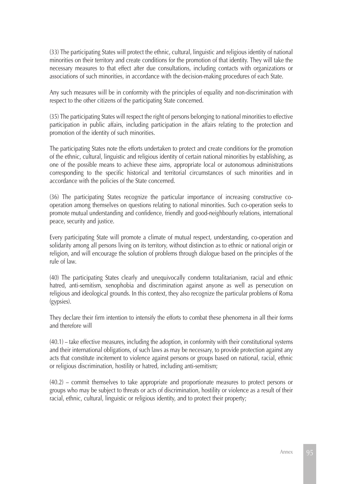(33) The participating States will protect the ethnic, cultural, linguistic and religious identity of national minorities on their territory and create conditions for the promotion of that identity. They will take the necessary measures to that effect after due consultations, including contacts with organizations or associations of such minorities, in accordance with the decision-making procedures of each State.

Any such measures will be in conformity with the principles of equality and non-discrimination with respect to the other citizens of the participating State concerned.

(35) The participating States will respect the right of persons belonging to national minorities to effective participation in public affairs, including participation in the affairs relating to the protection and promotion of the identity of such minorities.

The participating States note the efforts undertaken to protect and create conditions for the promotion of the ethnic, cultural, linguistic and religious identity of certain national minorities by establishing, as one of the possible means to achieve these aims, appropriate local or autonomous administrations corresponding to the specific historical and territorial circumstances of such minorities and in accordance with the policies of the State concerned.

(36) The participating States recognize the particular importance of increasing constructive cooperation among themselves on questions relating to national minorities. Such co-operation seeks to promote mutual understanding and confidence, friendly and good-neighbourly relations, international peace, security and justice.

Every participating State will promote a climate of mutual respect, understanding, co-operation and solidarity among all persons living on its territory, without distinction as to ethnic or national origin or religion, and will encourage the solution of problems through dialogue based on the principles of the rule of law.

(40) The participating States clearly and unequivocally condemn totalitarianism, racial and ethnic hatred, anti-semitism, xenophobia and discrimination against anyone as well as persecution on religious and ideological grounds. In this context, they also recognize the particular problems of Roma (gypsies).

They declare their firm intention to intensify the efforts to combat these phenomena in all their forms and therefore will

(40.1) – take effective measures, including the adoption, in conformity with their constitutional systems and their international obligations, of such laws as may be necessary, to provide protection against any acts that constitute incitement to violence against persons or groups based on national, racial, ethnic or religious discrimination, hostility or hatred, including anti-semitism;

(40.2) – commit themselves to take appropriate and proportionate measures to protect persons or groups who may be subject to threats or acts of discrimination, hostility or violence as a result of their racial, ethnic, cultural, linguistic or religious identity, and to protect their property;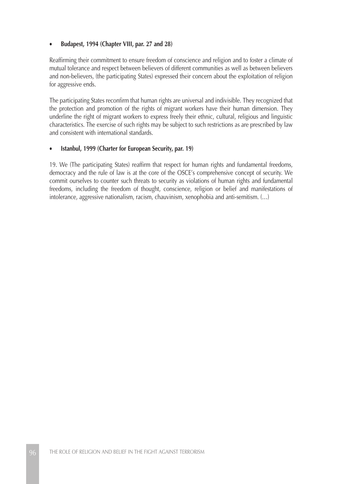### • Budapest, 1994 (Chapter VIII, par. 27 and 28)

Reaffirming their commitment to ensure freedom of conscience and religion and to foster a climate of mutual tolerance and respect between believers of different communities as well as between believers and non-believers, (the participating States) expressed their concern about the exploitation of religion for aggressive ends.

The participating States reconfirm that human rights are universal and indivisible. They recognized that the protection and promotion of the rights of migrant workers have their human dimension. They underline the right of migrant workers to express freely their ethnic, cultural, religious and linguistic characteristics. The exercise of such rights may be subject to such restrictions as are prescribed by law and consistent with international standards.

#### • Istanbul, 1999 (Charter for European Security, par. 19)

19. We (The participating States) reaffirm that respect for human rights and fundamental freedoms, democracy and the rule of law is at the core of the OSCE's comprehensive concept of security. We commit ourselves to counter such threats to security as violations of human rights and fundamental freedoms, including the freedom of thought, conscience, religion or belief and manifestations of intolerance, aggressive nationalism, racism, chauvinism, xenophobia and anti-semitism. (…)